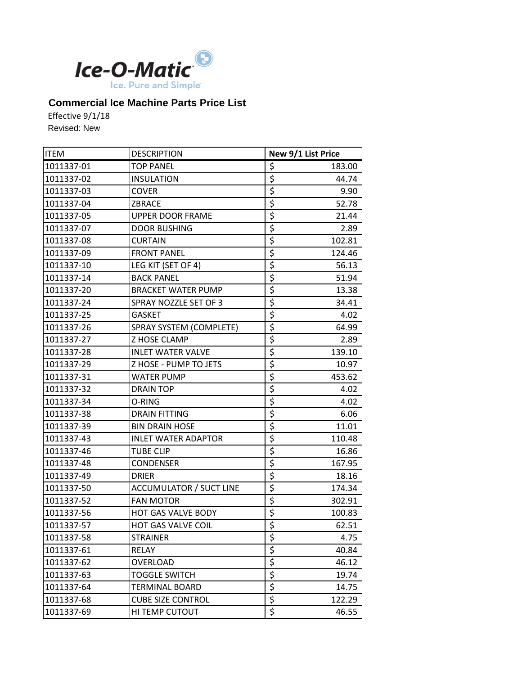

## **Commercial Ice Machine Parts Price List**

Effective 9/1/18 Revised: New

| <b>ITEM</b> | <b>DESCRIPTION</b>             |                                 | New 9/1 List Price |
|-------------|--------------------------------|---------------------------------|--------------------|
| 1011337-01  | <b>TOP PANEL</b>               | \$                              | 183.00             |
| 1011337-02  | <b>INSULATION</b>              | \$                              | 44.74              |
| 1011337-03  | <b>COVER</b>                   | $\overline{\boldsymbol{\zeta}}$ | 9.90               |
| 1011337-04  | ZBRACE                         | \$                              | 52.78              |
| 1011337-05  | <b>UPPER DOOR FRAME</b>        | $\overline{\xi}$                | 21.44              |
| 1011337-07  | <b>DOOR BUSHING</b>            | \$                              | 2.89               |
| 1011337-08  | <b>CURTAIN</b>                 | $\overline{\boldsymbol{\zeta}}$ | 102.81             |
| 1011337-09  | <b>FRONT PANEL</b>             | \$                              | 124.46             |
| 1011337-10  | LEG KIT (SET OF 4)             | \$                              | 56.13              |
| 1011337-14  | <b>BACK PANEL</b>              | \$                              | 51.94              |
| 1011337-20  | <b>BRACKET WATER PUMP</b>      | \$                              | 13.38              |
| 1011337-24  | SPRAY NOZZLE SET OF 3          | $\overline{\boldsymbol{\zeta}}$ | 34.41              |
| 1011337-25  | <b>GASKET</b>                  | $\overline{\xi}$                | 4.02               |
| 1011337-26  | SPRAY SYSTEM (COMPLETE)        | $\overline{\boldsymbol{\zeta}}$ | 64.99              |
| 1011337-27  | Z HOSE CLAMP                   | $\overline{\xi}$                | 2.89               |
| 1011337-28  | <b>INLET WATER VALVE</b>       | \$                              | 139.10             |
| 1011337-29  | Z HOSE - PUMP TO JETS          | \$                              | 10.97              |
| 1011337-31  | WATER PUMP                     | $\overline{\boldsymbol{\zeta}}$ | 453.62             |
| 1011337-32  | <b>DRAIN TOP</b>               | \$                              | 4.02               |
| 1011337-34  | O-RING                         | \$                              | 4.02               |
| 1011337-38  | <b>DRAIN FITTING</b>           | \$                              | 6.06               |
| 1011337-39  | <b>BIN DRAIN HOSE</b>          | \$                              | 11.01              |
| 1011337-43  | <b>INLET WATER ADAPTOR</b>     | \$                              | 110.48             |
| 1011337-46  | <b>TUBE CLIP</b>               | $\overline{\xi}$                | 16.86              |
| 1011337-48  | <b>CONDENSER</b>               | \$                              | 167.95             |
| 1011337-49  | <b>DRIER</b>                   | $\overline{\boldsymbol{\zeta}}$ | 18.16              |
| 1011337-50  | <b>ACCUMULATOR / SUCT LINE</b> | \$                              | 174.34             |
| 1011337-52  | <b>FAN MOTOR</b>               | \$                              | 302.91             |
| 1011337-56  | HOT GAS VALVE BODY             | \$                              | 100.83             |
| 1011337-57  | <b>HOT GAS VALVE COIL</b>      | $\overline{\mathsf{s}}$         | 62.51              |
| 1011337-58  | <b>STRAINER</b>                | \$                              | 4.75               |
| 1011337-61  | RELAY                          | \$                              | 40.84              |
| 1011337-62  | <b>OVERLOAD</b>                | \$                              | 46.12              |
| 1011337-63  | <b>TOGGLE SWITCH</b>           | \$                              | 19.74              |
| 1011337-64  | <b>TERMINAL BOARD</b>          | \$                              | 14.75              |
| 1011337-68  | <b>CUBE SIZE CONTROL</b>       | $\overline{\xi}$                | 122.29             |
| 1011337-69  | HI TEMP CUTOUT                 | \$                              | 46.55              |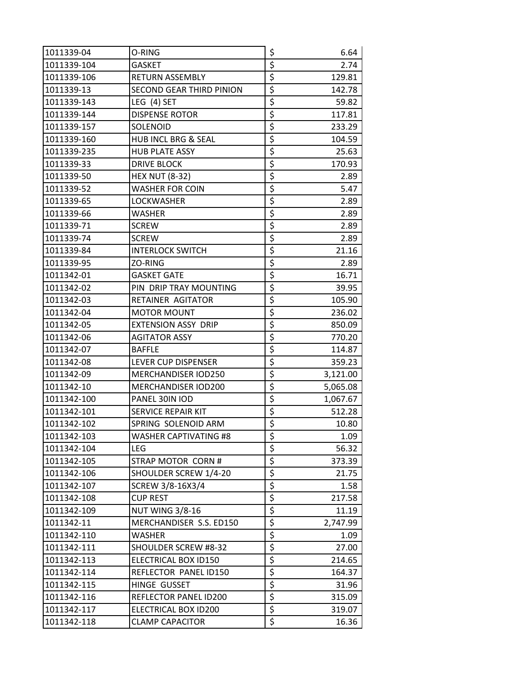| 1011339-04  | O-RING                          | \$                              | 6.64     |
|-------------|---------------------------------|---------------------------------|----------|
| 1011339-104 | <b>GASKET</b>                   | \$                              | 2.74     |
| 1011339-106 | <b>RETURN ASSEMBLY</b>          | \$                              | 129.81   |
| 1011339-13  | <b>SECOND GEAR THIRD PINION</b> | \$                              | 142.78   |
| 1011339-143 | LEG (4) SET                     | \$                              | 59.82    |
| 1011339-144 | <b>DISPENSE ROTOR</b>           | \$                              | 117.81   |
| 1011339-157 | SOLENOID                        | \$                              | 233.29   |
| 1011339-160 | HUB INCL BRG & SEAL             | \$                              | 104.59   |
| 1011339-235 | <b>HUB PLATE ASSY</b>           | \$                              | 25.63    |
| 1011339-33  | <b>DRIVE BLOCK</b>              | \$                              | 170.93   |
| 1011339-50  | <b>HEX NUT (8-32)</b>           | \$                              | 2.89     |
| 1011339-52  | WASHER FOR COIN                 | \$                              | 5.47     |
| 1011339-65  | LOCKWASHER                      | \$                              | 2.89     |
| 1011339-66  | WASHER                          | \$                              | 2.89     |
| 1011339-71  | <b>SCREW</b>                    | \$                              | 2.89     |
| 1011339-74  | <b>SCREW</b>                    | \$                              | 2.89     |
| 1011339-84  | <b>INTERLOCK SWITCH</b>         | \$                              | 21.16    |
| 1011339-95  | ZO-RING                         | \$                              | 2.89     |
| 1011342-01  | <b>GASKET GATE</b>              | \$                              | 16.71    |
| 1011342-02  | PIN DRIP TRAY MOUNTING          | \$                              | 39.95    |
| 1011342-03  | RETAINER AGITATOR               | \$                              | 105.90   |
| 1011342-04  | <b>MOTOR MOUNT</b>              | \$                              | 236.02   |
| 1011342-05  | <b>EXTENSION ASSY DRIP</b>      | \$                              | 850.09   |
| 1011342-06  | <b>AGITATOR ASSY</b>            | \$                              | 770.20   |
| 1011342-07  | <b>BAFFLE</b>                   | \$                              | 114.87   |
| 1011342-08  | LEVER CUP DISPENSER             | \$                              | 359.23   |
| 1011342-09  | MERCHANDISER IOD250             | \$                              | 3,121.00 |
| 1011342-10  | MERCHANDISER IOD200             | \$                              | 5,065.08 |
| 1011342-100 | PANEL 30IN IOD                  | \$                              | 1,067.67 |
| 1011342-101 | SERVICE REPAIR KIT              | \$                              | 512.28   |
| 1011342-102 | SPRING SOLENOID ARM             | $\overline{\boldsymbol{\zeta}}$ | 10.80    |
| 1011342-103 | <b>WASHER CAPTIVATING #8</b>    | \$                              | 1.09     |
| 1011342-104 | LEG                             | \$                              | 56.32    |
| 1011342-105 | STRAP MOTOR CORN#               | \$                              | 373.39   |
| 1011342-106 | SHOULDER SCREW 1/4-20           | \$                              | 21.75    |
| 1011342-107 | SCREW 3/8-16X3/4                | \$                              | 1.58     |
| 1011342-108 | <b>CUP REST</b>                 | \$                              | 217.58   |
| 1011342-109 | <b>NUT WING 3/8-16</b>          | \$                              | 11.19    |
| 1011342-11  | MERCHANDISER S.S. ED150         | \$                              | 2,747.99 |
| 1011342-110 | WASHER                          | \$                              | 1.09     |
| 1011342-111 | SHOULDER SCREW #8-32            | \$                              | 27.00    |
| 1011342-113 | ELECTRICAL BOX ID150            | \$                              | 214.65   |
| 1011342-114 | REFLECTOR PANEL ID150           | \$                              | 164.37   |
| 1011342-115 | HINGE GUSSET                    | \$                              | 31.96    |
| 1011342-116 | REFLECTOR PANEL ID200           | \$                              | 315.09   |
| 1011342-117 | ELECTRICAL BOX ID200            | \$                              | 319.07   |
| 1011342-118 | <b>CLAMP CAPACITOR</b>          | \$                              | 16.36    |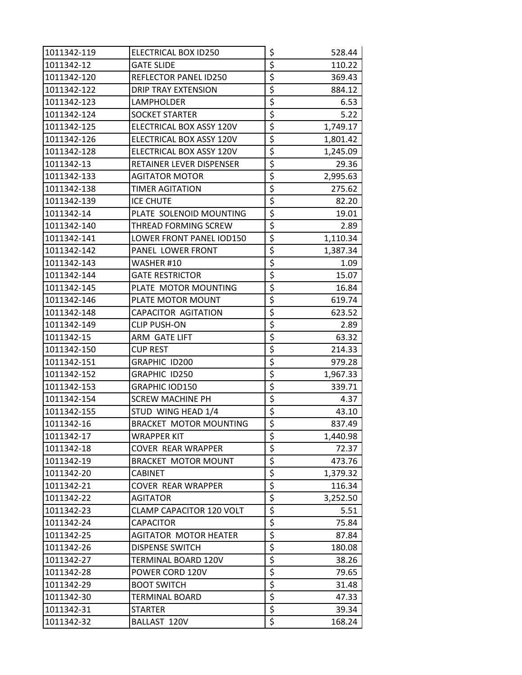| 1011342-119 | ELECTRICAL BOX ID250            | \$                              | 528.44   |
|-------------|---------------------------------|---------------------------------|----------|
| 1011342-12  | <b>GATE SLIDE</b>               | \$                              | 110.22   |
| 1011342-120 | REFLECTOR PANEL ID250           | \$                              | 369.43   |
| 1011342-122 | <b>DRIP TRAY EXTENSION</b>      | \$                              | 884.12   |
| 1011342-123 | LAMPHOLDER                      | \$                              | 6.53     |
| 1011342-124 | <b>SOCKET STARTER</b>           | \$                              | 5.22     |
| 1011342-125 | ELECTRICAL BOX ASSY 120V        | \$                              | 1,749.17 |
| 1011342-126 | ELECTRICAL BOX ASSY 120V        | \$                              | 1,801.42 |
| 1011342-128 | ELECTRICAL BOX ASSY 120V        | \$                              | 1,245.09 |
| 1011342-13  | RETAINER LEVER DISPENSER        | \$                              | 29.36    |
| 1011342-133 | AGITATOR MOTOR                  | \$                              | 2,995.63 |
| 1011342-138 | TIMER AGITATION                 | \$                              | 275.62   |
| 1011342-139 | <b>ICE CHUTE</b>                | \$                              | 82.20    |
| 1011342-14  | PLATE SOLENOID MOUNTING         | \$                              | 19.01    |
| 1011342-140 | THREAD FORMING SCREW            | \$                              | 2.89     |
| 1011342-141 | LOWER FRONT PANEL IOD150        | \$                              | 1,110.34 |
| 1011342-142 | PANEL LOWER FRONT               | \$                              | 1,387.34 |
| 1011342-143 | WASHER #10                      | \$                              | 1.09     |
| 1011342-144 | <b>GATE RESTRICTOR</b>          | \$                              | 15.07    |
| 1011342-145 | PLATE MOTOR MOUNTING            | \$                              | 16.84    |
| 1011342-146 | PLATE MOTOR MOUNT               | \$                              | 619.74   |
| 1011342-148 | CAPACITOR AGITATION             | \$                              | 623.52   |
| 1011342-149 | <b>CLIP PUSH-ON</b>             | \$                              | 2.89     |
| 1011342-15  | ARM GATE LIFT                   | \$                              | 63.32    |
| 1011342-150 | <b>CUP REST</b>                 | \$                              | 214.33   |
| 1011342-151 | GRAPHIC ID200                   | \$                              | 979.28   |
| 1011342-152 | GRAPHIC ID250                   | \$                              | 1,967.33 |
| 1011342-153 | GRAPHIC IOD150                  | \$                              | 339.71   |
| 1011342-154 | <b>SCREW MACHINE PH</b>         | \$                              | 4.37     |
| 1011342-155 | STUD WING HEAD 1/4              | \$                              | 43.10    |
| 1011342-16  | <b>BRACKET MOTOR MOUNTING</b>   | $\overline{\boldsymbol{\zeta}}$ | 837.49   |
| 1011342-17  | <b>WRAPPER KIT</b>              | \$                              | 1,440.98 |
| 1011342-18  | <b>COVER REAR WRAPPER</b>       | \$                              | 72.37    |
| 1011342-19  | <b>BRACKET MOTOR MOUNT</b>      | \$                              | 473.76   |
| 1011342-20  | <b>CABINET</b>                  | \$                              | 1,379.32 |
| 1011342-21  | <b>COVER REAR WRAPPER</b>       | \$                              | 116.34   |
| 1011342-22  | AGITATOR                        | \$                              | 3,252.50 |
| 1011342-23  | <b>CLAMP CAPACITOR 120 VOLT</b> | \$                              | 5.51     |
| 1011342-24  | <b>CAPACITOR</b>                | \$                              | 75.84    |
| 1011342-25  | <b>AGITATOR MOTOR HEATER</b>    | \$                              | 87.84    |
| 1011342-26  | <b>DISPENSE SWITCH</b>          | \$                              | 180.08   |
| 1011342-27  | TERMINAL BOARD 120V             | \$                              | 38.26    |
| 1011342-28  | POWER CORD 120V                 | \$                              | 79.65    |
| 1011342-29  | <b>BOOT SWITCH</b>              | \$                              | 31.48    |
| 1011342-30  | TERMINAL BOARD                  | \$                              | 47.33    |
| 1011342-31  | STARTER                         | $\overline{\boldsymbol{\zeta}}$ | 39.34    |
| 1011342-32  | BALLAST 120V                    | \$                              | 168.24   |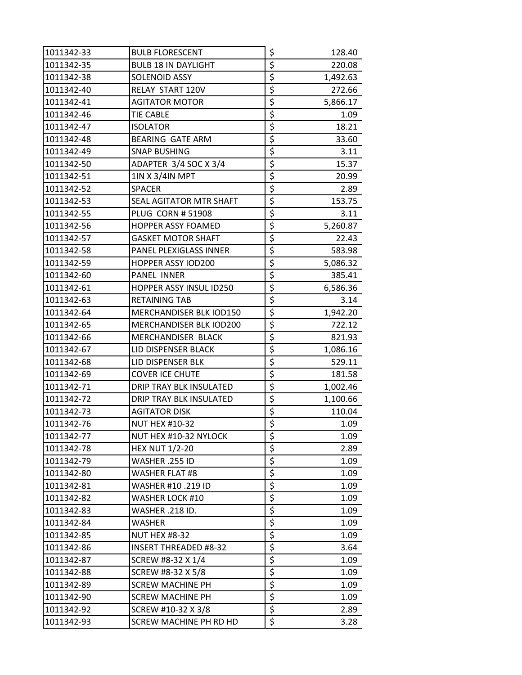| 1011342-33 | <b>BULB FLORESCENT</b>       | \$                              | 128.40   |
|------------|------------------------------|---------------------------------|----------|
| 1011342-35 | <b>BULB 18 IN DAYLIGHT</b>   | \$                              | 220.08   |
| 1011342-38 | SOLENOID ASSY                | $\overline{\boldsymbol{\zeta}}$ | 1,492.63 |
| 1011342-40 | RELAY START 120V             | \$                              | 272.66   |
| 1011342-41 | <b>AGITATOR MOTOR</b>        | \$                              | 5,866.17 |
| 1011342-46 | TIE CABLE                    | \$                              | 1.09     |
| 1011342-47 | <b>ISOLATOR</b>              | \$                              | 18.21    |
| 1011342-48 | <b>BEARING GATE ARM</b>      | \$                              | 33.60    |
| 1011342-49 | <b>SNAP BUSHING</b>          | \$                              | 3.11     |
| 1011342-50 | ADAPTER 3/4 SOC X 3/4        | \$                              | 15.37    |
| 1011342-51 | 1IN X 3/4IN MPT              | \$                              | 20.99    |
| 1011342-52 | <b>SPACER</b>                | $\overline{\xi}$                | 2.89     |
| 1011342-53 | SEAL AGITATOR MTR SHAFT      | \$                              | 153.75   |
| 1011342-55 | <b>PLUG CORN # 51908</b>     | $\overline{\xi}$                | 3.11     |
| 1011342-56 | <b>HOPPER ASSY FOAMED</b>    | $\overline{\xi}$                | 5,260.87 |
| 1011342-57 | <b>GASKET MOTOR SHAFT</b>    | \$                              | 22.43    |
| 1011342-58 | PANEL PLEXIGLASS INNER       | $\overline{\boldsymbol{\zeta}}$ | 583.98   |
| 1011342-59 | HOPPER ASSY IOD200           | \$                              | 5,086.32 |
| 1011342-60 | <b>PANEL INNER</b>           | \$                              | 385.41   |
| 1011342-61 | HOPPER ASSY INSUL ID250      | $\overline{\boldsymbol{\zeta}}$ | 6,586.36 |
| 1011342-63 | <b>RETAINING TAB</b>         | $\overline{\boldsymbol{\zeta}}$ | 3.14     |
| 1011342-64 | MERCHANDISER BLK IOD150      | $\overline{\boldsymbol{\zeta}}$ | 1,942.20 |
| 1011342-65 | MERCHANDISER BLK IOD200      | \$                              | 722.12   |
| 1011342-66 | MERCHANDISER BLACK           | \$                              | 821.93   |
| 1011342-67 | LID DISPENSER BLACK          | \$                              | 1,086.16 |
| 1011342-68 | LID DISPENSER BLK            | \$                              | 529.11   |
| 1011342-69 | <b>COVER ICE CHUTE</b>       | \$                              | 181.58   |
| 1011342-71 | DRIP TRAY BLK INSULATED      | $\overline{\boldsymbol{\zeta}}$ | 1,002.46 |
| 1011342-72 | DRIP TRAY BLK INSULATED      | \$                              | 1,100.66 |
| 1011342-73 | <b>AGITATOR DISK</b>         | \$                              | 110.04   |
| 1011342-76 | <b>NUT HEX #10-32</b>        | $\overline{\xi}$                | 1.09     |
| 1011342-77 | NUT HEX #10-32 NYLOCK        | \$                              | 1.09     |
| 1011342-78 | <b>HEX NUT 1/2-20</b>        | $\overline{\boldsymbol{\zeta}}$ | 2.89     |
| 1011342-79 | WASHER .255 ID               | \$                              | 1.09     |
| 1011342-80 | <b>WASHER FLAT #8</b>        | \$                              | 1.09     |
| 1011342-81 | WASHER #10.219 ID            | \$                              | 1.09     |
| 1011342-82 | WASHER LOCK #10              | \$                              | 1.09     |
| 1011342-83 | WASHER .218 ID.              | \$                              | 1.09     |
| 1011342-84 | WASHER                       | $\zeta$                         | 1.09     |
| 1011342-85 | <b>NUT HEX #8-32</b>         | \$                              | 1.09     |
| 1011342-86 | <b>INSERT THREADED #8-32</b> | $\overline{\xi}$                | 3.64     |
| 1011342-87 | SCREW #8-32 X 1/4            | \$                              | 1.09     |
| 1011342-88 | SCREW #8-32 X 5/8            | \$                              | 1.09     |
| 1011342-89 | <b>SCREW MACHINE PH</b>      | \$                              | 1.09     |
| 1011342-90 | <b>SCREW MACHINE PH</b>      | $\overline{\xi}$                | 1.09     |
| 1011342-92 | SCREW #10-32 X 3/8           | $\overline{\xi}$                | 2.89     |
| 1011342-93 | SCREW MACHINE PH RD HD       | $\overline{\xi}$                | 3.28     |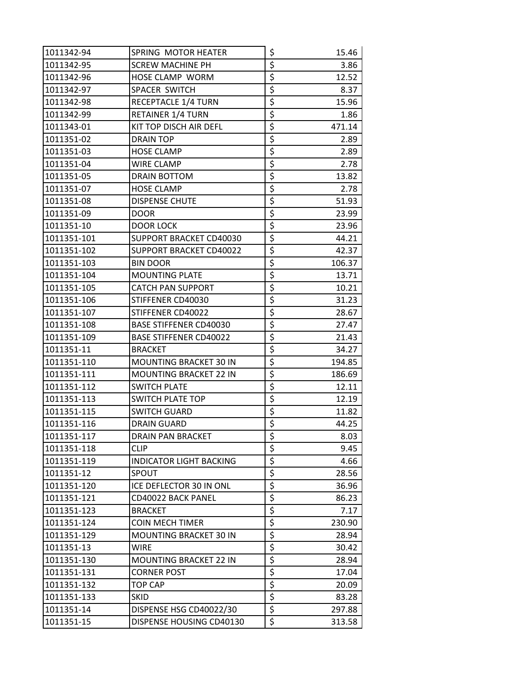| 1011342-94  | SPRING MOTOR HEATER            | \$                                  | 15.46  |
|-------------|--------------------------------|-------------------------------------|--------|
| 1011342-95  | <b>SCREW MACHINE PH</b>        | \$                                  | 3.86   |
| 1011342-96  | HOSE CLAMP WORM                | \$                                  | 12.52  |
| 1011342-97  | SPACER SWITCH                  | \$                                  | 8.37   |
| 1011342-98  | RECEPTACLE 1/4 TURN            | \$                                  | 15.96  |
| 1011342-99  | <b>RETAINER 1/4 TURN</b>       | \$                                  | 1.86   |
| 1011343-01  | KIT TOP DISCH AIR DEFL         | \$                                  | 471.14 |
| 1011351-02  | <b>DRAIN TOP</b>               | \$                                  | 2.89   |
| 1011351-03  | <b>HOSE CLAMP</b>              | \$                                  | 2.89   |
| 1011351-04  | WIRE CLAMP                     | \$                                  | 2.78   |
| 1011351-05  | DRAIN BOTTOM                   | \$                                  | 13.82  |
| 1011351-07  | <b>HOSE CLAMP</b>              | \$                                  | 2.78   |
| 1011351-08  | <b>DISPENSE CHUTE</b>          | \$                                  | 51.93  |
| 1011351-09  | <b>DOOR</b>                    | \$                                  | 23.99  |
| 1011351-10  | DOOR LOCK                      | \$                                  | 23.96  |
| 1011351-101 | SUPPORT BRACKET CD40030        | \$                                  | 44.21  |
| 1011351-102 | SUPPORT BRACKET CD40022        | \$                                  | 42.37  |
| 1011351-103 | <b>BIN DOOR</b>                | \$                                  | 106.37 |
| 1011351-104 | <b>MOUNTING PLATE</b>          | \$                                  | 13.71  |
| 1011351-105 | <b>CATCH PAN SUPPORT</b>       | \$                                  | 10.21  |
| 1011351-106 | STIFFENER CD40030              | \$                                  | 31.23  |
| 1011351-107 | STIFFENER CD40022              | \$                                  | 28.67  |
| 1011351-108 | <b>BASE STIFFENER CD40030</b>  | \$                                  | 27.47  |
| 1011351-109 | <b>BASE STIFFENER CD40022</b>  | \$                                  | 21.43  |
| 1011351-11  | <b>BRACKET</b>                 | \$                                  | 34.27  |
| 1011351-110 | MOUNTING BRACKET 30 IN         | \$                                  | 194.85 |
| 1011351-111 | <b>MOUNTING BRACKET 22 IN</b>  | \$                                  | 186.69 |
| 1011351-112 | <b>SWITCH PLATE</b>            | \$                                  | 12.11  |
| 1011351-113 | SWITCH PLATE TOP               | \$                                  | 12.19  |
| 1011351-115 | SWITCH GUARD                   | \$                                  | 11.82  |
| 1011351-116 | <b>DRAIN GUARD</b>             | $\overline{\boldsymbol{\varsigma}}$ | 44.25  |
| 1011351-117 | DRAIN PAN BRACKET              | \$                                  | 8.03   |
| 1011351-118 | <b>CLIP</b>                    | \$                                  | 9.45   |
| 1011351-119 | <b>INDICATOR LIGHT BACKING</b> | \$                                  | 4.66   |
| 1011351-12  | SPOUT                          | \$                                  | 28.56  |
| 1011351-120 | ICE DEFLECTOR 30 IN ONL        | \$                                  | 36.96  |
| 1011351-121 | CD40022 BACK PANEL             | \$                                  | 86.23  |
| 1011351-123 | <b>BRACKET</b>                 | \$                                  | 7.17   |
| 1011351-124 | COIN MECH TIMER                | $\overline{\xi}$                    | 230.90 |
| 1011351-129 | MOUNTING BRACKET 30 IN         | \$                                  | 28.94  |
| 1011351-13  | <b>WIRE</b>                    | \$                                  | 30.42  |
| 1011351-130 | <b>MOUNTING BRACKET 22 IN</b>  | \$                                  | 28.94  |
| 1011351-131 | <b>CORNER POST</b>             | \$                                  | 17.04  |
| 1011351-132 | TOP CAP                        | \$                                  | 20.09  |
| 1011351-133 | <b>SKID</b>                    | \$                                  | 83.28  |
| 1011351-14  | DISPENSE HSG CD40022/30        | \$                                  | 297.88 |
| 1011351-15  | DISPENSE HOUSING CD40130       | \$                                  | 313.58 |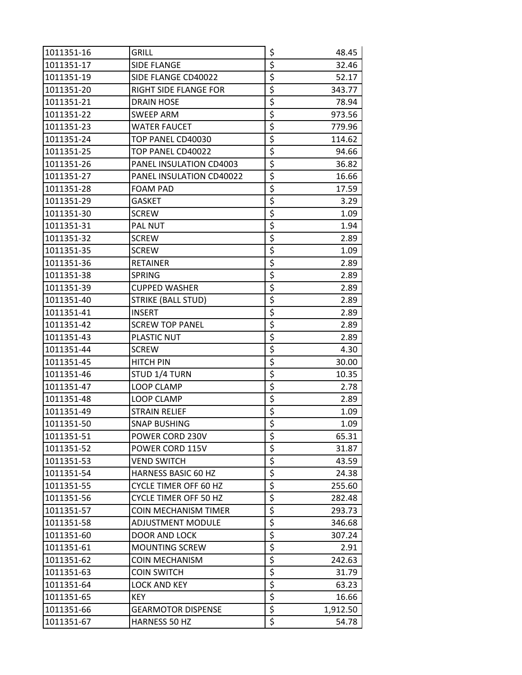| 1011351-16 | grill                        | \$                              | 48.45    |
|------------|------------------------------|---------------------------------|----------|
| 1011351-17 | <b>SIDE FLANGE</b>           | \$                              | 32.46    |
| 1011351-19 | SIDE FLANGE CD40022          | \$                              | 52.17    |
| 1011351-20 | RIGHT SIDE FLANGE FOR        | \$                              | 343.77   |
| 1011351-21 | DRAIN HOSE                   | \$                              | 78.94    |
| 1011351-22 | SWEEP ARM                    | \$                              | 973.56   |
| 1011351-23 | <b>WATER FAUCET</b>          | \$                              | 779.96   |
| 1011351-24 | TOP PANEL CD40030            | \$                              | 114.62   |
| 1011351-25 | TOP PANEL CD40022            | \$                              | 94.66    |
| 1011351-26 | PANEL INSULATION CD4003      | \$                              | 36.82    |
| 1011351-27 | PANEL INSULATION CD40022     | \$                              | 16.66    |
| 1011351-28 | <b>FOAM PAD</b>              | \$                              | 17.59    |
| 1011351-29 | <b>GASKET</b>                | \$                              | 3.29     |
| 1011351-30 | <b>SCREW</b>                 | \$                              | 1.09     |
| 1011351-31 | <b>PAL NUT</b>               | \$                              | 1.94     |
| 1011351-32 | <b>SCREW</b>                 | \$                              | 2.89     |
| 1011351-35 | <b>SCREW</b>                 | \$                              | 1.09     |
| 1011351-36 | <b>RETAINER</b>              | \$                              | 2.89     |
| 1011351-38 | <b>SPRING</b>                | \$                              | 2.89     |
| 1011351-39 | <b>CUPPED WASHER</b>         | \$                              | 2.89     |
| 1011351-40 | <b>STRIKE (BALL STUD)</b>    | \$                              | 2.89     |
| 1011351-41 | <b>INSERT</b>                | \$                              | 2.89     |
| 1011351-42 | <b>SCREW TOP PANEL</b>       | \$                              | 2.89     |
| 1011351-43 | PLASTIC NUT                  | \$                              | 2.89     |
| 1011351-44 | <b>SCREW</b>                 | \$                              | 4.30     |
| 1011351-45 | <b>HITCH PIN</b>             | $\overline{\xi}$                | 30.00    |
| 1011351-46 | STUD 1/4 TURN                | \$                              | 10.35    |
| 1011351-47 | LOOP CLAMP                   | \$                              | 2.78     |
| 1011351-48 | <b>LOOP CLAMP</b>            | \$                              | 2.89     |
| 1011351-49 | <b>STRAIN RELIEF</b>         | \$                              | 1.09     |
| 1011351-50 | <b>SNAP BUSHING</b>          | $\overline{\boldsymbol{\zeta}}$ | 1.09     |
| 1011351-51 | POWER CORD 230V              | \$                              | 65.31    |
| 1011351-52 | POWER CORD 115V              | \$                              | 31.87    |
| 1011351-53 | VEND SWITCH                  | \$                              | 43.59    |
| 1011351-54 | HARNESS BASIC 60 HZ          | \$                              | 24.38    |
| 1011351-55 | <b>CYCLE TIMER OFF 60 HZ</b> | \$                              | 255.60   |
| 1011351-56 | <b>CYCLE TIMER OFF 50 HZ</b> | \$                              | 282.48   |
| 1011351-57 | <b>COIN MECHANISM TIMER</b>  | \$                              | 293.73   |
| 1011351-58 | <b>ADJUSTMENT MODULE</b>     | $\overline{\boldsymbol{\zeta}}$ | 346.68   |
| 1011351-60 | <b>DOOR AND LOCK</b>         | $\overline{\boldsymbol{\zeta}}$ | 307.24   |
| 1011351-61 | <b>MOUNTING SCREW</b>        | \$                              | 2.91     |
| 1011351-62 | COIN MECHANISM               | \$                              | 242.63   |
| 1011351-63 | <b>COIN SWITCH</b>           | $\overline{\boldsymbol{\zeta}}$ | 31.79    |
| 1011351-64 | LOCK AND KEY                 | $\overline{\boldsymbol{\zeta}}$ | 63.23    |
| 1011351-65 | <b>KEY</b>                   | \$                              | 16.66    |
| 1011351-66 | <b>GEARMOTOR DISPENSE</b>    | \$                              | 1,912.50 |
| 1011351-67 | HARNESS 50 HZ                | \$                              | 54.78    |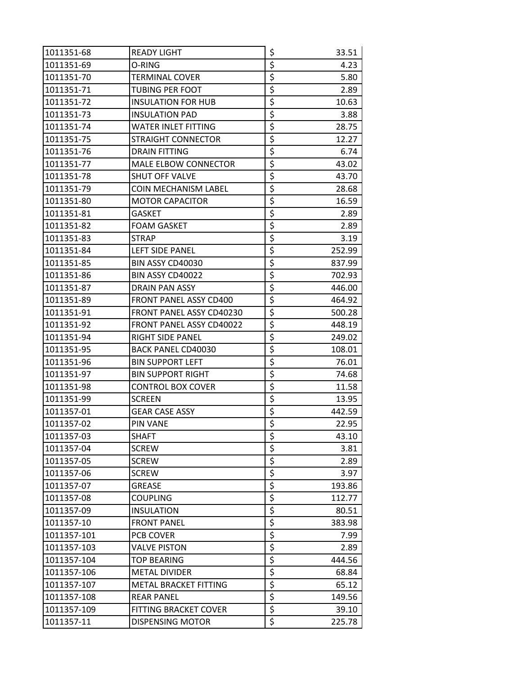| 1011351-68  | <b>READY LIGHT</b>              | \$                                  | 33.51  |
|-------------|---------------------------------|-------------------------------------|--------|
| 1011351-69  | O-RING                          | \$                                  | 4.23   |
| 1011351-70  | TERMINAL COVER                  | \$                                  | 5.80   |
| 1011351-71  | TUBING PER FOOT                 | \$                                  | 2.89   |
| 1011351-72  | <b>INSULATION FOR HUB</b>       | \$                                  | 10.63  |
| 1011351-73  | <b>INSULATION PAD</b>           | \$                                  | 3.88   |
| 1011351-74  | WATER INLET FITTING             | \$                                  | 28.75  |
| 1011351-75  | STRAIGHT CONNECTOR              | \$                                  | 12.27  |
| 1011351-76  | <b>DRAIN FITTING</b>            | \$                                  | 6.74   |
| 1011351-77  | <b>MALE ELBOW CONNECTOR</b>     | \$                                  | 43.02  |
| 1011351-78  | <b>SHUT OFF VALVE</b>           | \$                                  | 43.70  |
| 1011351-79  | <b>COIN MECHANISM LABEL</b>     | \$                                  | 28.68  |
| 1011351-80  | <b>MOTOR CAPACITOR</b>          | \$                                  | 16.59  |
| 1011351-81  | <b>GASKET</b>                   | \$                                  | 2.89   |
| 1011351-82  | FOAM GASKET                     | \$                                  | 2.89   |
| 1011351-83  | STRAP                           | \$                                  | 3.19   |
| 1011351-84  | LEFT SIDE PANEL                 | \$                                  | 252.99 |
| 1011351-85  | BIN ASSY CD40030                | \$                                  | 837.99 |
| 1011351-86  | BIN ASSY CD40022                | \$                                  | 702.93 |
| 1011351-87  | DRAIN PAN ASSY                  | \$                                  | 446.00 |
| 1011351-89  | FRONT PANEL ASSY CD400          | \$                                  | 464.92 |
| 1011351-91  | FRONT PANEL ASSY CD40230        | \$                                  | 500.28 |
| 1011351-92  | <b>FRONT PANEL ASSY CD40022</b> | \$                                  | 448.19 |
| 1011351-94  | RIGHT SIDE PANEL                | \$                                  | 249.02 |
| 1011351-95  | BACK PANEL CD40030              | \$                                  | 108.01 |
| 1011351-96  | <b>BIN SUPPORT LEFT</b>         | \$                                  | 76.01  |
| 1011351-97  | <b>BIN SUPPORT RIGHT</b>        | \$                                  | 74.68  |
| 1011351-98  | <b>CONTROL BOX COVER</b>        | \$                                  | 11.58  |
| 1011351-99  | <b>SCREEN</b>                   | \$                                  | 13.95  |
| 1011357-01  | <b>GEAR CASE ASSY</b>           | \$                                  | 442.59 |
| 1011357-02  | <b>PIN VANE</b>                 | $\overline{\boldsymbol{\varsigma}}$ | 22.95  |
| 1011357-03  | SHAFT                           | \$                                  | 43.10  |
| 1011357-04  | <b>SCREW</b>                    | \$                                  | 3.81   |
| 1011357-05  | <b>SCREW</b>                    | \$                                  | 2.89   |
| 1011357-06  | <b>SCREW</b>                    | \$                                  | 3.97   |
| 1011357-07  | <b>GREASE</b>                   | \$                                  | 193.86 |
| 1011357-08  | <b>COUPLING</b>                 | \$                                  | 112.77 |
| 1011357-09  | <b>INSULATION</b>               | \$                                  | 80.51  |
| 1011357-10  | <b>FRONT PANEL</b>              | \$                                  | 383.98 |
| 1011357-101 | PCB COVER                       | \$                                  | 7.99   |
| 1011357-103 | VALVE PISTON                    | \$                                  | 2.89   |
| 1011357-104 | <b>TOP BEARING</b>              | \$                                  | 444.56 |
| 1011357-106 | <b>METAL DIVIDER</b>            | \$                                  | 68.84  |
| 1011357-107 | METAL BRACKET FITTING           | \$                                  | 65.12  |
| 1011357-108 | <b>REAR PANEL</b>               | $\overline{\xi}$                    | 149.56 |
| 1011357-109 | FITTING BRACKET COVER           | \$                                  | 39.10  |
| 1011357-11  | <b>DISPENSING MOTOR</b>         | \$                                  | 225.78 |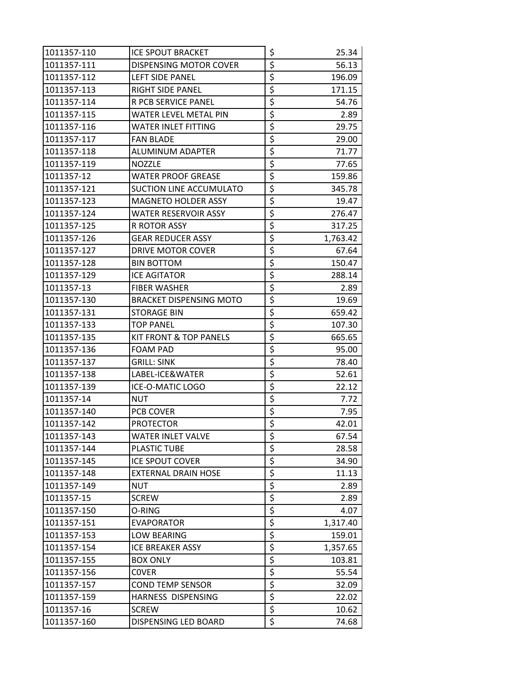| 1011357-110 | <b>ICE SPOUT BRACKET</b>       | \$                                  | 25.34    |
|-------------|--------------------------------|-------------------------------------|----------|
| 1011357-111 | DISPENSING MOTOR COVER         | \$                                  | 56.13    |
| 1011357-112 | LEFT SIDE PANEL                | \$                                  | 196.09   |
| 1011357-113 | <b>RIGHT SIDE PANEL</b>        | \$                                  | 171.15   |
| 1011357-114 | R PCB SERVICE PANEL            | \$                                  | 54.76    |
| 1011357-115 | WATER LEVEL METAL PIN          | \$                                  | 2.89     |
| 1011357-116 | <b>WATER INLET FITTING</b>     | \$                                  | 29.75    |
| 1011357-117 | <b>FAN BLADE</b>               | \$                                  | 29.00    |
| 1011357-118 | ALUMINUM ADAPTER               | \$                                  | 71.77    |
| 1011357-119 | <b>NOZZLE</b>                  | \$                                  | 77.65    |
| 1011357-12  | WATER PROOF GREASE             | \$                                  | 159.86   |
| 1011357-121 | SUCTION LINE ACCUMULATO        | \$                                  | 345.78   |
| 1011357-123 | <b>MAGNETO HOLDER ASSY</b>     | \$                                  | 19.47    |
| 1011357-124 | <b>WATER RESERVOIR ASSY</b>    | \$                                  | 276.47   |
| 1011357-125 | R ROTOR ASSY                   | \$                                  | 317.25   |
| 1011357-126 | <b>GEAR REDUCER ASSY</b>       | \$                                  | 1,763.42 |
| 1011357-127 | DRIVE MOTOR COVER              | \$                                  | 67.64    |
| 1011357-128 | <b>BIN BOTTOM</b>              | \$                                  | 150.47   |
| 1011357-129 | <b>ICE AGITATOR</b>            | \$                                  | 288.14   |
| 1011357-13  | <b>FIBER WASHER</b>            | \$                                  | 2.89     |
| 1011357-130 | <b>BRACKET DISPENSING MOTO</b> | \$                                  | 19.69    |
| 1011357-131 | <b>STORAGE BIN</b>             | \$                                  | 659.42   |
| 1011357-133 | <b>TOP PANEL</b>               | \$                                  | 107.30   |
| 1011357-135 | KIT FRONT & TOP PANELS         | \$                                  | 665.65   |
| 1011357-136 | FOAM PAD                       | \$                                  | 95.00    |
| 1011357-137 | <b>GRILL: SINK</b>             | \$                                  | 78.40    |
| 1011357-138 | LABEL-ICE&WATER                | \$                                  | 52.61    |
| 1011357-139 | ICE-O-MATIC LOGO               | \$                                  | 22.12    |
| 1011357-14  | NUT                            | \$                                  | 7.72     |
| 1011357-140 | PCB COVER                      | \$                                  | 7.95     |
| 1011357-142 | <b>PROTECTOR</b>               | $\overline{\boldsymbol{\varsigma}}$ | 42.01    |
| 1011357-143 | WATER INLET VALVE              | \$                                  | 67.54    |
| 1011357-144 | PLASTIC TUBE                   | \$                                  | 28.58    |
| 1011357-145 | <b>ICE SPOUT COVER</b>         | \$                                  | 34.90    |
| 1011357-148 | <b>EXTERNAL DRAIN HOSE</b>     | \$                                  | 11.13    |
| 1011357-149 | NUT                            | \$                                  | 2.89     |
| 1011357-15  | <b>SCREW</b>                   | \$                                  | 2.89     |
| 1011357-150 | O-RING                         | \$                                  | 4.07     |
| 1011357-151 | <b>EVAPORATOR</b>              | \$                                  | 1,317.40 |
| 1011357-153 | LOW BEARING                    | \$                                  | 159.01   |
| 1011357-154 | ICE BREAKER ASSY               | \$                                  | 1,357.65 |
| 1011357-155 | <b>BOX ONLY</b>                | \$                                  | 103.81   |
| 1011357-156 | <b>COVER</b>                   | \$                                  | 55.54    |
| 1011357-157 | <b>COND TEMP SENSOR</b>        | \$                                  | 32.09    |
| 1011357-159 | HARNESS DISPENSING             | \$                                  | 22.02    |
| 1011357-16  | <b>SCREW</b>                   | \$                                  | 10.62    |
| 1011357-160 | DISPENSING LED BOARD           | \$                                  | 74.68    |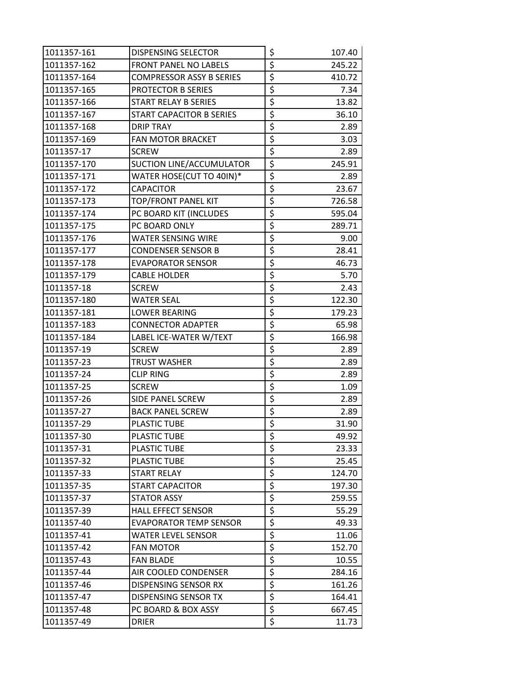| 1011357-161 | DISPENSING SELECTOR             | \$                              | 107.40 |
|-------------|---------------------------------|---------------------------------|--------|
| 1011357-162 | <b>FRONT PANEL NO LABELS</b>    | \$                              | 245.22 |
| 1011357-164 | <b>COMPRESSOR ASSY B SERIES</b> | \$                              | 410.72 |
| 1011357-165 | PROTECTOR B SERIES              | \$                              | 7.34   |
| 1011357-166 | <b>START RELAY B SERIES</b>     | \$                              | 13.82  |
| 1011357-167 | <b>START CAPACITOR B SERIES</b> | \$                              | 36.10  |
| 1011357-168 | <b>DRIP TRAY</b>                | \$                              | 2.89   |
| 1011357-169 | <b>FAN MOTOR BRACKET</b>        | \$                              | 3.03   |
| 1011357-17  | <b>SCREW</b>                    | \$                              | 2.89   |
| 1011357-170 | SUCTION LINE/ACCUMULATOR        | \$                              | 245.91 |
| 1011357-171 | WATER HOSE(CUT TO 40IN)*        | \$                              | 2.89   |
| 1011357-172 | <b>CAPACITOR</b>                | \$                              | 23.67  |
| 1011357-173 | TOP/FRONT PANEL KIT             | \$                              | 726.58 |
| 1011357-174 | PC BOARD KIT (INCLUDES          | $\overline{\boldsymbol{\zeta}}$ | 595.04 |
| 1011357-175 | PC BOARD ONLY                   | \$                              | 289.71 |
| 1011357-176 | <b>WATER SENSING WIRE</b>       | \$                              | 9.00   |
| 1011357-177 | <b>CONDENSER SENSOR B</b>       | \$                              | 28.41  |
| 1011357-178 | <b>EVAPORATOR SENSOR</b>        | \$                              | 46.73  |
| 1011357-179 | <b>CABLE HOLDER</b>             | \$                              | 5.70   |
| 1011357-18  | <b>SCREW</b>                    | \$                              | 2.43   |
| 1011357-180 | <b>WATER SEAL</b>               | \$                              | 122.30 |
| 1011357-181 | <b>LOWER BEARING</b>            | $\overline{\xi}$                | 179.23 |
| 1011357-183 | <b>CONNECTOR ADAPTER</b>        | \$                              | 65.98  |
| 1011357-184 | LABEL ICE-WATER W/TEXT          | \$                              | 166.98 |
| 1011357-19  | <b>SCREW</b>                    | \$                              | 2.89   |
| 1011357-23  | <b>TRUST WASHER</b>             | $\overline{\xi}$                | 2.89   |
| 1011357-24  | <b>CLIP RING</b>                | \$                              | 2.89   |
| 1011357-25  | <b>SCREW</b>                    | \$                              | 1.09   |
| 1011357-26  | SIDE PANEL SCREW                | \$                              | 2.89   |
| 1011357-27  | <b>BACK PANEL SCREW</b>         | \$                              | 2.89   |
| 1011357-29  | <b>PLASTIC TUBE</b>             | $\overline{\boldsymbol{\zeta}}$ | 31.90  |
| 1011357-30  | <b>PLASTIC TUBE</b>             | \$                              | 49.92  |
| 1011357-31  | PLASTIC TUBE                    | \$                              | 23.33  |
| 1011357-32  | PLASTIC TUBE                    | $\overline{\xi}$                | 25.45  |
| 1011357-33  | <b>START RELAY</b>              | \$                              | 124.70 |
| 1011357-35  | <b>START CAPACITOR</b>          | $\overline{\xi}$                | 197.30 |
| 1011357-37  | <b>STATOR ASSY</b>              | \$                              | 259.55 |
| 1011357-39  | <b>HALL EFFECT SENSOR</b>       | \$                              | 55.29  |
| 1011357-40  | <b>EVAPORATOR TEMP SENSOR</b>   | \$                              | 49.33  |
| 1011357-41  | <b>WATER LEVEL SENSOR</b>       | $\overline{\boldsymbol{\zeta}}$ | 11.06  |
| 1011357-42  | <b>FAN MOTOR</b>                | $\overline{\boldsymbol{\zeta}}$ | 152.70 |
| 1011357-43  | <b>FAN BLADE</b>                | \$                              | 10.55  |
| 1011357-44  | AIR COOLED CONDENSER            | $\overline{\xi}$                | 284.16 |
| 1011357-46  | DISPENSING SENSOR RX            | $\overline{\mathcal{L}}$        | 161.26 |
| 1011357-47  | DISPENSING SENSOR TX            | $\overline{\boldsymbol{\zeta}}$ | 164.41 |
| 1011357-48  | PC BOARD & BOX ASSY             | \$                              | 667.45 |
| 1011357-49  | <b>DRIER</b>                    | \$                              | 11.73  |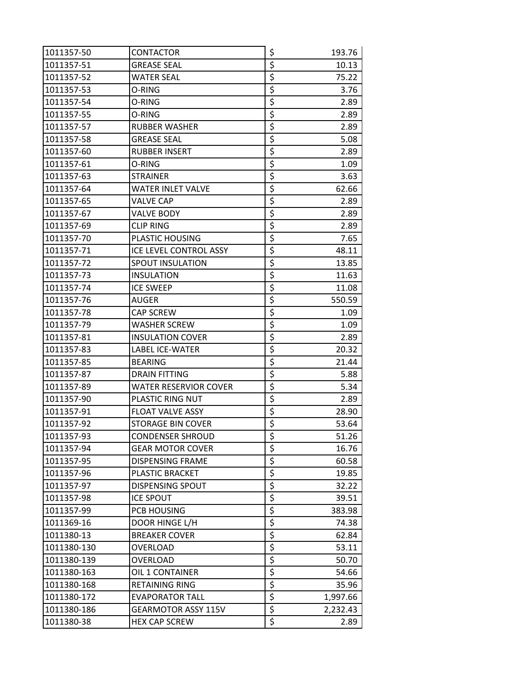| 1011357-50  | <b>CONTACTOR</b>             | \$                              | 193.76   |
|-------------|------------------------------|---------------------------------|----------|
| 1011357-51  | <b>GREASE SEAL</b>           | \$                              | 10.13    |
| 1011357-52  | WATER SEAL                   | \$                              | 75.22    |
| 1011357-53  | O-RING                       | \$                              | 3.76     |
| 1011357-54  | O-RING                       | \$                              | 2.89     |
| 1011357-55  | O-RING                       | \$                              | 2.89     |
| 1011357-57  | <b>RUBBER WASHER</b>         | \$                              | 2.89     |
| 1011357-58  | <b>GREASE SEAL</b>           | \$                              | 5.08     |
| 1011357-60  | <b>RUBBER INSERT</b>         | $\overline{\boldsymbol{\zeta}}$ | 2.89     |
| 1011357-61  | O-RING                       | \$                              | 1.09     |
| 1011357-63  | <b>STRAINER</b>              | \$                              | 3.63     |
| 1011357-64  | WATER INLET VALVE            | \$                              | 62.66    |
| 1011357-65  | VALVE CAP                    | \$                              | 2.89     |
| 1011357-67  | <b>VALVE BODY</b>            | \$                              | 2.89     |
| 1011357-69  | <b>CLIP RING</b>             | \$                              | 2.89     |
| 1011357-70  | PLASTIC HOUSING              | \$                              | 7.65     |
| 1011357-71  | ICE LEVEL CONTROL ASSY       | \$                              | 48.11    |
| 1011357-72  | SPOUT INSULATION             | \$                              | 13.85    |
| 1011357-73  | <b>INSULATION</b>            | \$                              | 11.63    |
| 1011357-74  | <b>ICE SWEEP</b>             | $\overline{\boldsymbol{\zeta}}$ | 11.08    |
| 1011357-76  | <b>AUGER</b>                 | \$                              | 550.59   |
| 1011357-78  | CAP SCREW                    | \$                              | 1.09     |
| 1011357-79  | <b>WASHER SCREW</b>          | \$                              | 1.09     |
| 1011357-81  | <b>INSULATION COVER</b>      | \$                              | 2.89     |
| 1011357-83  | <b>LABEL ICE-WATER</b>       | \$                              | 20.32    |
| 1011357-85  | <b>BEARING</b>               | \$                              | 21.44    |
| 1011357-87  | <b>DRAIN FITTING</b>         | \$                              | 5.88     |
| 1011357-89  | <b>WATER RESERVIOR COVER</b> | $\overline{\boldsymbol{\zeta}}$ | 5.34     |
| 1011357-90  | PLASTIC RING NUT             | \$                              | 2.89     |
| 1011357-91  | <b>FLOAT VALVE ASSY</b>      | \$                              | 28.90    |
| 1011357-92  | <b>STORAGE BIN COVER</b>     | $\overline{\boldsymbol{\zeta}}$ | 53.64    |
| 1011357-93  | <b>CONDENSER SHROUD</b>      | \$                              | 51.26    |
| 1011357-94  | <b>GEAR MOTOR COVER</b>      | \$                              | 16.76    |
| 1011357-95  | <b>DISPENSING FRAME</b>      | $\overline{\xi}$                | 60.58    |
| 1011357-96  | PLASTIC BRACKET              | \$                              | 19.85    |
| 1011357-97  | DISPENSING SPOUT             | \$                              | 32.22    |
| 1011357-98  | <b>ICE SPOUT</b>             | \$                              | 39.51    |
| 1011357-99  | PCB HOUSING                  | \$                              | 383.98   |
| 1011369-16  | DOOR HINGE L/H               | \$                              | 74.38    |
| 1011380-13  | <b>BREAKER COVER</b>         | \$                              | 62.84    |
| 1011380-130 | OVERLOAD                     | \$                              | 53.11    |
| 1011380-139 | OVERLOAD                     | \$                              | 50.70    |
| 1011380-163 | OIL 1 CONTAINER              | \$                              | 54.66    |
| 1011380-168 | <b>RETAINING RING</b>        | $\overline{\mathcal{L}}$        | 35.96    |
| 1011380-172 | <b>EVAPORATOR TALL</b>       | $\overline{\xi}$                | 1,997.66 |
| 1011380-186 | <b>GEARMOTOR ASSY 115V</b>   | \$                              | 2,232.43 |
| 1011380-38  | <b>HEX CAP SCREW</b>         | \$                              | 2.89     |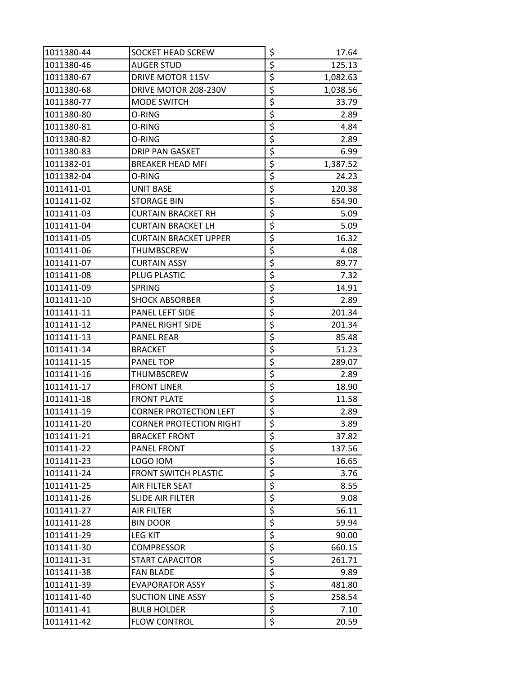| 1011380-44 | SOCKET HEAD SCREW              | \$                              | 17.64    |
|------------|--------------------------------|---------------------------------|----------|
| 1011380-46 | <b>AUGER STUD</b>              | \$                              | 125.13   |
| 1011380-67 | <b>DRIVE MOTOR 115V</b>        | $\overline{\boldsymbol{\zeta}}$ | 1,082.63 |
| 1011380-68 | DRIVE MOTOR 208-230V           | \$                              | 1,038.56 |
| 1011380-77 | MODE SWITCH                    | \$                              | 33.79    |
| 1011380-80 | O-RING                         | \$                              | 2.89     |
| 1011380-81 | O-RING                         | \$                              | 4.84     |
| 1011380-82 | O-RING                         | \$                              | 2.89     |
| 1011380-83 | <b>DRIP PAN GASKET</b>         | \$                              | 6.99     |
| 1011382-01 | <b>BREAKER HEAD MFI</b>        | \$                              | 1,387.52 |
| 1011382-04 | O-RING                         | \$                              | 24.23    |
| 1011411-01 | UNIT BASE                      | $\overline{\xi}$                | 120.38   |
| 1011411-02 | <b>STORAGE BIN</b>             | $\overline{\xi}$                | 654.90   |
| 1011411-03 | <b>CURTAIN BRACKET RH</b>      | $\overline{\xi}$                | 5.09     |
| 1011411-04 | <b>CURTAIN BRACKET LH</b>      | $\overline{\boldsymbol{\zeta}}$ | 5.09     |
| 1011411-05 | <b>CURTAIN BRACKET UPPER</b>   | \$                              | 16.32    |
| 1011411-06 | THUMBSCREW                     | \$                              | 4.08     |
| 1011411-07 | <b>CURTAIN ASSY</b>            | \$                              | 89.77    |
| 1011411-08 | PLUG PLASTIC                   | \$                              | 7.32     |
| 1011411-09 | <b>SPRING</b>                  | \$                              | 14.91    |
| 1011411-10 | <b>SHOCK ABSORBER</b>          | $\overline{\boldsymbol{\zeta}}$ | 2.89     |
| 1011411-11 | PANEL LEFT SIDE                | \$                              | 201.34   |
| 1011411-12 | PANEL RIGHT SIDE               | \$                              | 201.34   |
| 1011411-13 | <b>PANEL REAR</b>              | \$                              | 85.48    |
| 1011411-14 | <b>BRACKET</b>                 | \$                              | 51.23    |
| 1011411-15 | PANEL TOP                      | \$                              | 289.07   |
| 1011411-16 | THUMBSCREW                     | \$                              | 2.89     |
| 1011411-17 | <b>FRONT LINER</b>             | $\overline{\boldsymbol{\zeta}}$ | 18.90    |
| 1011411-18 | <b>FRONT PLATE</b>             | \$                              | 11.58    |
| 1011411-19 | <b>CORNER PROTECTION LEFT</b>  | \$                              | 2.89     |
| 1011411-20 | <b>CORNER PROTECTION RIGHT</b> | $\overline{\xi}$                | 3.89     |
| 1011411-21 | <b>BRACKET FRONT</b>           | \$                              | 37.82    |
| 1011411-22 | PANEL FRONT                    | $\overline{\boldsymbol{\zeta}}$ | 137.56   |
| 1011411-23 | LOGO IOM                       | \$                              | 16.65    |
| 1011411-24 | FRONT SWITCH PLASTIC           | $\overline{\boldsymbol{\zeta}}$ | 3.76     |
| 1011411-25 | AIR FILTER SEAT                | \$                              | 8.55     |
| 1011411-26 | <b>SLIDE AIR FILTER</b>        | \$                              | 9.08     |
| 1011411-27 | AIR FILTER                     | \$                              | 56.11    |
| 1011411-28 | <b>BIN DOOR</b>                | $\zeta$                         | 59.94    |
| 1011411-29 | <b>LEG KIT</b>                 | \$                              | 90.00    |
| 1011411-30 | COMPRESSOR                     | $\overline{\xi}$                | 660.15   |
| 1011411-31 | START CAPACITOR                | \$                              | 261.71   |
| 1011411-38 | <b>FAN BLADE</b>               | \$                              | 9.89     |
| 1011411-39 | <b>EVAPORATOR ASSY</b>         | \$                              | 481.80   |
| 1011411-40 | <b>SUCTION LINE ASSY</b>       | \$                              | 258.54   |
| 1011411-41 | <b>BULB HOLDER</b>             | $\overline{\xi}$                | 7.10     |
| 1011411-42 | <b>FLOW CONTROL</b>            | \$                              | 20.59    |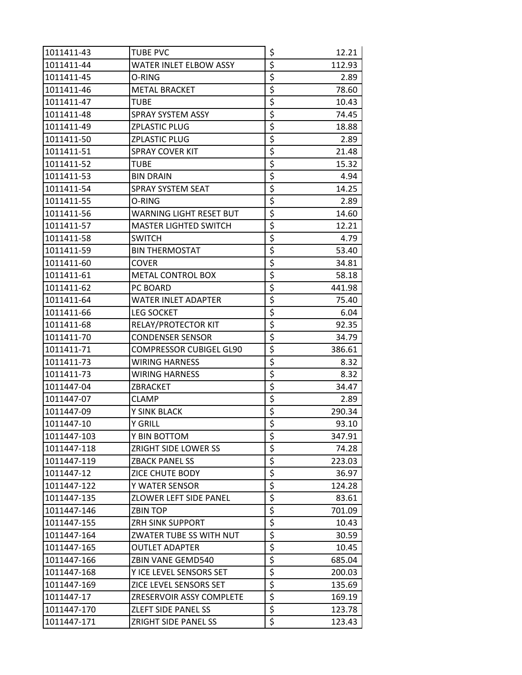| 1011411-43  | <b>TUBE PVC</b>                | \$                              | 12.21  |
|-------------|--------------------------------|---------------------------------|--------|
| 1011411-44  | WATER INLET ELBOW ASSY         | $\overline{\boldsymbol{\zeta}}$ | 112.93 |
| 1011411-45  | O-RING                         | \$                              | 2.89   |
| 1011411-46  | <b>METAL BRACKET</b>           | \$                              | 78.60  |
| 1011411-47  | TUBE                           | \$                              | 10.43  |
| 1011411-48  | SPRAY SYSTEM ASSY              | \$                              | 74.45  |
| 1011411-49  | <b>ZPLASTIC PLUG</b>           | \$                              | 18.88  |
| 1011411-50  | <b>ZPLASTIC PLUG</b>           | \$                              | 2.89   |
| 1011411-51  | <b>SPRAY COVER KIT</b>         | \$                              | 21.48  |
| 1011411-52  | TUBE                           | \$                              | 15.32  |
| 1011411-53  | <b>BIN DRAIN</b>               | \$                              | 4.94   |
| 1011411-54  | SPRAY SYSTEM SEAT              | \$                              | 14.25  |
| 1011411-55  | O-RING                         | \$                              | 2.89   |
| 1011411-56  | <b>WARNING LIGHT RESET BUT</b> | \$                              | 14.60  |
| 1011411-57  | <b>MASTER LIGHTED SWITCH</b>   | \$                              | 12.21  |
| 1011411-58  | <b>SWITCH</b>                  | \$                              | 4.79   |
| 1011411-59  | <b>BIN THERMOSTAT</b>          | \$                              | 53.40  |
| 1011411-60  | <b>COVER</b>                   | \$                              | 34.81  |
| 1011411-61  | <b>METAL CONTROL BOX</b>       | $\overline{\boldsymbol{\zeta}}$ | 58.18  |
| 1011411-62  | PC BOARD                       | \$                              | 441.98 |
| 1011411-64  | <b>WATER INLET ADAPTER</b>     | \$                              | 75.40  |
| 1011411-66  | <b>LEG SOCKET</b>              | $\overline{\xi}$                | 6.04   |
| 1011411-68  | RELAY/PROTECTOR KIT            | \$                              | 92.35  |
| 1011411-70  | <b>CONDENSER SENSOR</b>        | \$                              | 34.79  |
| 1011411-71  | <b>COMPRESSOR CUBIGEL GL90</b> | \$                              | 386.61 |
| 1011411-73  | <b>WIRING HARNESS</b>          | \$                              | 8.32   |
| 1011411-73  | <b>WIRING HARNESS</b>          | \$                              | 8.32   |
| 1011447-04  | ZBRACKET                       | \$                              | 34.47  |
| 1011447-07  | CLAMP                          | \$                              | 2.89   |
| 1011447-09  | Y SINK BLACK                   | \$                              | 290.34 |
| 1011447-10  | <b>Y GRILL</b>                 | $\overline{\boldsymbol{\zeta}}$ | 93.10  |
| 1011447-103 | Y BIN BOTTOM                   | \$                              | 347.91 |
| 1011447-118 | ZRIGHT SIDE LOWER SS           | \$                              | 74.28  |
| 1011447-119 | <b>ZBACK PANEL SS</b>          | \$                              | 223.03 |
| 1011447-12  | ZICE CHUTE BODY                | $\overline{\xi}$                | 36.97  |
| 1011447-122 | Y WATER SENSOR                 | \$                              | 124.28 |
| 1011447-135 | ZLOWER LEFT SIDE PANEL         | \$                              | 83.61  |
| 1011447-146 | ZBIN TOP                       | \$                              | 701.09 |
| 1011447-155 | <b>ZRH SINK SUPPORT</b>        | $\overline{\xi}$                | 10.43  |
| 1011447-164 | ZWATER TUBE SS WITH NUT        | \$                              | 30.59  |
| 1011447-165 | <b>OUTLET ADAPTER</b>          | \$                              | 10.45  |
| 1011447-166 | ZBIN VANE GEMD540              | \$                              | 685.04 |
| 1011447-168 | Y ICE LEVEL SENSORS SET        | $\overline{\boldsymbol{\zeta}}$ | 200.03 |
| 1011447-169 | ZICE LEVEL SENSORS SET         | \$                              | 135.69 |
| 1011447-17  | ZRESERVOIR ASSY COMPLETE       | $\overline{\xi}$                | 169.19 |
| 1011447-170 | ZLEFT SIDE PANEL SS            | \$                              | 123.78 |
| 1011447-171 | ZRIGHT SIDE PANEL SS           | \$                              | 123.43 |
|             |                                |                                 |        |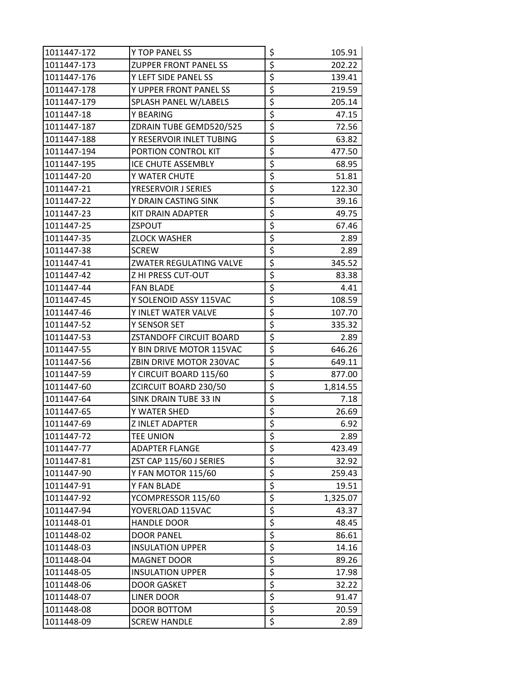| 1011447-172 | Y TOP PANEL SS               | \$                                  | 105.91   |
|-------------|------------------------------|-------------------------------------|----------|
| 1011447-173 | <b>ZUPPER FRONT PANEL SS</b> | \$                                  | 202.22   |
| 1011447-176 | Y LEFT SIDE PANEL SS         | \$                                  | 139.41   |
| 1011447-178 | Y UPPER FRONT PANEL SS       | \$                                  | 219.59   |
| 1011447-179 | SPLASH PANEL W/LABELS        | \$                                  | 205.14   |
| 1011447-18  | Y BEARING                    | \$                                  | 47.15    |
| 1011447-187 | ZDRAIN TUBE GEMD520/525      | \$                                  | 72.56    |
| 1011447-188 | Y RESERVOIR INLET TUBING     | \$                                  | 63.82    |
| 1011447-194 | PORTION CONTROL KIT          | \$                                  | 477.50   |
| 1011447-195 | ICE CHUTE ASSEMBLY           | \$                                  | 68.95    |
| 1011447-20  | Y WATER CHUTE                | \$                                  | 51.81    |
| 1011447-21  | YRESERVOIR J SERIES          | \$                                  | 122.30   |
| 1011447-22  | Y DRAIN CASTING SINK         | \$                                  | 39.16    |
| 1011447-23  | KIT DRAIN ADAPTER            | \$                                  | 49.75    |
| 1011447-25  | ZSPOUT                       | \$                                  | 67.46    |
| 1011447-35  | <b>ZLOCK WASHER</b>          | \$                                  | 2.89     |
| 1011447-38  | <b>SCREW</b>                 | \$                                  | 2.89     |
| 1011447-41  | ZWATER REGULATING VALVE      | \$                                  | 345.52   |
| 1011447-42  | Z HI PRESS CUT-OUT           | \$                                  | 83.38    |
| 1011447-44  | <b>FAN BLADE</b>             | \$                                  | 4.41     |
| 1011447-45  | Y SOLENOID ASSY 115VAC       | \$                                  | 108.59   |
| 1011447-46  | Y INLET WATER VALVE          | \$                                  | 107.70   |
| 1011447-52  | Y SENSOR SET                 | \$                                  | 335.32   |
| 1011447-53  | ZSTANDOFF CIRCUIT BOARD      | \$                                  | 2.89     |
| 1011447-55  | Y BIN DRIVE MOTOR 115VAC     | \$                                  | 646.26   |
| 1011447-56  | ZBIN DRIVE MOTOR 230VAC      | \$                                  | 649.11   |
| 1011447-59  | Y CIRCUIT BOARD 115/60       | \$                                  | 877.00   |
| 1011447-60  | ZCIRCUIT BOARD 230/50        | \$                                  | 1,814.55 |
| 1011447-64  | SINK DRAIN TUBE 33 IN        | \$                                  | 7.18     |
| 1011447-65  | Y WATER SHED                 | \$                                  | 26.69    |
| 1011447-69  | <b>ZINLET ADAPTER</b>        | $\overline{\boldsymbol{\varsigma}}$ | 6.92     |
| 1011447-72  | <b>TEE UNION</b>             | \$                                  | 2.89     |
| 1011447-77  | <b>ADAPTER FLANGE</b>        | \$                                  | 423.49   |
| 1011447-81  | ZST CAP 115/60 J SERIES      | \$                                  | 32.92    |
| 1011447-90  | Y FAN MOTOR 115/60           | \$                                  | 259.43   |
| 1011447-91  | Y FAN BLADE                  | $\overline{\boldsymbol{\zeta}}$     | 19.51    |
| 1011447-92  | YCOMPRESSOR 115/60           | \$                                  | 1,325.07 |
| 1011447-94  | YOVERLOAD 115VAC             | \$                                  | 43.37    |
| 1011448-01  | <b>HANDLE DOOR</b>           | \$                                  | 48.45    |
| 1011448-02  | <b>DOOR PANEL</b>            | \$                                  | 86.61    |
| 1011448-03  | <b>INSULATION UPPER</b>      | \$                                  | 14.16    |
| 1011448-04  | <b>MAGNET DOOR</b>           | \$                                  | 89.26    |
| 1011448-05  | <b>INSULATION UPPER</b>      | \$                                  | 17.98    |
| 1011448-06  | <b>DOOR GASKET</b>           | $\overline{\xi}$                    | 32.22    |
| 1011448-07  | <b>LINER DOOR</b>            | $\overline{\xi}$                    | 91.47    |
| 1011448-08  | DOOR BOTTOM                  | $\overline{\boldsymbol{\zeta}}$     | 20.59    |
| 1011448-09  | <b>SCREW HANDLE</b>          | \$                                  | 2.89     |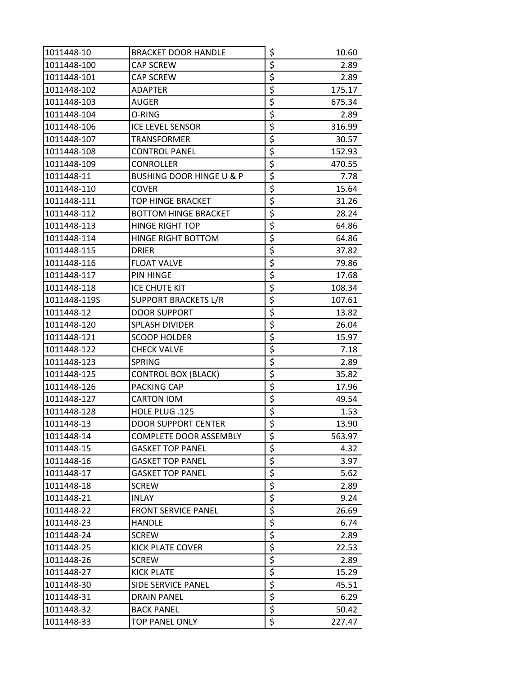| 1011448-10   | <b>BRACKET DOOR HANDLE</b>          | \$                              | 10.60  |
|--------------|-------------------------------------|---------------------------------|--------|
| 1011448-100  | CAP SCREW                           | \$                              | 2.89   |
| 1011448-101  | <b>CAP SCREW</b>                    | \$                              | 2.89   |
| 1011448-102  | <b>ADAPTER</b>                      | \$                              | 175.17 |
| 1011448-103  | AUGER                               | \$                              | 675.34 |
| 1011448-104  | O-RING                              | \$                              | 2.89   |
| 1011448-106  | <b>ICE LEVEL SENSOR</b>             | \$                              | 316.99 |
| 1011448-107  | <b>TRANSFORMER</b>                  | \$                              | 30.57  |
| 1011448-108  | <b>CONTROL PANEL</b>                | \$                              | 152.93 |
| 1011448-109  | <b>CONROLLER</b>                    | \$                              | 470.55 |
| 1011448-11   | <b>BUSHING DOOR HINGE U &amp; P</b> | \$                              | 7.78   |
| 1011448-110  | <b>COVER</b>                        | \$                              | 15.64  |
| 1011448-111  | TOP HINGE BRACKET                   | \$                              | 31.26  |
| 1011448-112  | <b>BOTTOM HINGE BRACKET</b>         | \$                              | 28.24  |
| 1011448-113  | <b>HINGE RIGHT TOP</b>              | \$                              | 64.86  |
| 1011448-114  | <b>HINGE RIGHT BOTTOM</b>           | \$                              | 64.86  |
| 1011448-115  | <b>DRIER</b>                        | \$                              | 37.82  |
| 1011448-116  | <b>FLOAT VALVE</b>                  | \$                              | 79.86  |
| 1011448-117  | <b>PIN HINGE</b>                    | \$                              | 17.68  |
| 1011448-118  | ICE CHUTE KIT                       | \$                              | 108.34 |
| 1011448-119S | <b>SUPPORT BRACKETS L/R</b>         | \$                              | 107.61 |
| 1011448-12   | <b>DOOR SUPPORT</b>                 | \$                              | 13.82  |
| 1011448-120  | <b>SPLASH DIVIDER</b>               | \$                              | 26.04  |
| 1011448-121  | <b>SCOOP HOLDER</b>                 | \$                              | 15.97  |
| 1011448-122  | <b>CHECK VALVE</b>                  | \$                              | 7.18   |
| 1011448-123  | <b>SPRING</b>                       | \$                              | 2.89   |
| 1011448-125  | <b>CONTROL BOX (BLACK)</b>          | \$                              | 35.82  |
| 1011448-126  | PACKING CAP                         | $\overline{\boldsymbol{\zeta}}$ | 17.96  |
| 1011448-127  | <b>CARTON IOM</b>                   | \$                              | 49.54  |
| 1011448-128  | HOLE PLUG .125                      | \$                              | 1.53   |
| 1011448-13   | <b>DOOR SUPPORT CENTER</b>          | $\overline{\xi}$                | 13.90  |
| 1011448-14   | COMPLETE DOOR ASSEMBLY              | \$                              | 563.97 |
| 1011448-15   | <b>GASKET TOP PANEL</b>             | \$                              | 4.32   |
| 1011448-16   | <b>GASKET TOP PANEL</b>             | $\overline{\xi}$                | 3.97   |
| 1011448-17   | <b>GASKET TOP PANEL</b>             | $\overline{\boldsymbol{\zeta}}$ | 5.62   |
| 1011448-18   | <b>SCREW</b>                        | \$                              | 2.89   |
| 1011448-21   | INLAY                               | \$                              | 9.24   |
| 1011448-22   | <b>FRONT SERVICE PANEL</b>          | $\overline{\xi}$                | 26.69  |
| 1011448-23   | <b>HANDLE</b>                       | \$                              | 6.74   |
| 1011448-24   | <b>SCREW</b>                        | \$                              | 2.89   |
| 1011448-25   | KICK PLATE COVER                    | \$                              | 22.53  |
| 1011448-26   | <b>SCREW</b>                        | \$                              | 2.89   |
| 1011448-27   | <b>KICK PLATE</b>                   | \$                              | 15.29  |
| 1011448-30   | SIDE SERVICE PANEL                  | \$                              | 45.51  |
| 1011448-31   | <b>DRAIN PANEL</b>                  | \$                              | 6.29   |
| 1011448-32   | <b>BACK PANEL</b>                   | \$                              | 50.42  |
| 1011448-33   | <b>TOP PANEL ONLY</b>               | \$                              | 227.47 |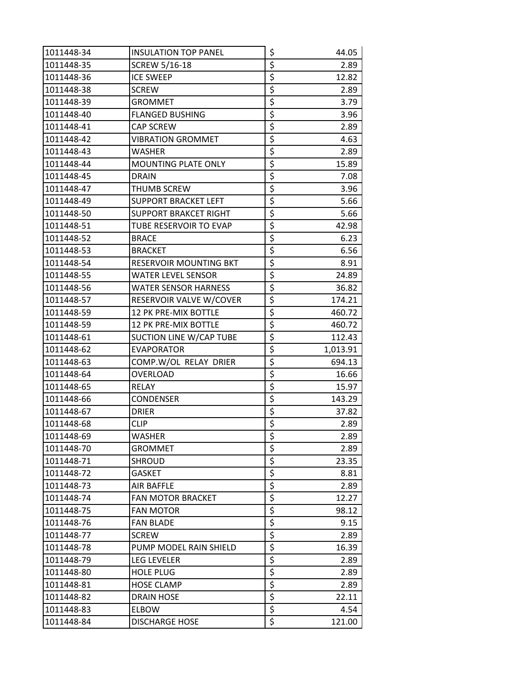| 1011448-34 | <b>INSULATION TOP PANEL</b>   | \$                              | 44.05    |
|------------|-------------------------------|---------------------------------|----------|
| 1011448-35 | <b>SCREW 5/16-18</b>          | \$                              | 2.89     |
| 1011448-36 | <b>ICE SWEEP</b>              | \$                              | 12.82    |
| 1011448-38 | <b>SCREW</b>                  | \$                              | 2.89     |
| 1011448-39 | <b>GROMMET</b>                | \$                              | 3.79     |
| 1011448-40 | <b>FLANGED BUSHING</b>        | \$                              | 3.96     |
| 1011448-41 | CAP SCREW                     | $\overline{\boldsymbol{\zeta}}$ | 2.89     |
| 1011448-42 | <b>VIBRATION GROMMET</b>      | $\overline{\boldsymbol{\zeta}}$ | 4.63     |
| 1011448-43 | <b>WASHER</b>                 | $\overline{\boldsymbol{\zeta}}$ | 2.89     |
| 1011448-44 | <b>MOUNTING PLATE ONLY</b>    | \$                              | 15.89    |
| 1011448-45 | <b>DRAIN</b>                  | \$                              | 7.08     |
| 1011448-47 | THUMB SCREW                   | \$                              | 3.96     |
| 1011448-49 | SUPPORT BRACKET LEFT          | \$                              | 5.66     |
| 1011448-50 | <b>SUPPORT BRAKCET RIGHT</b>  | $\overline{\boldsymbol{\zeta}}$ | 5.66     |
| 1011448-51 | TUBE RESERVOIR TO EVAP        | $\overline{\boldsymbol{\zeta}}$ | 42.98    |
| 1011448-52 | <b>BRACE</b>                  | \$                              | 6.23     |
| 1011448-53 | <b>BRACKET</b>                | \$                              | 6.56     |
| 1011448-54 | <b>RESERVOIR MOUNTING BKT</b> | \$                              | 8.91     |
| 1011448-55 | <b>WATER LEVEL SENSOR</b>     | \$                              | 24.89    |
| 1011448-56 | <b>WATER SENSOR HARNESS</b>   | $\overline{\boldsymbol{\zeta}}$ | 36.82    |
| 1011448-57 | RESERVOIR VALVE W/COVER       | \$                              | 174.21   |
| 1011448-59 | 12 PK PRE-MIX BOTTLE          | \$                              | 460.72   |
| 1011448-59 | 12 PK PRE-MIX BOTTLE          | \$                              | 460.72   |
| 1011448-61 | SUCTION LINE W/CAP TUBE       | $\overline{\boldsymbol{\zeta}}$ | 112.43   |
| 1011448-62 | <b>EVAPORATOR</b>             | \$                              | 1,013.91 |
| 1011448-63 | COMP.W/OL RELAY DRIER         | \$                              | 694.13   |
| 1011448-64 | <b>OVERLOAD</b>               | $\overline{\boldsymbol{\zeta}}$ | 16.66    |
| 1011448-65 | RELAY                         | \$                              | 15.97    |
| 1011448-66 | <b>CONDENSER</b>              | \$                              | 143.29   |
| 1011448-67 | <b>DRIER</b>                  | \$                              | 37.82    |
| 1011448-68 | <b>CLIP</b>                   | $\overline{\xi}$                | 2.89     |
| 1011448-69 | <b>WASHER</b>                 | \$                              | 2.89     |
| 1011448-70 | <b>GROMMET</b>                | $\overline{\boldsymbol{\zeta}}$ | 2.89     |
| 1011448-71 | SHROUD                        | $\overline{\xi}$                | 23.35    |
| 1011448-72 | <b>GASKET</b>                 | \$                              | 8.81     |
| 1011448-73 | <b>AIR BAFFLE</b>             | \$                              | 2.89     |
| 1011448-74 | <b>FAN MOTOR BRACKET</b>      | \$                              | 12.27    |
| 1011448-75 | <b>FAN MOTOR</b>              | \$                              | 98.12    |
| 1011448-76 | <b>FAN BLADE</b>              | \$                              | 9.15     |
| 1011448-77 | <b>SCREW</b>                  | \$                              | 2.89     |
| 1011448-78 | PUMP MODEL RAIN SHIELD        | \$                              | 16.39    |
| 1011448-79 | <b>LEG LEVELER</b>            | \$                              | 2.89     |
| 1011448-80 | <b>HOLE PLUG</b>              | \$                              | 2.89     |
| 1011448-81 | <b>HOSE CLAMP</b>             | $\overline{\xi}$                | 2.89     |
| 1011448-82 | <b>DRAIN HOSE</b>             | \$                              | 22.11    |
| 1011448-83 | <b>ELBOW</b>                  | \$                              | 4.54     |
| 1011448-84 | <b>DISCHARGE HOSE</b>         | \$                              | 121.00   |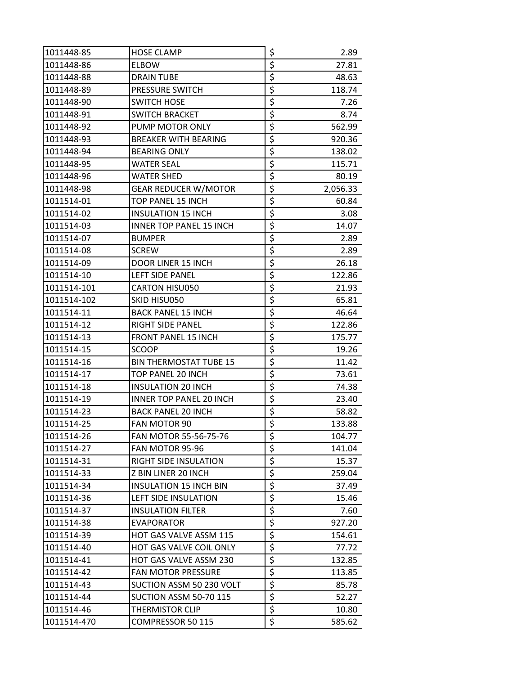| 1011448-85  | <b>HOSE CLAMP</b>              | \$                              | 2.89     |
|-------------|--------------------------------|---------------------------------|----------|
| 1011448-86  | <b>ELBOW</b>                   | \$                              | 27.81    |
| 1011448-88  | <b>DRAIN TUBE</b>              | \$                              | 48.63    |
| 1011448-89  | PRESSURE SWITCH                | \$                              | 118.74   |
| 1011448-90  | <b>SWITCH HOSE</b>             | \$                              | 7.26     |
| 1011448-91  | <b>SWITCH BRACKET</b>          | \$                              | 8.74     |
| 1011448-92  | PUMP MOTOR ONLY                | \$                              | 562.99   |
| 1011448-93  | <b>BREAKER WITH BEARING</b>    | \$                              | 920.36   |
| 1011448-94  | <b>BEARING ONLY</b>            | \$                              | 138.02   |
| 1011448-95  | <b>WATER SEAL</b>              | \$                              | 115.71   |
| 1011448-96  | <b>WATER SHED</b>              | \$                              | 80.19    |
| 1011448-98  | <b>GEAR REDUCER W/MOTOR</b>    | \$                              | 2,056.33 |
| 1011514-01  | TOP PANEL 15 INCH              | \$                              | 60.84    |
| 1011514-02  | <b>INSULATION 15 INCH</b>      | \$                              | 3.08     |
| 1011514-03  | <b>INNER TOP PANEL 15 INCH</b> | \$                              | 14.07    |
| 1011514-07  | <b>BUMPER</b>                  | \$                              | 2.89     |
| 1011514-08  | <b>SCREW</b>                   | \$                              | 2.89     |
| 1011514-09  | DOOR LINER 15 INCH             | \$                              | 26.18    |
| 1011514-10  | LEFT SIDE PANEL                | \$                              | 122.86   |
| 1011514-101 | <b>CARTON HISU050</b>          | $\overline{\boldsymbol{\zeta}}$ | 21.93    |
| 1011514-102 | SKID HISU050                   | \$                              | 65.81    |
| 1011514-11  | <b>BACK PANEL 15 INCH</b>      | \$                              | 46.64    |
| 1011514-12  | <b>RIGHT SIDE PANEL</b>        | \$                              | 122.86   |
| 1011514-13  | <b>FRONT PANEL 15 INCH</b>     | $\overline{\boldsymbol{\zeta}}$ | 175.77   |
| 1011514-15  | SCOOP                          | \$                              | 19.26    |
| 1011514-16  | <b>BIN THERMOSTAT TUBE 15</b>  | \$                              | 11.42    |
| 1011514-17  | TOP PANEL 20 INCH              | \$                              | 73.61    |
| 1011514-18  | <b>INSULATION 20 INCH</b>      | \$                              | 74.38    |
| 1011514-19  | <b>INNER TOP PANEL 20 INCH</b> | \$                              | 23.40    |
| 1011514-23  | <b>BACK PANEL 20 INCH</b>      | \$                              | 58.82    |
| 1011514-25  | <b>FAN MOTOR 90</b>            | $\overline{\xi}$                | 133.88   |
| 1011514-26  | FAN MOTOR 55-56-75-76          | \$                              | 104.77   |
| 1011514-27  | FAN MOTOR 95-96                | \$                              | 141.04   |
| 1011514-31  | <b>RIGHT SIDE INSULATION</b>   | \$                              | 15.37    |
| 1011514-33  | Z BIN LINER 20 INCH            | \$                              | 259.04   |
| 1011514-34  | <b>INSULATION 15 INCH BIN</b>  | \$                              | 37.49    |
| 1011514-36  | LEFT SIDE INSULATION           | \$                              | 15.46    |
| 1011514-37  | <b>INSULATION FILTER</b>       | \$                              | 7.60     |
| 1011514-38  | <b>EVAPORATOR</b>              | \$                              | 927.20   |
| 1011514-39  | HOT GAS VALVE ASSM 115         | \$                              | 154.61   |
| 1011514-40  | HOT GAS VALVE COIL ONLY        | \$                              | 77.72    |
| 1011514-41  | HOT GAS VALVE ASSM 230         | \$                              | 132.85   |
| 1011514-42  | <b>FAN MOTOR PRESSURE</b>      | \$                              | 113.85   |
| 1011514-43  | SUCTION ASSM 50 230 VOLT       | \$                              | 85.78    |
| 1011514-44  | SUCTION ASSM 50-70 115         | \$                              | 52.27    |
| 1011514-46  | <b>THERMISTOR CLIP</b>         | \$                              | 10.80    |
| 1011514-470 | COMPRESSOR 50 115              | \$                              | 585.62   |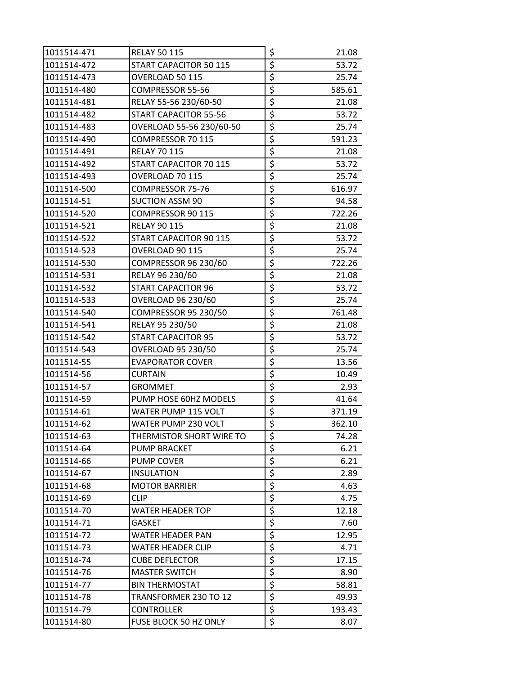| 1011514-471 | <b>RELAY 50 115</b>       | \$                              | 21.08  |
|-------------|---------------------------|---------------------------------|--------|
| 1011514-472 | START CAPACITOR 50 115    | \$                              | 53.72  |
| 1011514-473 | OVERLOAD 50 115           | \$                              | 25.74  |
| 1011514-480 | COMPRESSOR 55-56          | \$                              | 585.61 |
| 1011514-481 | RELAY 55-56 230/60-50     | \$                              | 21.08  |
| 1011514-482 | START CAPACITOR 55-56     | \$                              | 53.72  |
| 1011514-483 | OVERLOAD 55-56 230/60-50  | \$                              | 25.74  |
| 1011514-490 | COMPRESSOR 70 115         | \$                              | 591.23 |
| 1011514-491 | <b>RELAY 70 115</b>       | \$                              | 21.08  |
| 1011514-492 | START CAPACITOR 70 115    | \$                              | 53.72  |
| 1011514-493 | OVERLOAD 70 115           | \$                              | 25.74  |
| 1011514-500 | COMPRESSOR 75-76          | \$                              | 616.97 |
| 1011514-51  | <b>SUCTION ASSM 90</b>    | \$                              | 94.58  |
| 1011514-520 | COMPRESSOR 90 115         | \$                              | 722.26 |
| 1011514-521 | <b>RELAY 90 115</b>       | \$                              | 21.08  |
| 1011514-522 | START CAPACITOR 90 115    | \$                              | 53.72  |
| 1011514-523 | OVERLOAD 90 115           | $\overline{\boldsymbol{\zeta}}$ | 25.74  |
| 1011514-530 | COMPRESSOR 96 230/60      | \$                              | 722.26 |
| 1011514-531 | RELAY 96 230/60           | \$                              | 21.08  |
| 1011514-532 | START CAPACITOR 96        | \$                              | 53.72  |
| 1011514-533 | OVERLOAD 96 230/60        | \$                              | 25.74  |
| 1011514-540 | COMPRESSOR 95 230/50      | \$                              | 761.48 |
| 1011514-541 | RELAY 95 230/50           | \$                              | 21.08  |
| 1011514-542 | START CAPACITOR 95        | \$                              | 53.72  |
| 1011514-543 | <b>OVERLOAD 95 230/50</b> | \$                              | 25.74  |
| 1011514-55  | <b>EVAPORATOR COVER</b>   | \$                              | 13.56  |
| 1011514-56  | <b>CURTAIN</b>            | \$                              | 10.49  |
| 1011514-57  | <b>GROMMET</b>            | \$                              | 2.93   |
| 1011514-59  | PUMP HOSE 60HZ MODELS     | \$                              | 41.64  |
| 1011514-61  | WATER PUMP 115 VOLT       | \$                              | 371.19 |
| 1011514-62  | WATER PUMP 230 VOLT       | $\overline{\boldsymbol{\zeta}}$ | 362.10 |
| 1011514-63  | THERMISTOR SHORT WIRE TO  | \$                              | 74.28  |
| 1011514-64  | <b>PUMP BRACKET</b>       | \$                              | 6.21   |
| 1011514-66  | PUMP COVER                | \$                              | 6.21   |
| 1011514-67  | <b>INSULATION</b>         | \$                              | 2.89   |
| 1011514-68  | <b>MOTOR BARRIER</b>      | \$                              | 4.63   |
| 1011514-69  | <b>CLIP</b>               | \$                              | 4.75   |
| 1011514-70  | WATER HEADER TOP          | \$                              | 12.18  |
| 1011514-71  | <b>GASKET</b>             | \$                              | 7.60   |
| 1011514-72  | WATER HEADER PAN          | \$                              | 12.95  |
| 1011514-73  | WATER HEADER CLIP         | \$                              | 4.71   |
| 1011514-74  | <b>CUBE DEFLECTOR</b>     | \$                              | 17.15  |
| 1011514-76  | <b>MASTER SWITCH</b>      | \$                              | 8.90   |
| 1011514-77  | <b>BIN THERMOSTAT</b>     | $\overline{\mathcal{L}}$        | 58.81  |
| 1011514-78  | TRANSFORMER 230 TO 12     | \$                              | 49.93  |
| 1011514-79  | CONTROLLER                | \$                              | 193.43 |
| 1011514-80  | FUSE BLOCK 50 HZ ONLY     | \$                              | 8.07   |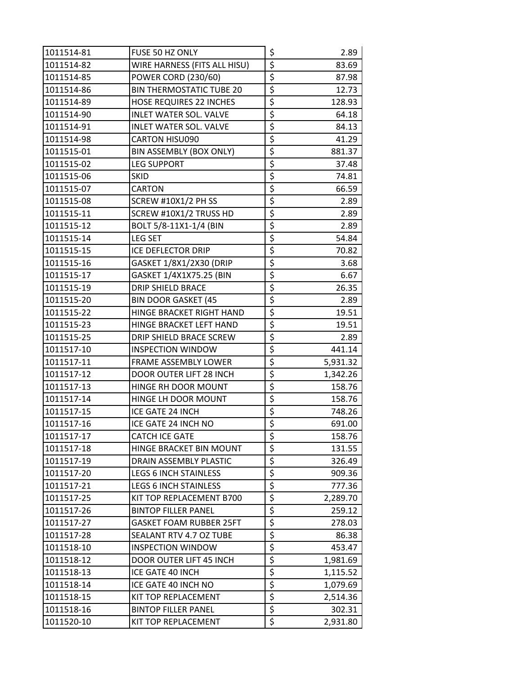| 1011514-81 | FUSE 50 HZ ONLY                 | \$                              | 2.89     |
|------------|---------------------------------|---------------------------------|----------|
| 1011514-82 | WIRE HARNESS (FITS ALL HISU)    | \$                              | 83.69    |
| 1011514-85 | <b>POWER CORD (230/60)</b>      | \$                              | 87.98    |
| 1011514-86 | <b>BIN THERMOSTATIC TUBE 20</b> | \$                              | 12.73    |
| 1011514-89 | <b>HOSE REQUIRES 22 INCHES</b>  | \$                              | 128.93   |
| 1011514-90 | <b>INLET WATER SOL. VALVE</b>   | \$                              | 64.18    |
| 1011514-91 | <b>INLET WATER SOL. VALVE</b>   | \$                              | 84.13    |
| 1011514-98 | <b>CARTON HISU090</b>           | \$                              | 41.29    |
| 1011515-01 | <b>BIN ASSEMBLY (BOX ONLY)</b>  | \$                              | 881.37   |
| 1011515-02 | <b>LEG SUPPORT</b>              | \$                              | 37.48    |
| 1011515-06 | <b>SKID</b>                     | \$                              | 74.81    |
| 1011515-07 | CARTON                          | \$                              | 66.59    |
| 1011515-08 | <b>SCREW #10X1/2 PH SS</b>      | \$                              | 2.89     |
| 1011515-11 | SCREW #10X1/2 TRUSS HD          | \$                              | 2.89     |
| 1011515-12 | BOLT 5/8-11X1-1/4 (BIN          | \$                              | 2.89     |
| 1011515-14 | <b>LEG SET</b>                  | \$                              | 54.84    |
| 1011515-15 | ICE DEFLECTOR DRIP              | \$                              | 70.82    |
| 1011515-16 | GASKET 1/8X1/2X30 (DRIP         | \$                              | 3.68     |
| 1011515-17 | GASKET 1/4X1X75.25 (BIN         | \$                              | 6.67     |
| 1011515-19 | DRIP SHIELD BRACE               | \$                              | 26.35    |
| 1011515-20 | <b>BIN DOOR GASKET (45</b>      | \$                              | 2.89     |
| 1011515-22 | HINGE BRACKET RIGHT HAND        | \$                              | 19.51    |
| 1011515-23 | HINGE BRACKET LEFT HAND         | \$                              | 19.51    |
| 1011515-25 | DRIP SHIELD BRACE SCREW         | $\overline{\boldsymbol{\zeta}}$ | 2.89     |
| 1011517-10 | <b>INSPECTION WINDOW</b>        | \$                              | 441.14   |
| 1011517-11 | FRAME ASSEMBLY LOWER            | \$                              | 5,931.32 |
| 1011517-12 | DOOR OUTER LIFT 28 INCH         | \$                              | 1,342.26 |
| 1011517-13 | HINGE RH DOOR MOUNT             | \$                              | 158.76   |
| 1011517-14 | HINGE LH DOOR MOUNT             | \$                              | 158.76   |
| 1011517-15 | ICE GATE 24 INCH                | \$                              | 748.26   |
| 1011517-16 | ICE GATE 24 INCH NO             | $\overline{\xi}$                | 691.00   |
| 1011517-17 | <b>CATCH ICE GATE</b>           | \$                              | 158.76   |
| 1011517-18 | HINGE BRACKET BIN MOUNT         | \$                              | 131.55   |
| 1011517-19 | DRAIN ASSEMBLY PLASTIC          | \$                              | 326.49   |
| 1011517-20 | <b>LEGS 6 INCH STAINLESS</b>    | \$                              | 909.36   |
| 1011517-21 | <b>LEGS 6 INCH STAINLESS</b>    | $\overline{\boldsymbol{\zeta}}$ | 777.36   |
| 1011517-25 | KIT TOP REPLACEMENT B700        | \$                              | 2,289.70 |
| 1011517-26 | <b>BINTOP FILLER PANEL</b>      | \$                              | 259.12   |
| 1011517-27 | <b>GASKET FOAM RUBBER 25FT</b>  | \$                              | 278.03   |
| 1011517-28 | SEALANT RTV 4.7 OZ TUBE         | \$                              | 86.38    |
| 1011518-10 | <b>INSPECTION WINDOW</b>        | \$                              | 453.47   |
| 1011518-12 | DOOR OUTER LIFT 45 INCH         | \$                              | 1,981.69 |
| 1011518-13 | ICE GATE 40 INCH                | $\overline{\boldsymbol{\zeta}}$ | 1,115.52 |
| 1011518-14 | ICE GATE 40 INCH NO             | $\overline{\mathcal{L}}$        | 1,079.69 |
| 1011518-15 | KIT TOP REPLACEMENT             | \$                              | 2,514.36 |
| 1011518-16 | <b>BINTOP FILLER PANEL</b>      | \$                              | 302.31   |
| 1011520-10 | KIT TOP REPLACEMENT             | \$                              | 2,931.80 |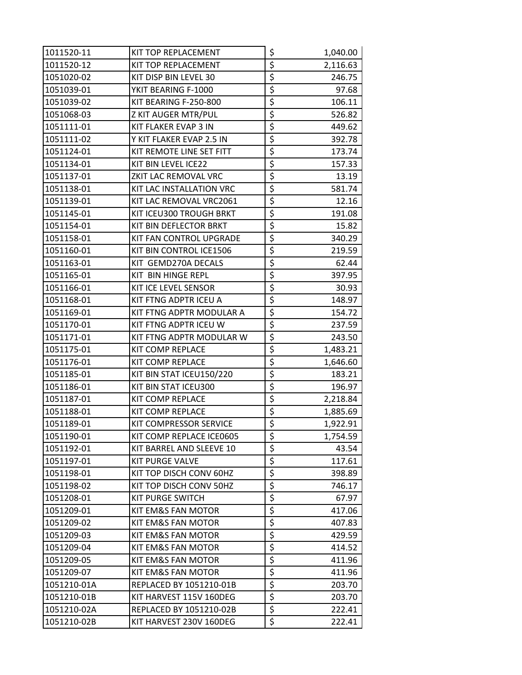| 1011520-11  | KIT TOP REPLACEMENT           | \$                              | 1,040.00 |
|-------------|-------------------------------|---------------------------------|----------|
| 1011520-12  | KIT TOP REPLACEMENT           | \$                              | 2,116.63 |
| 1051020-02  | KIT DISP BIN LEVEL 30         | \$                              | 246.75   |
| 1051039-01  | YKIT BEARING F-1000           | \$                              | 97.68    |
| 1051039-02  | KIT BEARING F-250-800         | \$                              | 106.11   |
| 1051068-03  | Z KIT AUGER MTR/PUL           | \$                              | 526.82   |
| 1051111-01  | KIT FLAKER EVAP 3 IN          | \$                              | 449.62   |
| 1051111-02  | Y KIT FLAKER EVAP 2.5 IN      | \$                              | 392.78   |
| 1051124-01  | KIT REMOTE LINE SET FITT      | \$                              | 173.74   |
| 1051134-01  | KIT BIN LEVEL ICE22           | $\overline{\xi}$                | 157.33   |
| 1051137-01  | ZKIT LAC REMOVAL VRC          | \$                              | 13.19    |
| 1051138-01  | KIT LAC INSTALLATION VRC      | \$                              | 581.74   |
| 1051139-01  | KIT LAC REMOVAL VRC2061       | \$                              | 12.16    |
| 1051145-01  | KIT ICEU300 TROUGH BRKT       | \$                              | 191.08   |
| 1051154-01  | KIT BIN DEFLECTOR BRKT        | \$                              | 15.82    |
| 1051158-01  | KIT FAN CONTROL UPGRADE       | \$                              | 340.29   |
| 1051160-01  | KIT BIN CONTROL ICE1506       | \$                              | 219.59   |
| 1051163-01  | KIT GEMD270A DECALS           | \$                              | 62.44    |
| 1051165-01  | KIT BIN HINGE REPL            | \$                              | 397.95   |
| 1051166-01  | KIT ICE LEVEL SENSOR          | \$                              | 30.93    |
| 1051168-01  | KIT FTNG ADPTR ICEU A         | \$                              | 148.97   |
| 1051169-01  | KIT FTNG ADPTR MODULAR A      | \$                              | 154.72   |
| 1051170-01  | KIT FTNG ADPTR ICEU W         | \$                              | 237.59   |
| 1051171-01  | KIT FTNG ADPTR MODULAR W      | \$                              | 243.50   |
| 1051175-01  | KIT COMP REPLACE              | \$                              | 1,483.21 |
| 1051176-01  | KIT COMP REPLACE              | \$                              | 1,646.60 |
| 1051185-01  | KIT BIN STAT ICEU150/220      | \$                              | 183.21   |
| 1051186-01  | KIT BIN STAT ICEU300          | \$                              | 196.97   |
| 1051187-01  | KIT COMP REPLACE              | \$                              | 2,218.84 |
| 1051188-01  | KIT COMP REPLACE              | \$                              | 1,885.69 |
| 1051189-01  | <b>KIT COMPRESSOR SERVICE</b> | $\overline{\mathsf{S}}$         | 1,922.91 |
| 1051190-01  | KIT COMP REPLACE ICE0605      | \$                              | 1,754.59 |
| 1051192-01  | KIT BARREL AND SLEEVE 10      | \$                              | 43.54    |
| 1051197-01  | <b>KIT PURGE VALVE</b>        | \$                              | 117.61   |
| 1051198-01  | KIT TOP DISCH CONV 60HZ       | \$                              | 398.89   |
| 1051198-02  | KIT TOP DISCH CONV 50HZ       | $\overline{\boldsymbol{\zeta}}$ | 746.17   |
| 1051208-01  | <b>KIT PURGE SWITCH</b>       | \$                              | 67.97    |
| 1051209-01  | KIT EM&S FAN MOTOR            | $\overline{\xi}$                | 417.06   |
| 1051209-02  | KIT EM&S FAN MOTOR            | \$                              | 407.83   |
| 1051209-03  | KIT EM&S FAN MOTOR            | \$                              | 429.59   |
| 1051209-04  | KIT EM&S FAN MOTOR            | \$                              | 414.52   |
| 1051209-05  | KIT EM&S FAN MOTOR            | \$                              | 411.96   |
| 1051209-07  | KIT EM&S FAN MOTOR            | $\overline{\boldsymbol{\zeta}}$ | 411.96   |
| 1051210-01A | REPLACED BY 1051210-01B       | \$                              | 203.70   |
| 1051210-01B | KIT HARVEST 115V 160DEG       | $\overline{\boldsymbol{\zeta}}$ | 203.70   |
| 1051210-02A | REPLACED BY 1051210-02B       | \$                              | 222.41   |
| 1051210-02B | KIT HARVEST 230V 160DEG       | \$                              | 222.41   |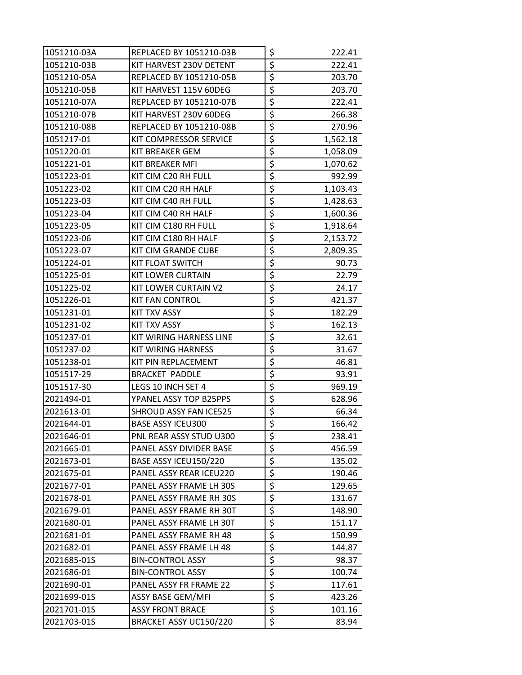| 1051210-03A | REPLACED BY 1051210-03B     | \$                              | 222.41   |
|-------------|-----------------------------|---------------------------------|----------|
| 1051210-03B | KIT HARVEST 230V DETENT     | \$                              | 222.41   |
| 1051210-05A | REPLACED BY 1051210-05B     | \$                              | 203.70   |
| 1051210-05B | KIT HARVEST 115V 60DEG      | \$                              | 203.70   |
| 1051210-07A | REPLACED BY 1051210-07B     | \$                              | 222.41   |
| 1051210-07B | KIT HARVEST 230V 60DEG      | \$                              | 266.38   |
| 1051210-08B | REPLACED BY 1051210-08B     | \$                              | 270.96   |
| 1051217-01  | KIT COMPRESSOR SERVICE      | \$                              | 1,562.18 |
| 1051220-01  | <b>KIT BREAKER GEM</b>      | \$                              | 1,058.09 |
| 1051221-01  | KIT BREAKER MFI             | \$                              | 1,070.62 |
| 1051223-01  | KIT CIM C20 RH FULL         | \$                              | 992.99   |
| 1051223-02  | KIT CIM C20 RH HALF         | \$                              | 1,103.43 |
| 1051223-03  | KIT CIM C40 RH FULL         | \$                              | 1,428.63 |
| 1051223-04  | KIT CIM C40 RH HALF         | \$                              | 1,600.36 |
| 1051223-05  | KIT CIM C180 RH FULL        | \$                              | 1,918.64 |
| 1051223-06  | KIT CIM C180 RH HALF        | \$                              | 2,153.72 |
| 1051223-07  | KIT CIM GRANDE CUBE         | \$                              | 2,809.35 |
| 1051224-01  | KIT FLOAT SWITCH            | \$                              | 90.73    |
| 1051225-01  | <b>KIT LOWER CURTAIN</b>    | \$                              | 22.79    |
| 1051225-02  | <b>KIT LOWER CURTAIN V2</b> | \$                              | 24.17    |
| 1051226-01  | <b>KIT FAN CONTROL</b>      | \$                              | 421.37   |
| 1051231-01  | KIT TXV ASSY                | \$                              | 182.29   |
| 1051231-02  | <b>KIT TXV ASSY</b>         | \$                              | 162.13   |
| 1051237-01  | KIT WIRING HARNESS LINE     | \$                              | 32.61    |
| 1051237-02  | KIT WIRING HARNESS          | \$                              | 31.67    |
| 1051238-01  | KIT PIN REPLACEMENT         | \$                              | 46.81    |
| 1051517-29  | <b>BRACKET PADDLE</b>       | \$                              | 93.91    |
| 1051517-30  | LEGS 10 INCH SET 4          | \$                              | 969.19   |
| 2021494-01  | YPANEL ASSY TOP B25PPS      | \$                              | 628.96   |
| 2021613-01  | SHROUD ASSY FAN ICE525      | \$                              | 66.34    |
| 2021644-01  | <b>BASE ASSY ICEU300</b>    | $\overline{\boldsymbol{\zeta}}$ | 166.42   |
| 2021646-01  | PNL REAR ASSY STUD U300     | \$                              | 238.41   |
| 2021665-01  | PANEL ASSY DIVIDER BASE     | \$                              | 456.59   |
| 2021673-01  | BASE ASSY ICEU150/220       | \$                              | 135.02   |
| 2021675-01  | PANEL ASSY REAR ICEU220     | \$                              | 190.46   |
| 2021677-01  | PANEL ASSY FRAME LH 30S     | $\overline{\boldsymbol{\zeta}}$ | 129.65   |
| 2021678-01  | PANEL ASSY FRAME RH 30S     | \$                              | 131.67   |
| 2021679-01  | PANEL ASSY FRAME RH 30T     | \$                              | 148.90   |
| 2021680-01  | PANEL ASSY FRAME LH 30T     | \$                              | 151.17   |
| 2021681-01  | PANEL ASSY FRAME RH 48      | \$                              | 150.99   |
| 2021682-01  | PANEL ASSY FRAME LH 48      | \$                              | 144.87   |
| 2021685-01S | <b>BIN-CONTROL ASSY</b>     | \$                              | 98.37    |
| 2021686-01  | <b>BIN-CONTROL ASSY</b>     | \$                              | 100.74   |
| 2021690-01  | PANEL ASSY FR FRAME 22      | $\overline{\mathcal{L}}$        | 117.61   |
| 2021699-01S | ASSY BASE GEM/MFI           | $\overline{\xi}$                | 423.26   |
| 2021701-01S | <b>ASSY FRONT BRACE</b>     | \$                              | 101.16   |
| 2021703-01S | BRACKET ASSY UC150/220      | $\overline{\mathsf{S}}$         | 83.94    |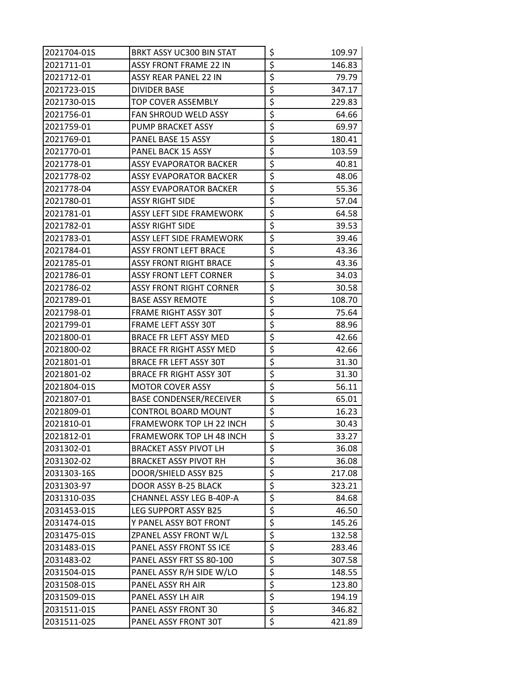| 2021704-01S | BRKT ASSY UC300 BIN STAT        | \$                                  | 109.97 |
|-------------|---------------------------------|-------------------------------------|--------|
| 2021711-01  | <b>ASSY FRONT FRAME 22 IN</b>   | \$                                  | 146.83 |
| 2021712-01  | ASSY REAR PANEL 22 IN           | \$                                  | 79.79  |
| 2021723-01S | <b>DIVIDER BASE</b>             | \$                                  | 347.17 |
| 2021730-01S | TOP COVER ASSEMBLY              | \$                                  | 229.83 |
| 2021756-01  | <b>FAN SHROUD WELD ASSY</b>     | \$                                  | 64.66  |
| 2021759-01  | PUMP BRACKET ASSY               | \$                                  | 69.97  |
| 2021769-01  | PANEL BASE 15 ASSY              | \$                                  | 180.41 |
| 2021770-01  | PANEL BACK 15 ASSY              | \$                                  | 103.59 |
| 2021778-01  | ASSY EVAPORATOR BACKER          | \$                                  | 40.81  |
| 2021778-02  | ASSY EVAPORATOR BACKER          | \$                                  | 48.06  |
| 2021778-04  | ASSY EVAPORATOR BACKER          | \$                                  | 55.36  |
| 2021780-01  | <b>ASSY RIGHT SIDE</b>          | \$                                  | 57.04  |
| 2021781-01  | <b>ASSY LEFT SIDE FRAMEWORK</b> | \$                                  | 64.58  |
| 2021782-01  | ASSY RIGHT SIDE                 | \$                                  | 39.53  |
| 2021783-01  | <b>ASSY LEFT SIDE FRAMEWORK</b> | \$                                  | 39.46  |
| 2021784-01  | <b>ASSY FRONT LEFT BRACE</b>    | \$                                  | 43.36  |
| 2021785-01  | <b>ASSY FRONT RIGHT BRACE</b>   | \$                                  | 43.36  |
| 2021786-01  | <b>ASSY FRONT LEFT CORNER</b>   | \$                                  | 34.03  |
| 2021786-02  | <b>ASSY FRONT RIGHT CORNER</b>  | \$                                  | 30.58  |
| 2021789-01  | <b>BASE ASSY REMOTE</b>         | \$                                  | 108.70 |
| 2021798-01  | <b>FRAME RIGHT ASSY 30T</b>     | \$                                  | 75.64  |
| 2021799-01  | FRAME LEFT ASSY 30T             | \$                                  | 88.96  |
| 2021800-01  | BRACE FR LEFT ASSY MED          | \$                                  | 42.66  |
| 2021800-02  | <b>BRACE FR RIGHT ASSY MED</b>  | \$                                  | 42.66  |
| 2021801-01  | <b>BRACE FR LEFT ASSY 30T</b>   | \$                                  | 31.30  |
| 2021801-02  | <b>BRACE FR RIGHT ASSY 30T</b>  | \$                                  | 31.30  |
| 2021804-01S | <b>MOTOR COVER ASSY</b>         | \$                                  | 56.11  |
| 2021807-01  | <b>BASE CONDENSER/RECEIVER</b>  | \$                                  | 65.01  |
| 2021809-01  | <b>CONTROL BOARD MOUNT</b>      | \$                                  | 16.23  |
| 2021810-01  | FRAMEWORK TOP LH 22 INCH        | $\overline{\boldsymbol{\varsigma}}$ | 30.43  |
| 2021812-01  | FRAMEWORK TOP LH 48 INCH        | \$                                  | 33.27  |
| 2031302-01  | <b>BRACKET ASSY PIVOT LH</b>    | \$                                  | 36.08  |
| 2031302-02  | <b>BRACKET ASSY PIVOT RH</b>    | \$                                  | 36.08  |
| 2031303-16S | DOOR/SHIELD ASSY B25            | \$                                  | 217.08 |
| 2031303-97  | DOOR ASSY B-25 BLACK            | \$                                  | 323.21 |
| 2031310-03S | CHANNEL ASSY LEG B-40P-A        | \$                                  | 84.68  |
| 2031453-01S | LEG SUPPORT ASSY B25            | \$                                  | 46.50  |
| 2031474-01S | Y PANEL ASSY BOT FRONT          | \$                                  | 145.26 |
| 2031475-01S | ZPANEL ASSY FRONT W/L           | \$                                  | 132.58 |
| 2031483-01S | PANEL ASSY FRONT SS ICE         | \$                                  | 283.46 |
| 2031483-02  | PANEL ASSY FRT SS 80-100        | \$                                  | 307.58 |
| 2031504-01S | PANEL ASSY R/H SIDE W/LO        | \$                                  | 148.55 |
| 2031508-01S | PANEL ASSY RH AIR               | $\overline{\mathcal{L}}$            | 123.80 |
| 2031509-01S | PANEL ASSY LH AIR               | \$                                  | 194.19 |
| 2031511-01S | PANEL ASSY FRONT 30             | \$                                  | 346.82 |
| 2031511-02S | PANEL ASSY FRONT 30T            | \$                                  | 421.89 |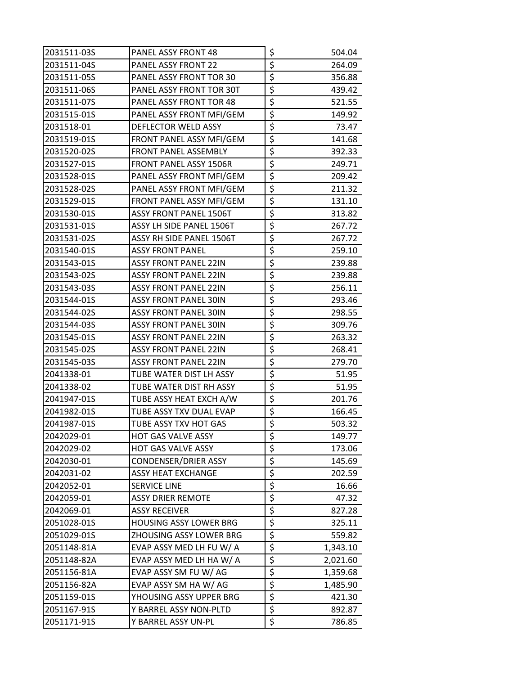| 2031511-03S | <b>PANEL ASSY FRONT 48</b>    | \$                              | 504.04   |
|-------------|-------------------------------|---------------------------------|----------|
| 2031511-04S | PANEL ASSY FRONT 22           | \$                              | 264.09   |
| 2031511-05S | PANEL ASSY FRONT TOR 30       | \$                              | 356.88   |
| 2031511-06S | PANEL ASSY FRONT TOR 30T      | \$                              | 439.42   |
| 2031511-07S | PANEL ASSY FRONT TOR 48       | \$                              | 521.55   |
| 2031515-01S | PANEL ASSY FRONT MFI/GEM      | \$                              | 149.92   |
| 2031518-01  | DEFLECTOR WELD ASSY           | \$                              | 73.47    |
| 2031519-01S | FRONT PANEL ASSY MFI/GEM      | \$                              | 141.68   |
| 2031520-02S | FRONT PANEL ASSEMBLY          | \$                              | 392.33   |
| 2031527-01S | <b>FRONT PANEL ASSY 1506R</b> | \$                              | 249.71   |
| 2031528-01S | PANEL ASSY FRONT MFI/GEM      | \$                              | 209.42   |
| 2031528-02S | PANEL ASSY FRONT MFI/GEM      | \$                              | 211.32   |
| 2031529-01S | FRONT PANEL ASSY MFI/GEM      | \$                              | 131.10   |
| 2031530-01S | <b>ASSY FRONT PANEL 1506T</b> | \$                              | 313.82   |
| 2031531-01S | ASSY LH SIDE PANEL 1506T      | \$                              | 267.72   |
| 2031531-02S | ASSY RH SIDE PANEL 1506T      | \$                              | 267.72   |
| 2031540-01S | ASSY FRONT PANEL              | \$                              | 259.10   |
| 2031543-01S | <b>ASSY FRONT PANEL 22IN</b>  | \$                              | 239.88   |
| 2031543-02S | <b>ASSY FRONT PANEL 22IN</b>  | \$                              | 239.88   |
| 2031543-03S | ASSY FRONT PANEL 22IN         | \$                              | 256.11   |
| 2031544-01S | <b>ASSY FRONT PANEL 30IN</b>  | \$                              | 293.46   |
| 2031544-02S | <b>ASSY FRONT PANEL 30IN</b>  | \$                              | 298.55   |
| 2031544-03S | <b>ASSY FRONT PANEL 30IN</b>  | \$                              | 309.76   |
| 2031545-01S | <b>ASSY FRONT PANEL 22IN</b>  | \$                              | 263.32   |
| 2031545-02S | <b>ASSY FRONT PANEL 22IN</b>  | \$                              | 268.41   |
| 2031545-03S | <b>ASSY FRONT PANEL 22IN</b>  | \$                              | 279.70   |
| 2041338-01  | TUBE WATER DIST LH ASSY       | \$                              | 51.95    |
| 2041338-02  | TUBE WATER DIST RH ASSY       | \$                              | 51.95    |
| 2041947-01S | TUBE ASSY HEAT EXCH A/W       | \$                              | 201.76   |
| 2041982-01S | TUBE ASSY TXV DUAL EVAP       | \$                              | 166.45   |
| 2041987-01S | TUBE ASSY TXV HOT GAS         | $\overline{\boldsymbol{\zeta}}$ | 503.32   |
| 2042029-01  | <b>HOT GAS VALVE ASSY</b>     | \$                              | 149.77   |
| 2042029-02  | HOT GAS VALVE ASSY            | \$                              | 173.06   |
| 2042030-01  | CONDENSER/DRIER ASSY          | \$                              | 145.69   |
| 2042031-02  | <b>ASSY HEAT EXCHANGE</b>     | \$                              | 202.59   |
| 2042052-01  | SERVICE LINE                  | \$                              | 16.66    |
| 2042059-01  | ASSY DRIER REMOTE             | \$                              | 47.32    |
| 2042069-01  | <b>ASSY RECEIVER</b>          | \$                              | 827.28   |
| 2051028-01S | <b>HOUSING ASSY LOWER BRG</b> | \$                              | 325.11   |
| 2051029-01S | ZHOUSING ASSY LOWER BRG       | \$                              | 559.82   |
| 2051148-81A | EVAP ASSY MED LH FU W/ A      | \$                              | 1,343.10 |
| 2051148-82A | EVAP ASSY MED LH HA W/A       | \$                              | 2,021.60 |
| 2051156-81A | EVAP ASSY SM FU W/ AG         | \$                              | 1,359.68 |
| 2051156-82A | EVAP ASSY SM HA W/ AG         | \$                              | 1,485.90 |
| 2051159-01S | YHOUSING ASSY UPPER BRG       | \$                              | 421.30   |
| 2051167-91S | Y BARREL ASSY NON-PLTD        | \$                              | 892.87   |
| 2051171-91S | Y BARREL ASSY UN-PL           | \$                              | 786.85   |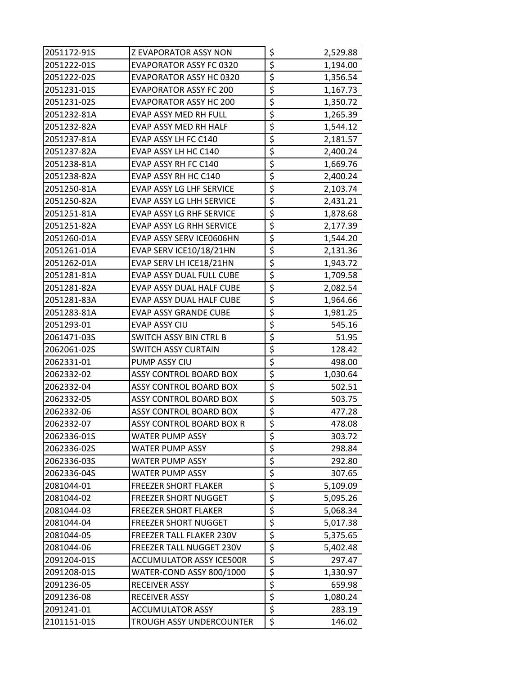| 2051172-91S | Z EVAPORATOR ASSY NON           | \$                              | 2,529.88 |
|-------------|---------------------------------|---------------------------------|----------|
| 2051222-01S | <b>EVAPORATOR ASSY FC 0320</b>  | \$                              | 1,194.00 |
| 2051222-02S | EVAPORATOR ASSY HC 0320         | \$                              | 1,356.54 |
| 2051231-01S | <b>EVAPORATOR ASSY FC 200</b>   | \$                              | 1,167.73 |
| 2051231-02S | <b>EVAPORATOR ASSY HC 200</b>   | \$                              | 1,350.72 |
| 2051232-81A | EVAP ASSY MED RH FULL           | \$                              | 1,265.39 |
| 2051232-82A | EVAP ASSY MED RH HALF           | \$                              | 1,544.12 |
| 2051237-81A | EVAP ASSY LH FC C140            | \$                              | 2,181.57 |
| 2051237-82A | EVAP ASSY LH HC C140            | \$                              | 2,400.24 |
| 2051238-81A | EVAP ASSY RH FC C140            | \$                              | 1,669.76 |
| 2051238-82A | EVAP ASSY RH HC C140            | \$                              | 2,400.24 |
| 2051250-81A | EVAP ASSY LG LHF SERVICE        | \$                              | 2,103.74 |
| 2051250-82A | EVAP ASSY LG LHH SERVICE        | \$                              | 2,431.21 |
| 2051251-81A | EVAP ASSY LG RHF SERVICE        | \$                              | 1,878.68 |
| 2051251-82A | EVAP ASSY LG RHH SERVICE        | \$                              | 2,177.39 |
| 2051260-01A | EVAP ASSY SERV ICE0606HN        | \$                              | 1,544.20 |
| 2051261-01A | EVAP SERV ICE10/18/21HN         | \$                              | 2,131.36 |
| 2051262-01A | EVAP SERV LH ICE18/21HN         | \$                              | 1,943.72 |
| 2051281-81A | EVAP ASSY DUAL FULL CUBE        | $\overline{\xi}$                | 1,709.58 |
| 2051281-82A | EVAP ASSY DUAL HALF CUBE        | \$                              | 2,082.54 |
| 2051281-83A | EVAP ASSY DUAL HALF CUBE        | \$                              | 1,964.66 |
| 2051283-81A | <b>EVAP ASSY GRANDE CUBE</b>    | \$                              | 1,981.25 |
| 2051293-01  | EVAP ASSY CIU                   | \$                              | 545.16   |
| 2061471-03S | <b>SWITCH ASSY BIN CTRL B</b>   | \$                              | 51.95    |
| 2062061-02S | SWITCH ASSY CURTAIN             | $\overline{\boldsymbol{\zeta}}$ | 128.42   |
| 2062331-01  | PUMP ASSY CIU                   | \$                              | 498.00   |
| 2062332-02  | ASSY CONTROL BOARD BOX          | \$                              | 1,030.64 |
| 2062332-04  | ASSY CONTROL BOARD BOX          | \$                              | 502.51   |
| 2062332-05  | <b>ASSY CONTROL BOARD BOX</b>   | \$                              | 503.75   |
| 2062332-06  | ASSY CONTROL BOARD BOX          | \$                              | 477.28   |
| 2062332-07  | ASSY CONTROL BOARD BOX R        | $\overline{\xi}$                | 478.08   |
| 2062336-01S | WATER PUMP ASSY                 | \$                              | 303.72   |
| 2062336-02S | <b>WATER PUMP ASSY</b>          | \$                              | 298.84   |
| 2062336-03S | WATER PUMP ASSY                 | \$                              | 292.80   |
| 2062336-04S | <b>WATER PUMP ASSY</b>          | \$                              | 307.65   |
| 2081044-01  | <b>FREEZER SHORT FLAKER</b>     | \$                              | 5,109.09 |
| 2081044-02  | <b>FREEZER SHORT NUGGET</b>     | \$                              | 5,095.26 |
| 2081044-03  | <b>FREEZER SHORT FLAKER</b>     | \$                              | 5,068.34 |
| 2081044-04  | <b>FREEZER SHORT NUGGET</b>     | \$                              | 5,017.38 |
| 2081044-05  | FREEZER TALL FLAKER 230V        | \$                              | 5,375.65 |
| 2081044-06  | <b>FREEZER TALL NUGGET 230V</b> | \$                              | 5,402.48 |
| 2091204-01S | <b>ACCUMULATOR ASSY ICE500R</b> | \$                              | 297.47   |
| 2091208-01S | WATER-COND ASSY 800/1000        | \$                              | 1,330.97 |
| 2091236-05  | <b>RECEIVER ASSY</b>            | \$                              | 659.98   |
| 2091236-08  | <b>RECEIVER ASSY</b>            | \$                              | 1,080.24 |
| 2091241-01  | <b>ACCUMULATOR ASSY</b>         | \$                              | 283.19   |
| 2101151-01S | TROUGH ASSY UNDERCOUNTER        | \$                              | 146.02   |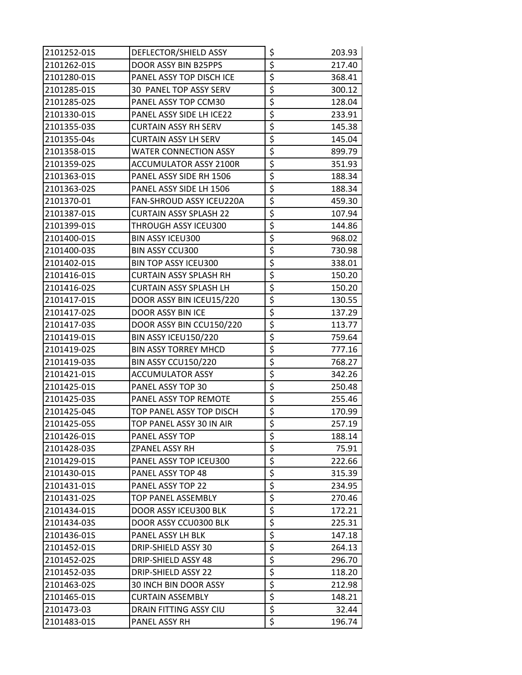| 2101252-01S | DEFLECTOR/SHIELD ASSY         | \$                                  | 203.93 |
|-------------|-------------------------------|-------------------------------------|--------|
| 2101262-01S | DOOR ASSY BIN B25PPS          | \$                                  | 217.40 |
| 2101280-01S | PANEL ASSY TOP DISCH ICE      | \$                                  | 368.41 |
| 2101285-01S | 30 PANEL TOP ASSY SERV        | \$                                  | 300.12 |
| 2101285-02S | PANEL ASSY TOP CCM30          | \$                                  | 128.04 |
| 2101330-01S | PANEL ASSY SIDE LH ICE22      | \$                                  | 233.91 |
| 2101355-03S | <b>CURTAIN ASSY RH SERV</b>   | \$                                  | 145.38 |
| 2101355-04s | CURTAIN ASSY LH SERV          | \$                                  | 145.04 |
| 2101358-01S | <b>WATER CONNECTION ASSY</b>  | \$                                  | 899.79 |
| 2101359-02S | ACCUMULATOR ASSY 2100R        | \$                                  | 351.93 |
| 2101363-01S | PANEL ASSY SIDE RH 1506       | \$                                  | 188.34 |
| 2101363-02S | PANEL ASSY SIDE LH 1506       | \$                                  | 188.34 |
| 2101370-01  | FAN-SHROUD ASSY ICEU220A      | $\overline{\boldsymbol{\zeta}}$     | 459.30 |
| 2101387-01S | <b>CURTAIN ASSY SPLASH 22</b> | \$                                  | 107.94 |
| 2101399-01S | THROUGH ASSY ICEU300          | \$                                  | 144.86 |
| 2101400-01S | <b>BIN ASSY ICEU300</b>       | \$                                  | 968.02 |
| 2101400-03S | <b>BIN ASSY CCU300</b>        | \$                                  | 730.98 |
| 2101402-01S | <b>BIN TOP ASSY ICEU300</b>   | \$                                  | 338.01 |
| 2101416-01S | <b>CURTAIN ASSY SPLASH RH</b> | $\overline{\xi}$                    | 150.20 |
| 2101416-02S | <b>CURTAIN ASSY SPLASH LH</b> | \$                                  | 150.20 |
| 2101417-01S | DOOR ASSY BIN ICEU15/220      | \$                                  | 130.55 |
| 2101417-02S | DOOR ASSY BIN ICE             | \$                                  | 137.29 |
| 2101417-03S | DOOR ASSY BIN CCU150/220      | \$                                  | 113.77 |
| 2101419-01S | BIN ASSY ICEU150/220          | \$                                  | 759.64 |
| 2101419-02S | <b>BIN ASSY TORREY MHCD</b>   | \$                                  | 777.16 |
| 2101419-03S | BIN ASSY CCU150/220           | \$                                  | 768.27 |
| 2101421-01S | ACCUMULATOR ASSY              | \$                                  | 342.26 |
| 2101425-01S | PANEL ASSY TOP 30             | \$                                  | 250.48 |
| 2101425-03S | PANEL ASSY TOP REMOTE         | \$                                  | 255.46 |
| 2101425-04S | TOP PANEL ASSY TOP DISCH      | \$                                  | 170.99 |
| 2101425-05S | TOP PANEL ASSY 30 IN AIR      | $\overline{\boldsymbol{\varsigma}}$ | 257.19 |
| 2101426-01S | PANEL ASSY TOP                | \$                                  | 188.14 |
| 2101428-03S | ZPANEL ASSY RH                | \$                                  | 75.91  |
| 2101429-01S | PANEL ASSY TOP ICEU300        | \$                                  | 222.66 |
| 2101430-01S | PANEL ASSY TOP 48             | \$                                  | 315.39 |
| 2101431-01S | PANEL ASSY TOP 22             | \$                                  | 234.95 |
| 2101431-02S | TOP PANEL ASSEMBLY            | \$                                  | 270.46 |
| 2101434-01S | DOOR ASSY ICEU300 BLK         | \$                                  | 172.21 |
| 2101434-03S | DOOR ASSY CCU0300 BLK         | \$                                  | 225.31 |
| 2101436-01S | PANEL ASSY LH BLK             | \$                                  | 147.18 |
| 2101452-01S | DRIP-SHIELD ASSY 30           | \$                                  | 264.13 |
| 2101452-02S | DRIP-SHIELD ASSY 48           | \$                                  | 296.70 |
| 2101452-03S | DRIP-SHIELD ASSY 22           | $\overline{\boldsymbol{\zeta}}$     | 118.20 |
| 2101463-02S | 30 INCH BIN DOOR ASSY         | $\overline{\boldsymbol{\zeta}}$     | 212.98 |
| 2101465-01S | <b>CURTAIN ASSEMBLY</b>       | \$                                  | 148.21 |
| 2101473-03  | DRAIN FITTING ASSY CIU        | $\overline{\boldsymbol{\zeta}}$     | 32.44  |
| 2101483-01S | PANEL ASSY RH                 | \$                                  | 196.74 |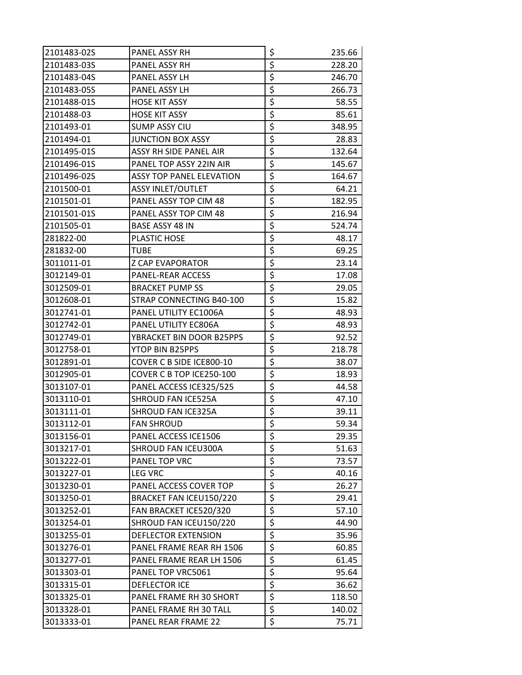| 2101483-02S | PANEL ASSY RH                   | \$                              | 235.66 |
|-------------|---------------------------------|---------------------------------|--------|
| 2101483-03S | PANEL ASSY RH                   | \$                              | 228.20 |
| 2101483-04S | PANEL ASSY LH                   | \$                              | 246.70 |
| 2101483-05S | PANEL ASSY LH                   | \$                              | 266.73 |
| 2101488-01S | HOSE KIT ASSY                   | \$                              | 58.55  |
| 2101488-03  | <b>HOSE KIT ASSY</b>            | \$                              | 85.61  |
| 2101493-01  | <b>SUMP ASSY CIU</b>            | \$                              | 348.95 |
| 2101494-01  | <b>JUNCTION BOX ASSY</b>        | \$                              | 28.83  |
| 2101495-01S | <b>ASSY RH SIDE PANEL AIR</b>   | \$                              | 132.64 |
| 2101496-01S | PANEL TOP ASSY 22IN AIR         | \$                              | 145.67 |
| 2101496-02S | <b>ASSY TOP PANEL ELEVATION</b> | \$                              | 164.67 |
| 2101500-01  | ASSY INLET/OUTLET               | \$                              | 64.21  |
| 2101501-01  | PANEL ASSY TOP CIM 48           | \$                              | 182.95 |
| 2101501-01S | PANEL ASSY TOP CIM 48           | \$                              | 216.94 |
| 2101505-01  | BASE ASSY 48 IN                 | \$                              | 524.74 |
| 281822-00   | <b>PLASTIC HOSE</b>             | \$                              | 48.17  |
| 281832-00   | TUBE                            | \$                              | 69.25  |
| 3011011-01  | <b>Z CAP EVAPORATOR</b>         | \$                              | 23.14  |
| 3012149-01  | PANEL-REAR ACCESS               | \$                              | 17.08  |
| 3012509-01  | <b>BRACKET PUMP SS</b>          | \$                              | 29.05  |
| 3012608-01  | STRAP CONNECTING B40-100        | \$                              | 15.82  |
| 3012741-01  | PANEL UTILITY EC1006A           | \$                              | 48.93  |
| 3012742-01  | PANEL UTILITY EC806A            | \$                              | 48.93  |
| 3012749-01  | YBRACKET BIN DOOR B25PPS        | \$                              | 92.52  |
| 3012758-01  | YTOP BIN B25PPS                 | \$                              | 218.78 |
| 3012891-01  | COVER C B SIDE ICE800-10        | \$                              | 38.07  |
| 3012905-01  | COVER C B TOP ICE250-100        | \$                              | 18.93  |
| 3013107-01  | PANEL ACCESS ICE325/525         | \$                              | 44.58  |
| 3013110-01  | SHROUD FAN ICE525A              | \$                              | 47.10  |
| 3013111-01  | SHROUD FAN ICE325A              | \$                              | 39.11  |
| 3013112-01  | <b>FAN SHROUD</b>               | $\overline{\boldsymbol{\zeta}}$ | 59.34  |
| 3013156-01  | PANEL ACCESS ICE1506            | \$                              | 29.35  |
| 3013217-01  | SHROUD FAN ICEU300A             | \$                              | 51.63  |
| 3013222-01  | PANEL TOP VRC                   | \$                              | 73.57  |
| 3013227-01  | <b>LEG VRC</b>                  | \$                              | 40.16  |
| 3013230-01  | PANEL ACCESS COVER TOP          | \$                              | 26.27  |
| 3013250-01  | BRACKET FAN ICEU150/220         | \$                              | 29.41  |
| 3013252-01  | FAN BRACKET ICE520/320          | \$                              | 57.10  |
| 3013254-01  | SHROUD FAN ICEU150/220          | \$                              | 44.90  |
| 3013255-01  | DEFLECTOR EXTENSION             | $\overline{\boldsymbol{\zeta}}$ | 35.96  |
| 3013276-01  | PANEL FRAME REAR RH 1506        | \$                              | 60.85  |
| 3013277-01  | PANEL FRAME REAR LH 1506        | \$                              | 61.45  |
| 3013303-01  | PANEL TOP VRC5061               | $\overline{\boldsymbol{\zeta}}$ | 95.64  |
| 3013315-01  | DEFLECTOR ICE                   | \$                              | 36.62  |
| 3013325-01  | PANEL FRAME RH 30 SHORT         | \$                              | 118.50 |
| 3013328-01  | PANEL FRAME RH 30 TALL          | \$                              | 140.02 |
| 3013333-01  | PANEL REAR FRAME 22             | \$                              | 75.71  |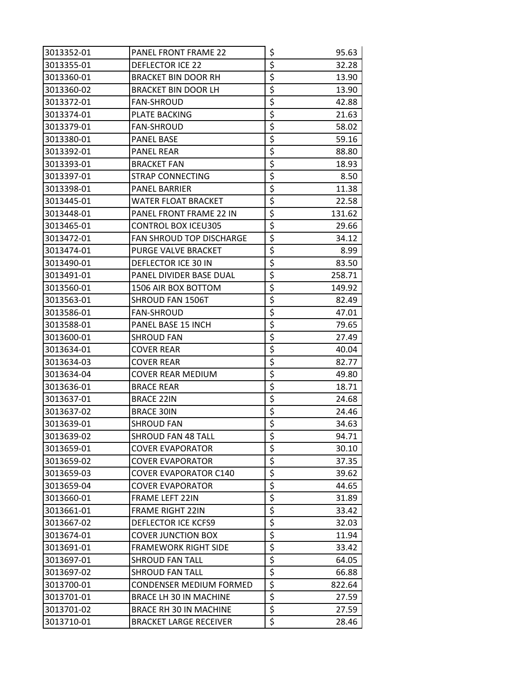| 3013352-01 | <b>PANEL FRONT FRAME 22</b>    | \$                              | 95.63  |
|------------|--------------------------------|---------------------------------|--------|
| 3013355-01 | <b>DEFLECTOR ICE 22</b>        | \$                              | 32.28  |
| 3013360-01 | <b>BRACKET BIN DOOR RH</b>     | $\overline{\boldsymbol{\zeta}}$ | 13.90  |
| 3013360-02 | <b>BRACKET BIN DOOR LH</b>     | \$                              | 13.90  |
| 3013372-01 | <b>FAN-SHROUD</b>              | \$                              | 42.88  |
| 3013374-01 | PLATE BACKING                  | \$                              | 21.63  |
| 3013379-01 | <b>FAN-SHROUD</b>              | \$                              | 58.02  |
| 3013380-01 | <b>PANEL BASE</b>              | \$                              | 59.16  |
| 3013392-01 | <b>PANEL REAR</b>              | \$                              | 88.80  |
| 3013393-01 | <b>BRACKET FAN</b>             | \$                              | 18.93  |
| 3013397-01 | STRAP CONNECTING               | \$                              | 8.50   |
| 3013398-01 | <b>PANEL BARRIER</b>           | \$                              | 11.38  |
| 3013445-01 | WATER FLOAT BRACKET            | $\overline{\mathcal{L}}$        | 22.58  |
| 3013448-01 | PANEL FRONT FRAME 22 IN        | \$                              | 131.62 |
| 3013465-01 | <b>CONTROL BOX ICEU305</b>     | $\overline{\boldsymbol{\zeta}}$ | 29.66  |
| 3013472-01 | FAN SHROUD TOP DISCHARGE       | \$                              | 34.12  |
| 3013474-01 | PURGE VALVE BRACKET            | \$                              | 8.99   |
| 3013490-01 | DEFLECTOR ICE 30 IN            | \$                              | 83.50  |
| 3013491-01 | PANEL DIVIDER BASE DUAL        | \$                              | 258.71 |
| 3013560-01 | 1506 AIR BOX BOTTOM            | \$                              | 149.92 |
| 3013563-01 | SHROUD FAN 1506T               | \$                              | 82.49  |
| 3013586-01 | <b>FAN-SHROUD</b>              | $\overline{\boldsymbol{\zeta}}$ | 47.01  |
| 3013588-01 | PANEL BASE 15 INCH             | \$                              | 79.65  |
| 3013600-01 | SHROUD FAN                     | \$                              | 27.49  |
| 3013634-01 | <b>COVER REAR</b>              | \$                              | 40.04  |
| 3013634-03 | <b>COVER REAR</b>              | \$                              | 82.77  |
| 3013634-04 | COVER REAR MEDIUM              | \$                              | 49.80  |
| 3013636-01 | <b>BRACE REAR</b>              | $\overline{\boldsymbol{\zeta}}$ | 18.71  |
| 3013637-01 | <b>BRACE 22IN</b>              | \$                              | 24.68  |
| 3013637-02 | <b>BRACE 30IN</b>              | \$                              | 24.46  |
| 3013639-01 | <b>SHROUD FAN</b>              | $\overline{\xi}$                | 34.63  |
| 3013639-02 | <b>SHROUD FAN 48 TALL</b>      | \$                              | 94.71  |
| 3013659-01 | <b>COVER EVAPORATOR</b>        | \$                              | 30.10  |
| 3013659-02 | <b>COVER EVAPORATOR</b>        | $\overline{\boldsymbol{\zeta}}$ | 37.35  |
| 3013659-03 | <b>COVER EVAPORATOR C140</b>   | $\overline{\boldsymbol{\zeta}}$ | 39.62  |
| 3013659-04 | <b>COVER EVAPORATOR</b>        | \$                              | 44.65  |
| 3013660-01 | <b>FRAME LEFT 22IN</b>         | \$                              | 31.89  |
| 3013661-01 | <b>FRAME RIGHT 22IN</b>        | $\overline{\xi}$                | 33.42  |
| 3013667-02 | <b>DEFLECTOR ICE KCFS9</b>     | \$                              | 32.03  |
| 3013674-01 | <b>COVER JUNCTION BOX</b>      | \$                              | 11.94  |
| 3013691-01 | <b>FRAMEWORK RIGHT SIDE</b>    | $\overline{\boldsymbol{\zeta}}$ | 33.42  |
| 3013697-01 | <b>SHROUD FAN TALL</b>         | \$                              | 64.05  |
| 3013697-02 | SHROUD FAN TALL                | \$                              | 66.88  |
| 3013700-01 | <b>CONDENSER MEDIUM FORMED</b> | \$                              | 822.64 |
| 3013701-01 | BRACE LH 30 IN MACHINE         | \$                              | 27.59  |
| 3013701-02 | BRACE RH 30 IN MACHINE         | \$                              | 27.59  |
| 3013710-01 | <b>BRACKET LARGE RECEIVER</b>  | \$                              | 28.46  |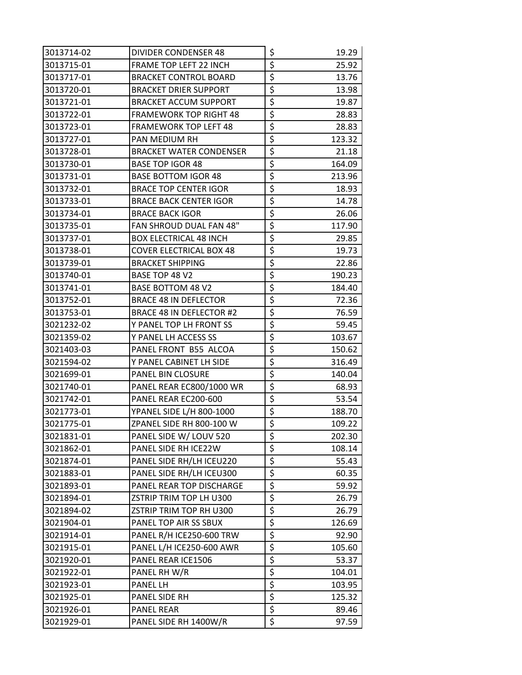| 3013714-02 | DIVIDER CONDENSER 48           | \$                                  | 19.29  |
|------------|--------------------------------|-------------------------------------|--------|
| 3013715-01 | FRAME TOP LEFT 22 INCH         | \$                                  | 25.92  |
| 3013717-01 | <b>BRACKET CONTROL BOARD</b>   | \$                                  | 13.76  |
| 3013720-01 | <b>BRACKET DRIER SUPPORT</b>   | \$                                  | 13.98  |
| 3013721-01 | <b>BRACKET ACCUM SUPPORT</b>   | \$                                  | 19.87  |
| 3013722-01 | <b>FRAMEWORK TOP RIGHT 48</b>  | \$                                  | 28.83  |
| 3013723-01 | <b>FRAMEWORK TOP LEFT 48</b>   | \$                                  | 28.83  |
| 3013727-01 | PAN MEDIUM RH                  | \$                                  | 123.32 |
| 3013728-01 | <b>BRACKET WATER CONDENSER</b> | \$                                  | 21.18  |
| 3013730-01 | <b>BASE TOP IGOR 48</b>        | \$                                  | 164.09 |
| 3013731-01 | <b>BASE BOTTOM IGOR 48</b>     | \$                                  | 213.96 |
| 3013732-01 | <b>BRACE TOP CENTER IGOR</b>   | \$                                  | 18.93  |
| 3013733-01 | <b>BRACE BACK CENTER IGOR</b>  | \$                                  | 14.78  |
| 3013734-01 | <b>BRACE BACK IGOR</b>         | \$                                  | 26.06  |
| 3013735-01 | FAN SHROUD DUAL FAN 48"        | \$                                  | 117.90 |
| 3013737-01 | <b>BOX ELECTRICAL 48 INCH</b>  | \$                                  | 29.85  |
| 3013738-01 | <b>COVER ELECTRICAL BOX 48</b> | \$                                  | 19.73  |
| 3013739-01 | <b>BRACKET SHIPPING</b>        | \$                                  | 22.86  |
| 3013740-01 | BASE TOP 48 V2                 | \$                                  | 190.23 |
| 3013741-01 | BASE BOTTOM 48 V2              | \$                                  | 184.40 |
| 3013752-01 | <b>BRACE 48 IN DEFLECTOR</b>   | \$                                  | 72.36  |
| 3013753-01 | BRACE 48 IN DEFLECTOR #2       | \$                                  | 76.59  |
| 3021232-02 | Y PANEL TOP LH FRONT SS        | \$                                  | 59.45  |
| 3021359-02 | Y PANEL LH ACCESS SS           | \$                                  | 103.67 |
| 3021403-03 | PANEL FRONT B55 ALCOA          | \$                                  | 150.62 |
| 3021594-02 | Y PANEL CABINET LH SIDE        | \$                                  | 316.49 |
| 3021699-01 | PANEL BIN CLOSURE              | \$                                  | 140.04 |
| 3021740-01 | PANEL REAR EC800/1000 WR       | \$                                  | 68.93  |
| 3021742-01 | PANEL REAR EC200-600           | \$                                  | 53.54  |
| 3021773-01 | YPANEL SIDE L/H 800-1000       | \$                                  | 188.70 |
| 3021775-01 | ZPANEL SIDE RH 800-100 W       | $\overline{\boldsymbol{\varsigma}}$ | 109.22 |
| 3021831-01 | PANEL SIDE W/ LOUV 520         | \$                                  | 202.30 |
| 3021862-01 | PANEL SIDE RH ICE22W           | \$                                  | 108.14 |
| 3021874-01 | PANEL SIDE RH/LH ICEU220       | \$                                  | 55.43  |
| 3021883-01 | PANEL SIDE RH/LH ICEU300       | \$                                  | 60.35  |
| 3021893-01 | PANEL REAR TOP DISCHARGE       | \$                                  | 59.92  |
| 3021894-01 | ZSTRIP TRIM TOP LH U300        | \$                                  | 26.79  |
| 3021894-02 | ZSTRIP TRIM TOP RH U300        | \$                                  | 26.79  |
| 3021904-01 | PANEL TOP AIR SS SBUX          | \$                                  | 126.69 |
| 3021914-01 | PANEL R/H ICE250-600 TRW       | \$                                  | 92.90  |
| 3021915-01 | PANEL L/H ICE250-600 AWR       | \$                                  | 105.60 |
| 3021920-01 | PANEL REAR ICE1506             | \$                                  | 53.37  |
| 3021922-01 | PANEL RH W/R                   | \$                                  | 104.01 |
| 3021923-01 | PANEL LH                       | \$                                  | 103.95 |
| 3021925-01 | PANEL SIDE RH                  | \$                                  | 125.32 |
| 3021926-01 | <b>PANEL REAR</b>              | \$                                  | 89.46  |
| 3021929-01 | PANEL SIDE RH 1400W/R          | \$                                  | 97.59  |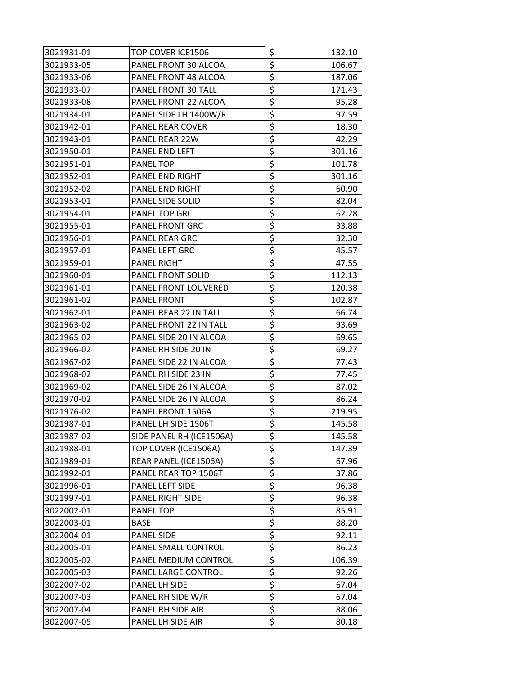| 3021931-01 | TOP COVER ICE1506        | \$                              | 132.10 |
|------------|--------------------------|---------------------------------|--------|
| 3021933-05 | PANEL FRONT 30 ALCOA     | \$                              | 106.67 |
| 3021933-06 | PANEL FRONT 48 ALCOA     | $\overline{\boldsymbol{\zeta}}$ | 187.06 |
| 3021933-07 | PANEL FRONT 30 TALL      | \$                              | 171.43 |
| 3021933-08 | PANEL FRONT 22 ALCOA     | \$                              | 95.28  |
| 3021934-01 | PANEL SIDE LH 1400W/R    | \$                              | 97.59  |
| 3021942-01 | PANEL REAR COVER         | \$                              | 18.30  |
| 3021943-01 | PANEL REAR 22W           | \$                              | 42.29  |
| 3021950-01 | PANEL END LEFT           | \$                              | 301.16 |
| 3021951-01 | PANEL TOP                | \$                              | 101.78 |
| 3021952-01 | PANEL END RIGHT          | \$                              | 301.16 |
| 3021952-02 | PANEL END RIGHT          | $\overline{\xi}$                | 60.90  |
| 3021953-01 | PANEL SIDE SOLID         | $\overline{\xi}$                | 82.04  |
| 3021954-01 | PANEL TOP GRC            | $\overline{\xi}$                | 62.28  |
| 3021955-01 | PANEL FRONT GRC          | \$                              | 33.88  |
| 3021956-01 | PANEL REAR GRC           | \$                              | 32.30  |
| 3021957-01 | PANEL LEFT GRC           | \$                              | 45.57  |
| 3021959-01 | PANEL RIGHT              | \$                              | 47.55  |
| 3021960-01 | PANEL FRONT SOLID        | \$                              | 112.13 |
| 3021961-01 | PANEL FRONT LOUVERED     | $\overline{\boldsymbol{\zeta}}$ | 120.38 |
| 3021961-02 | PANEL FRONT              | $\overline{\boldsymbol{\zeta}}$ | 102.87 |
| 3021962-01 | PANEL REAR 22 IN TALL    | $\overline{\boldsymbol{\zeta}}$ | 66.74  |
| 3021963-02 | PANEL FRONT 22 IN TALL   | \$                              | 93.69  |
| 3021965-02 | PANEL SIDE 20 IN ALCOA   | \$                              | 69.65  |
| 3021966-02 | PANEL RH SIDE 20 IN      | \$                              | 69.27  |
| 3021967-02 | PANEL SIDE 22 IN ALCOA   | \$                              | 77.43  |
| 3021968-02 | PANEL RH SIDE 23 IN      | \$                              | 77.45  |
| 3021969-02 | PANEL SIDE 26 IN ALCOA   | $\overline{\boldsymbol{\zeta}}$ | 87.02  |
| 3021970-02 | PANEL SIDE 26 IN ALCOA   | \$                              | 86.24  |
| 3021976-02 | PANEL FRONT 1506A        | \$                              | 219.95 |
| 3021987-01 | PANEL LH SIDE 1506T      | $\overline{\xi}$                | 145.58 |
| 3021987-02 | SIDE PANEL RH (ICE1506A) | \$                              | 145.58 |
| 3021988-01 | TOP COVER (ICE1506A)     | $\overline{\boldsymbol{\zeta}}$ | 147.39 |
| 3021989-01 | REAR PANEL (ICE1506A)    | \$                              | 67.96  |
| 3021992-01 | PANEL REAR TOP 1506T     | $\overline{\boldsymbol{\zeta}}$ | 37.86  |
| 3021996-01 | PANEL LEFT SIDE          | \$                              | 96.38  |
| 3021997-01 | PANEL RIGHT SIDE         | \$                              | 96.38  |
| 3022002-01 | <b>PANEL TOP</b>         | \$                              | 85.91  |
| 3022003-01 | <b>BASE</b>              | $\zeta$                         | 88.20  |
| 3022004-01 | <b>PANEL SIDE</b>        | \$                              | 92.11  |
| 3022005-01 | PANEL SMALL CONTROL      | $\overline{\xi}$                | 86.23  |
| 3022005-02 | PANEL MEDIUM CONTROL     | \$                              | 106.39 |
| 3022005-03 | PANEL LARGE CONTROL      | \$                              | 92.26  |
| 3022007-02 | PANEL LH SIDE            | \$                              | 67.04  |
| 3022007-03 | PANEL RH SIDE W/R        | $\overline{\xi}$                | 67.04  |
| 3022007-04 | PANEL RH SIDE AIR        | $\overline{\xi}$                | 88.06  |
| 3022007-05 | PANEL LH SIDE AIR        | $\overline{\xi}$                | 80.18  |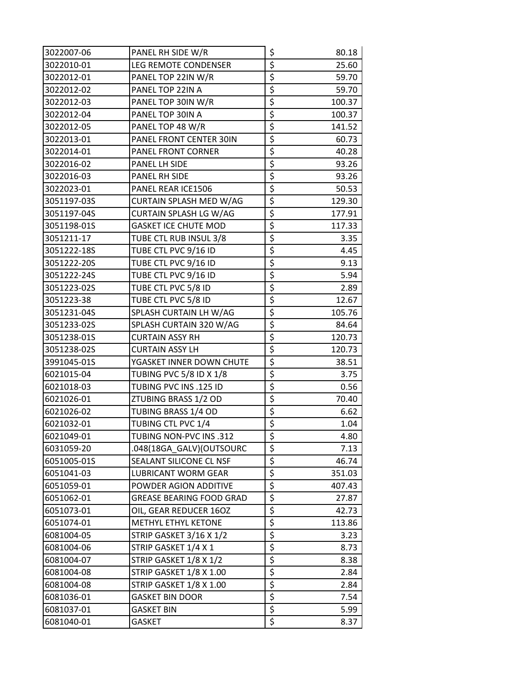| 3022007-06  | PANEL RH SIDE W/R               | \$                              | 80.18  |
|-------------|---------------------------------|---------------------------------|--------|
| 3022010-01  | LEG REMOTE CONDENSER            | \$                              | 25.60  |
| 3022012-01  | PANEL TOP 22IN W/R              | \$                              | 59.70  |
| 3022012-02  | PANEL TOP 22IN A                | \$                              | 59.70  |
| 3022012-03  | PANEL TOP 30IN W/R              | \$                              | 100.37 |
| 3022012-04  | PANEL TOP 30IN A                | \$                              | 100.37 |
| 3022012-05  | PANEL TOP 48 W/R                | \$                              | 141.52 |
| 3022013-01  | PANEL FRONT CENTER 30IN         | \$                              | 60.73  |
| 3022014-01  | PANEL FRONT CORNER              | \$                              | 40.28  |
| 3022016-02  | PANEL LH SIDE                   | \$                              | 93.26  |
| 3022016-03  | PANEL RH SIDE                   | \$                              | 93.26  |
| 3022023-01  | PANEL REAR ICE1506              | \$                              | 50.53  |
| 3051197-03S | CURTAIN SPLASH MED W/AG         | \$                              | 129.30 |
| 3051197-04S | CURTAIN SPLASH LG W/AG          | $\overline{\xi}$                | 177.91 |
| 3051198-01S | <b>GASKET ICE CHUTE MOD</b>     | \$                              | 117.33 |
| 3051211-17  | TUBE CTL RUB INSUL 3/8          | \$                              | 3.35   |
| 3051222-18S | TUBE CTL PVC 9/16 ID            | \$                              | 4.45   |
| 3051222-20S | TUBE CTL PVC 9/16 ID            | \$                              | 9.13   |
| 3051222-24S | TUBE CTL PVC 9/16 ID            | \$                              | 5.94   |
| 3051223-02S | TUBE CTL PVC 5/8 ID             | \$                              | 2.89   |
| 3051223-38  | TUBE CTL PVC 5/8 ID             | \$                              | 12.67  |
| 3051231-04S | SPLASH CURTAIN LH W/AG          | \$                              | 105.76 |
| 3051233-02S | SPLASH CURTAIN 320 W/AG         | \$                              | 84.64  |
| 3051238-01S | <b>CURTAIN ASSY RH</b>          | \$                              | 120.73 |
| 3051238-02S | <b>CURTAIN ASSY LH</b>          | \$                              | 120.73 |
| 3991045-01S | YGASKET INNER DOWN CHUTE        | \$                              | 38.51  |
| 6021015-04  | TUBING PVC 5/8 ID X 1/8         | \$                              | 3.75   |
| 6021018-03  | TUBING PVC INS .125 ID          | \$                              | 0.56   |
| 6021026-01  | ZTUBING BRASS 1/2 OD            | \$                              | 70.40  |
| 6021026-02  | TUBING BRASS 1/4 OD             | \$                              | 6.62   |
| 6021032-01  | TUBING CTL PVC 1/4              | $\overline{\boldsymbol{\zeta}}$ | 1.04   |
| 6021049-01  | TUBING NON-PVC INS .312         | \$                              | 4.80   |
| 6031059-20  | .048(18GA_GALV)(OUTSOURC        | \$                              | 7.13   |
| 6051005-01S | SEALANT SILICONE CL NSF         | \$                              | 46.74  |
| 6051041-03  | LUBRICANT WORM GEAR             | \$                              | 351.03 |
| 6051059-01  | POWDER AGION ADDITIVE           | \$                              | 407.43 |
| 6051062-01  | <b>GREASE BEARING FOOD GRAD</b> | \$                              | 27.87  |
| 6051073-01  | OIL, GEAR REDUCER 16OZ          | \$                              | 42.73  |
| 6051074-01  | METHYL ETHYL KETONE             | \$                              | 113.86 |
| 6081004-05  | STRIP GASKET 3/16 X 1/2         | \$                              | 3.23   |
| 6081004-06  | STRIP GASKET 1/4 X 1            | \$                              | 8.73   |
| 6081004-07  | STRIP GASKET 1/8 X 1/2          | \$                              | 8.38   |
| 6081004-08  | STRIP GASKET 1/8 X 1.00         | \$                              | 2.84   |
| 6081004-08  | STRIP GASKET 1/8 X 1.00         | \$                              | 2.84   |
| 6081036-01  | <b>GASKET BIN DOOR</b>          | $\overline{\xi}$                | 7.54   |
| 6081037-01  | GASKET BIN                      | \$                              | 5.99   |
| 6081040-01  | <b>GASKET</b>                   | \$                              | 8.37   |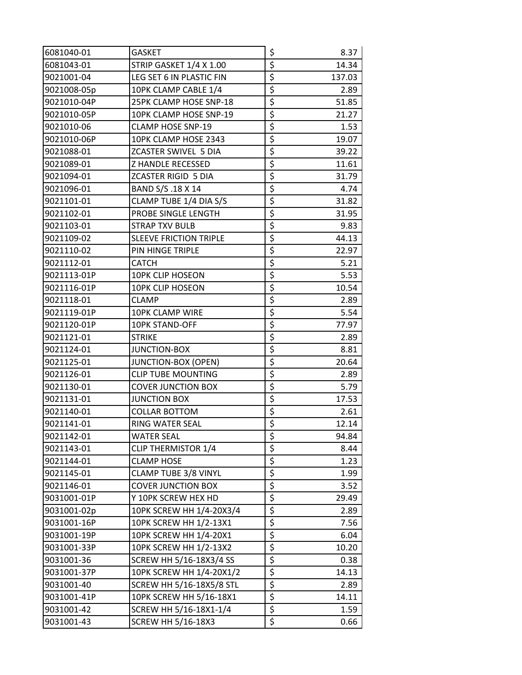| 6081040-01  | GASKET                        | \$                              | 8.37   |
|-------------|-------------------------------|---------------------------------|--------|
| 6081043-01  | STRIP GASKET 1/4 X 1.00       | \$                              | 14.34  |
| 9021001-04  | LEG SET 6 IN PLASTIC FIN      | \$                              | 137.03 |
| 9021008-05p | 10PK CLAMP CABLE 1/4          | \$                              | 2.89   |
| 9021010-04P | 25PK CLAMP HOSE SNP-18        | \$                              | 51.85  |
| 9021010-05P | 10PK CLAMP HOSE SNP-19        | \$                              | 21.27  |
| 9021010-06  | CLAMP HOSE SNP-19             | \$                              | 1.53   |
| 9021010-06P | 10PK CLAMP HOSE 2343          | \$                              | 19.07  |
| 9021088-01  | <b>ZCASTER SWIVEL 5 DIA</b>   | \$                              | 39.22  |
| 9021089-01  | Z HANDLE RECESSED             | \$                              | 11.61  |
| 9021094-01  | <b>ZCASTER RIGID 5 DIA</b>    | \$                              | 31.79  |
| 9021096-01  | BAND S/S.18 X 14              | \$                              | 4.74   |
| 9021101-01  | CLAMP TUBE 1/4 DIA S/S        | \$                              | 31.82  |
| 9021102-01  | PROBE SINGLE LENGTH           | \$                              | 31.95  |
| 9021103-01  | STRAP TXV BULB                | \$                              | 9.83   |
| 9021109-02  | <b>SLEEVE FRICTION TRIPLE</b> | \$                              | 44.13  |
| 9021110-02  | PIN HINGE TRIPLE              | \$                              | 22.97  |
| 9021112-01  | <b>CATCH</b>                  | \$                              | 5.21   |
| 9021113-01P | <b>10PK CLIP HOSEON</b>       | \$                              | 5.53   |
| 9021116-01P | <b>10PK CLIP HOSEON</b>       | \$                              | 10.54  |
| 9021118-01  | <b>CLAMP</b>                  | \$                              | 2.89   |
| 9021119-01P | 10PK CLAMP WIRE               | \$                              | 5.54   |
| 9021120-01P | 10PK STAND-OFF                | \$                              | 77.97  |
| 9021121-01  | <b>STRIKE</b>                 | \$                              | 2.89   |
| 9021124-01  | <b>JUNCTION-BOX</b>           | \$                              | 8.81   |
| 9021125-01  | <b>JUNCTION-BOX (OPEN)</b>    | \$                              | 20.64  |
| 9021126-01  | <b>CLIP TUBE MOUNTING</b>     | \$                              | 2.89   |
| 9021130-01  | <b>COVER JUNCTION BOX</b>     | \$                              | 5.79   |
| 9021131-01  | <b>JUNCTION BOX</b>           | \$                              | 17.53  |
| 9021140-01  | <b>COLLAR BOTTOM</b>          | \$                              | 2.61   |
| 9021141-01  | RING WATER SEAL               | $\overline{\boldsymbol{\zeta}}$ | 12.14  |
| 9021142-01  | WATER SEAL                    | \$                              | 94.84  |
| 9021143-01  | CLIP THERMISTOR 1/4           | \$                              | 8.44   |
| 9021144-01  | <b>CLAMP HOSE</b>             | \$                              | 1.23   |
| 9021145-01  | CLAMP TUBE 3/8 VINYL          | \$                              | 1.99   |
| 9021146-01  | <b>COVER JUNCTION BOX</b>     | \$                              | 3.52   |
| 9031001-01P | Y 10PK SCREW HEX HD           | \$                              | 29.49  |
| 9031001-02p | 10PK SCREW HH 1/4-20X3/4      | \$                              | 2.89   |
| 9031001-16P | 10PK SCREW HH 1/2-13X1        | \$                              | 7.56   |
| 9031001-19P | 10PK SCREW HH 1/4-20X1        | \$                              | 6.04   |
| 9031001-33P | 10PK SCREW HH 1/2-13X2        | \$                              | 10.20  |
| 9031001-36  | SCREW HH 5/16-18X3/4 SS       | \$                              | 0.38   |
| 9031001-37P | 10PK SCREW HH 1/4-20X1/2      | \$                              | 14.13  |
| 9031001-40  | SCREW HH 5/16-18X5/8 STL      | \$                              | 2.89   |
| 9031001-41P | 10PK SCREW HH 5/16-18X1       | \$                              | 14.11  |
| 9031001-42  | SCREW HH 5/16-18X1-1/4        | \$                              | 1.59   |
| 9031001-43  | <b>SCREW HH 5/16-18X3</b>     | \$                              | 0.66   |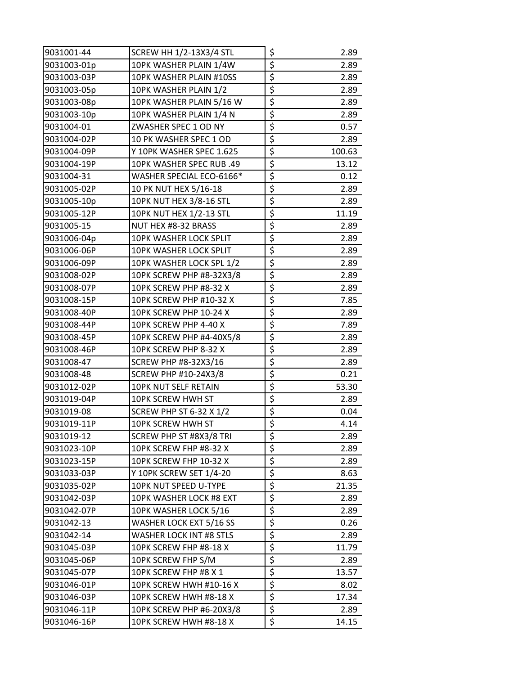| 9031001-44  | <b>SCREW HH 1/2-13X3/4 STL</b> | \$                              | 2.89   |
|-------------|--------------------------------|---------------------------------|--------|
| 9031003-01p | 10PK WASHER PLAIN 1/4W         | $\overline{\mathcal{L}}$        | 2.89   |
| 9031003-03P | 10PK WASHER PLAIN #10SS        | \$                              | 2.89   |
| 9031003-05p | 10PK WASHER PLAIN 1/2          | \$                              | 2.89   |
| 9031003-08p | 10PK WASHER PLAIN 5/16 W       | $\overline{\boldsymbol{\zeta}}$ | 2.89   |
| 9031003-10p | 10PK WASHER PLAIN 1/4 N        | \$                              | 2.89   |
| 9031004-01  | ZWASHER SPEC 1 OD NY           | \$                              | 0.57   |
| 9031004-02P | 10 PK WASHER SPEC 1 OD         | $\overline{\boldsymbol{\zeta}}$ | 2.89   |
| 9031004-09P | Y 10PK WASHER SPEC 1.625       | $\overline{\varsigma}$          | 100.63 |
| 9031004-19P | 10PK WASHER SPEC RUB .49       | \$                              | 13.12  |
| 9031004-31  | WASHER SPECIAL ECO-6166*       | $\overline{\xi}$                | 0.12   |
| 9031005-02P | 10 PK NUT HEX 5/16-18          | \$                              | 2.89   |
| 9031005-10p | 10PK NUT HEX 3/8-16 STL        | $\overline{\mathcal{L}}$        | 2.89   |
| 9031005-12P | 10PK NUT HEX 1/2-13 STL        | $\overline{\mathcal{L}}$        | 11.19  |
| 9031005-15  | NUT HEX #8-32 BRASS            | \$                              | 2.89   |
| 9031006-04p | 10PK WASHER LOCK SPLIT         | \$                              | 2.89   |
| 9031006-06P | 10PK WASHER LOCK SPLIT         | $\overline{\varsigma}$          | 2.89   |
| 9031006-09P | 10PK WASHER LOCK SPL 1/2       | \$                              | 2.89   |
| 9031008-02P | 10PK SCREW PHP #8-32X3/8       | \$                              | 2.89   |
| 9031008-07P | 10PK SCREW PHP #8-32 X         | $\overline{\mathcal{L}}$        | 2.89   |
| 9031008-15P | 10PK SCREW PHP #10-32 X        | $\overline{\mathcal{L}}$        | 7.85   |
| 9031008-40P | 10PK SCREW PHP 10-24 X         | \$                              | 2.89   |
| 9031008-44P | 10PK SCREW PHP 4-40 X          | $\overline{\xi}$                | 7.89   |
| 9031008-45P | 10PK SCREW PHP #4-40X5/8       | \$                              | 2.89   |
| 9031008-46P | 10PK SCREW PHP 8-32 X          | $\overline{\mathcal{L}}$        | 2.89   |
| 9031008-47  | SCREW PHP #8-32X3/16           | \$                              | 2.89   |
| 9031008-48  | <b>SCREW PHP #10-24X3/8</b>    | $\overline{\boldsymbol{\zeta}}$ | 0.21   |
| 9031012-02P | 10PK NUT SELF RETAIN           | $\overline{\varsigma}$          | 53.30  |
| 9031019-04P | 10PK SCREW HWH ST              | $\overline{\xi}$                | 2.89   |
| 9031019-08  | SCREW PHP ST 6-32 X 1/2        | $\overline{\xi}$                | 0.04   |
| 9031019-11P | 10PK SCREW HWH ST              | \$                              | 4.14   |
| 9031019-12  | SCREW PHP ST #8X3/8 TRI        | \$                              | 2.89   |
| 9031023-10P | 10PK SCREW FHP #8-32 X         | \$                              | 2.89   |
| 9031023-15P | 10PK SCREW FHP 10-32 X         | \$                              | 2.89   |
| 9031033-03P | Y 10PK SCREW SET 1/4-20        | \$                              | 8.63   |
| 9031035-02P | 10PK NUT SPEED U-TYPE          | \$                              | 21.35  |
| 9031042-03P | 10PK WASHER LOCK #8 EXT        | \$                              | 2.89   |
| 9031042-07P | 10PK WASHER LOCK 5/16          | \$                              | 2.89   |
| 9031042-13  | WASHER LOCK EXT 5/16 SS        | \$                              | 0.26   |
| 9031042-14  | WASHER LOCK INT #8 STLS        | \$                              | 2.89   |
| 9031045-03P | 10PK SCREW FHP #8-18 X         | \$                              | 11.79  |
| 9031045-06P | 10PK SCREW FHP S/M             | \$                              | 2.89   |
| 9031045-07P | 10PK SCREW FHP #8 X 1          | \$                              | 13.57  |
| 9031046-01P | 10PK SCREW HWH #10-16 X        | \$                              | 8.02   |
| 9031046-03P | 10PK SCREW HWH #8-18 X         | \$                              | 17.34  |
| 9031046-11P | 10PK SCREW PHP #6-20X3/8       | \$                              | 2.89   |
| 9031046-16P | 10PK SCREW HWH #8-18 X         | \$                              | 14.15  |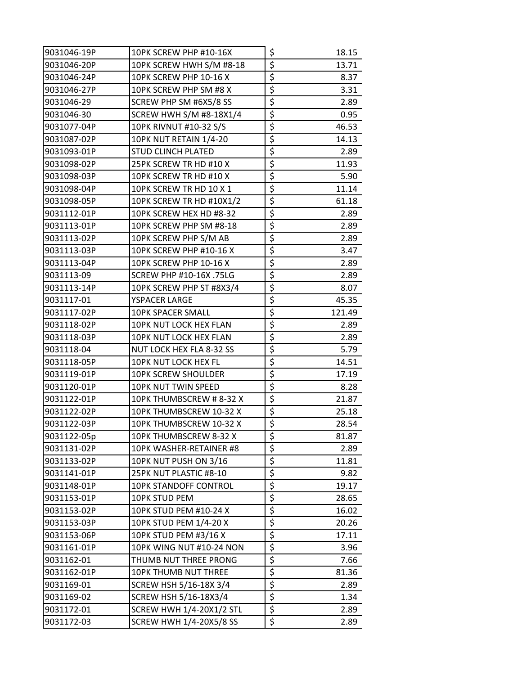| 9031046-19P | 10PK SCREW PHP #10-16X          | \$<br>18.15  |
|-------------|---------------------------------|--------------|
| 9031046-20P | 10PK SCREW HWH S/M #8-18        | \$<br>13.71  |
| 9031046-24P | 10PK SCREW PHP 10-16 X          | \$<br>8.37   |
| 9031046-27P | 10PK SCREW PHP SM #8 X          | \$<br>3.31   |
| 9031046-29  | SCREW PHP SM #6X5/8 SS          | \$<br>2.89   |
| 9031046-30  | SCREW HWH S/M #8-18X1/4         | \$<br>0.95   |
| 9031077-04P | 10PK RIVNUT #10-32 S/S          | \$<br>46.53  |
| 9031087-02P | 10PK NUT RETAIN 1/4-20          | \$<br>14.13  |
| 9031093-01P | <b>STUD CLINCH PLATED</b>       | \$<br>2.89   |
| 9031098-02P | 25PK SCREW TR HD #10 X          | \$<br>11.93  |
| 9031098-03P | 10PK SCREW TR HD #10 X          | \$<br>5.90   |
| 9031098-04P | 10PK SCREW TR HD 10 X 1         | \$<br>11.14  |
| 9031098-05P | 10PK SCREW TR HD #10X1/2        | \$<br>61.18  |
| 9031112-01P | 10PK SCREW HEX HD #8-32         | \$<br>2.89   |
| 9031113-01P | 10PK SCREW PHP SM #8-18         | \$<br>2.89   |
| 9031113-02P | 10PK SCREW PHP S/M AB           | \$<br>2.89   |
| 9031113-03P | 10PK SCREW PHP #10-16 X         | \$<br>3.47   |
| 9031113-04P | 10PK SCREW PHP 10-16 X          | \$<br>2.89   |
| 9031113-09  | SCREW PHP #10-16X .75LG         | \$<br>2.89   |
| 9031113-14P | 10PK SCREW PHP ST #8X3/4        | \$<br>8.07   |
| 9031117-01  | YSPACER LARGE                   | \$<br>45.35  |
| 9031117-02P | 10PK SPACER SMALL               | \$<br>121.49 |
| 9031118-02P | 10PK NUT LOCK HEX FLAN          | \$<br>2.89   |
| 9031118-03P | 10PK NUT LOCK HEX FLAN          | \$<br>2.89   |
| 9031118-04  | NUT LOCK HEX FLA 8-32 SS        | \$<br>5.79   |
| 9031118-05P | 10PK NUT LOCK HEX FL            | \$<br>14.51  |
| 9031119-01P | <b>10PK SCREW SHOULDER</b>      | \$<br>17.19  |
| 9031120-01P | 10PK NUT TWIN SPEED             | \$<br>8.28   |
| 9031122-01P | 10PK THUMBSCREW #8-32 X         | \$<br>21.87  |
| 9031122-02P | 10PK THUMBSCREW 10-32 X         | \$<br>25.18  |
| 9031122-03P | 10PK THUMBSCREW 10-32 X         | \$<br>28.54  |
| 9031122-05p | 10PK THUMBSCREW 8-32 X          | \$<br>81.87  |
| 9031131-02P | 10PK WASHER-RETAINER #8         | \$<br>2.89   |
| 9031133-02P | 10PK NUT PUSH ON 3/16           | \$<br>11.81  |
| 9031141-01P | 25PK NUT PLASTIC #8-10          | \$<br>9.82   |
| 9031148-01P | <b>10PK STANDOFF CONTROL</b>    | \$<br>19.17  |
| 9031153-01P | <b>10PK STUD PEM</b>            | \$<br>28.65  |
| 9031153-02P | 10PK STUD PEM #10-24 X          | \$<br>16.02  |
| 9031153-03P | 10PK STUD PEM 1/4-20 X          | \$<br>20.26  |
| 9031153-06P | 10PK STUD PEM #3/16 X           | \$<br>17.11  |
| 9031161-01P | 10PK WING NUT #10-24 NON        | \$<br>3.96   |
| 9031162-01  | THUMB NUT THREE PRONG           | \$<br>7.66   |
| 9031162-01P | <b>10PK THUMB NUT THREE</b>     | \$<br>81.36  |
| 9031169-01  | SCREW HSH 5/16-18X 3/4          | \$<br>2.89   |
| 9031169-02  | SCREW HSH 5/16-18X3/4           | \$<br>1.34   |
| 9031172-01  | <b>SCREW HWH 1/4-20X1/2 STL</b> | \$<br>2.89   |
| 9031172-03  | SCREW HWH 1/4-20X5/8 SS         | \$<br>2.89   |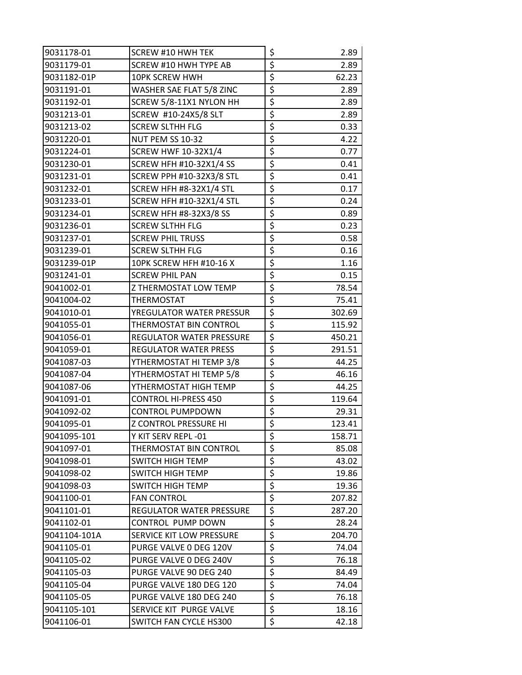| 9031178-01   | <b>SCREW #10 HWH TEK</b>        | \$                              | 2.89   |
|--------------|---------------------------------|---------------------------------|--------|
| 9031179-01   | SCREW #10 HWH TYPE AB           | \$                              | 2.89   |
| 9031182-01P  | 10PK SCREW HWH                  | $\overline{\boldsymbol{\zeta}}$ | 62.23  |
| 9031191-01   | WASHER SAE FLAT 5/8 ZINC        | \$                              | 2.89   |
| 9031192-01   | SCREW 5/8-11X1 NYLON HH         | \$                              | 2.89   |
| 9031213-01   | SCREW #10-24X5/8 SLT            | \$                              | 2.89   |
| 9031213-02   | <b>SCREW SLTHH FLG</b>          | \$                              | 0.33   |
| 9031220-01   | NUT PEM SS 10-32                | \$                              | 4.22   |
| 9031224-01   | <b>SCREW HWF 10-32X1/4</b>      | \$                              | 0.77   |
| 9031230-01   | SCREW HFH #10-32X1/4 SS         | \$                              | 0.41   |
| 9031231-01   | <b>SCREW PPH #10-32X3/8 STL</b> | \$                              | 0.41   |
| 9031232-01   | SCREW HFH #8-32X1/4 STL         | \$                              | 0.17   |
| 9031233-01   | <b>SCREW HFH #10-32X1/4 STL</b> | \$                              | 0.24   |
| 9031234-01   | <b>SCREW HFH #8-32X3/8 SS</b>   | \$                              | 0.89   |
| 9031236-01   | <b>SCREW SLTHH FLG</b>          | \$                              | 0.23   |
| 9031237-01   | <b>SCREW PHIL TRUSS</b>         | \$                              | 0.58   |
| 9031239-01   | <b>SCREW SLTHH FLG</b>          | \$                              | 0.16   |
| 9031239-01P  | 10PK SCREW HFH #10-16 X         | \$                              | 1.16   |
| 9031241-01   | <b>SCREW PHIL PAN</b>           | $\overline{\xi}$                | 0.15   |
| 9041002-01   | Z THERMOSTAT LOW TEMP           | \$                              | 78.54  |
| 9041004-02   | <b>THERMOSTAT</b>               | \$                              | 75.41  |
| 9041010-01   | YREGULATOR WATER PRESSUR        | $\overline{\boldsymbol{\zeta}}$ | 302.69 |
| 9041055-01   | THERMOSTAT BIN CONTROL          | \$                              | 115.92 |
| 9041056-01   | REGULATOR WATER PRESSURE        | $\overline{\boldsymbol{\zeta}}$ | 450.21 |
| 9041059-01   | <b>REGULATOR WATER PRESS</b>    | \$                              | 291.51 |
| 9041087-03   | YTHERMOSTAT HI TEMP 3/8         | \$                              | 44.25  |
| 9041087-04   | YTHERMOSTAT HI TEMP 5/8         | \$                              | 46.16  |
| 9041087-06   | YTHERMOSTAT HIGH TEMP           | $\overline{\boldsymbol{\zeta}}$ | 44.25  |
| 9041091-01   | <b>CONTROL HI-PRESS 450</b>     | \$                              | 119.64 |
| 9041092-02   | <b>CONTROL PUMPDOWN</b>         | \$                              | 29.31  |
| 9041095-01   | <b>Z CONTROL PRESSURE HI</b>    | $\overline{\xi}$                | 123.41 |
| 9041095-101  | Y KIT SERV REPL -01             | \$                              | 158.71 |
| 9041097-01   | THERMOSTAT BIN CONTROL          | \$                              | 85.08  |
| 9041098-01   | SWITCH HIGH TEMP                | \$                              | 43.02  |
| 9041098-02   | SWITCH HIGH TEMP                | \$                              | 19.86  |
| 9041098-03   | SWITCH HIGH TEMP                | $\overline{\boldsymbol{\zeta}}$ | 19.36  |
| 9041100-01   | <b>FAN CONTROL</b>              | \$                              | 207.82 |
| 9041101-01   | REGULATOR WATER PRESSURE        | \$                              | 287.20 |
| 9041102-01   | <b>CONTROL PUMP DOWN</b>        | \$                              | 28.24  |
| 9041104-101A | SERVICE KIT LOW PRESSURE        | $\overline{\boldsymbol{\zeta}}$ | 204.70 |
| 9041105-01   | PURGE VALVE 0 DEG 120V          | \$                              | 74.04  |
| 9041105-02   | PURGE VALVE 0 DEG 240V          | \$                              | 76.18  |
| 9041105-03   | PURGE VALVE 90 DEG 240          | $\overline{\boldsymbol{\zeta}}$ | 84.49  |
| 9041105-04   | PURGE VALVE 180 DEG 120         | \$                              | 74.04  |
| 9041105-05   | PURGE VALVE 180 DEG 240         | $\overline{\xi}$                | 76.18  |
| 9041105-101  | SERVICE KIT PURGE VALVE         | \$                              | 18.16  |
| 9041106-01   | SWITCH FAN CYCLE HS300          | \$                              | 42.18  |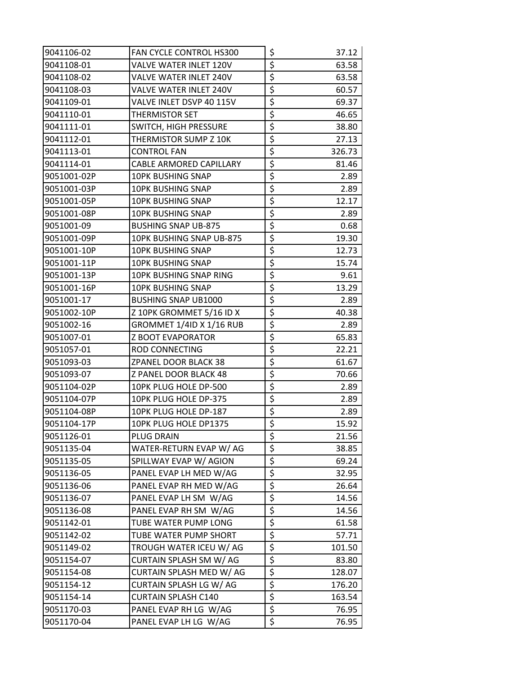| 9041106-02  | <b>FAN CYCLE CONTROL HS300</b> | \$<br>37.12  |
|-------------|--------------------------------|--------------|
| 9041108-01  | VALVE WATER INLET 120V         | \$<br>63.58  |
| 9041108-02  | VALVE WATER INLET 240V         | \$<br>63.58  |
| 9041108-03  | VALVE WATER INLET 240V         | \$<br>60.57  |
| 9041109-01  | VALVE INLET DSVP 40 115V       | \$<br>69.37  |
| 9041110-01  | THERMISTOR SET                 | \$<br>46.65  |
| 9041111-01  | SWITCH, HIGH PRESSURE          | \$<br>38.80  |
| 9041112-01  | THERMISTOR SUMP Z 10K          | \$<br>27.13  |
| 9041113-01  | <b>CONTROL FAN</b>             | \$<br>326.73 |
| 9041114-01  | CABLE ARMORED CAPILLARY        | \$<br>81.46  |
| 9051001-02P | <b>10PK BUSHING SNAP</b>       | \$<br>2.89   |
| 9051001-03P | <b>10PK BUSHING SNAP</b>       | \$<br>2.89   |
| 9051001-05P | <b>10PK BUSHING SNAP</b>       | \$<br>12.17  |
| 9051001-08P | <b>10PK BUSHING SNAP</b>       | \$<br>2.89   |
| 9051001-09  | <b>BUSHING SNAP UB-875</b>     | \$<br>0.68   |
| 9051001-09P | 10PK BUSHING SNAP UB-875       | \$<br>19.30  |
| 9051001-10P | <b>10PK BUSHING SNAP</b>       | \$<br>12.73  |
| 9051001-11P | 10PK BUSHING SNAP              | \$<br>15.74  |
| 9051001-13P | 10PK BUSHING SNAP RING         | \$<br>9.61   |
| 9051001-16P | <b>10PK BUSHING SNAP</b>       | \$<br>13.29  |
| 9051001-17  | <b>BUSHING SNAP UB1000</b>     | \$<br>2.89   |
| 9051002-10P | Z 10PK GROMMET 5/16 ID X       | \$<br>40.38  |
| 9051002-16  | GROMMET 1/4ID X 1/16 RUB       | \$<br>2.89   |
| 9051007-01  | <b>Z BOOT EVAPORATOR</b>       | \$<br>65.83  |
| 9051057-01  | ROD CONNECTING                 | \$<br>22.21  |
| 9051093-03  | ZPANEL DOOR BLACK 38           | \$<br>61.67  |
| 9051093-07  | Z PANEL DOOR BLACK 48          | \$<br>70.66  |
| 9051104-02P | 10PK PLUG HOLE DP-500          | \$<br>2.89   |
| 9051104-07P | 10PK PLUG HOLE DP-375          | \$<br>2.89   |
| 9051104-08P | 10PK PLUG HOLE DP-187          | \$<br>2.89   |
| 9051104-17P | 10PK PLUG HOLE DP1375          | \$<br>15.92  |
| 9051126-01  | PLUG DRAIN                     | \$<br>21.56  |
| 9051135-04  | WATER-RETURN EVAP W/ AG        | \$<br>38.85  |
| 9051135-05  | SPILLWAY EVAP W/ AGION         | \$<br>69.24  |
| 9051136-05  | PANEL EVAP LH MED W/AG         | \$<br>32.95  |
| 9051136-06  | PANEL EVAP RH MED W/AG         | \$<br>26.64  |
| 9051136-07  | PANEL EVAP LH SM W/AG          | \$<br>14.56  |
| 9051136-08  | PANEL EVAP RH SM W/AG          | \$<br>14.56  |
| 9051142-01  | TUBE WATER PUMP LONG           | \$<br>61.58  |
| 9051142-02  | TUBE WATER PUMP SHORT          | \$<br>57.71  |
| 9051149-02  | TROUGH WATER ICEU W/ AG        | \$<br>101.50 |
| 9051154-07  | CURTAIN SPLASH SM W/ AG        | \$<br>83.80  |
| 9051154-08  | CURTAIN SPLASH MED W/ AG       | \$<br>128.07 |
| 9051154-12  | CURTAIN SPLASH LG W/ AG        | \$<br>176.20 |
| 9051154-14  | <b>CURTAIN SPLASH C140</b>     | \$<br>163.54 |
| 9051170-03  | PANEL EVAP RH LG W/AG          | \$<br>76.95  |
| 9051170-04  | PANEL EVAP LH LG W/AG          | \$<br>76.95  |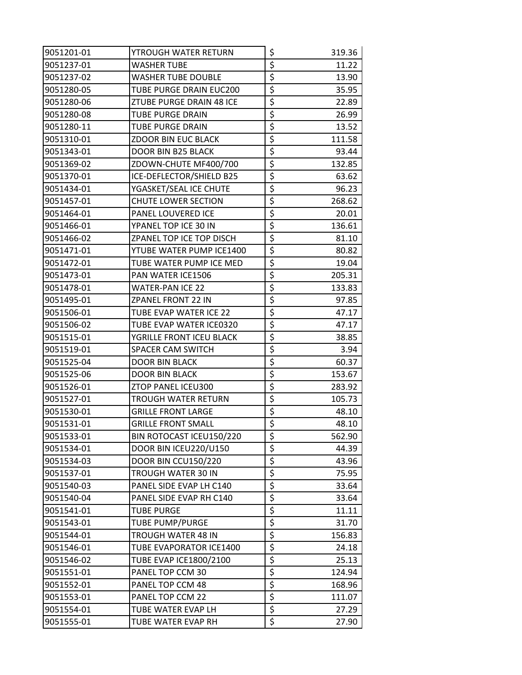| 9051201-01 | YTROUGH WATER RETURN       | \$                                  | 319.36 |
|------------|----------------------------|-------------------------------------|--------|
| 9051237-01 | <b>WASHER TUBE</b>         | \$                                  | 11.22  |
| 9051237-02 | WASHER TUBE DOUBLE         | \$                                  | 13.90  |
| 9051280-05 | TUBE PURGE DRAIN EUC200    | \$                                  | 35.95  |
| 9051280-06 | ZTUBE PURGE DRAIN 48 ICE   | \$                                  | 22.89  |
| 9051280-08 | TUBE PURGE DRAIN           | \$                                  | 26.99  |
| 9051280-11 | <b>TUBE PURGE DRAIN</b>    | \$                                  | 13.52  |
| 9051310-01 | ZDOOR BIN EUC BLACK        | \$                                  | 111.58 |
| 9051343-01 | <b>DOOR BIN B25 BLACK</b>  | \$                                  | 93.44  |
| 9051369-02 | ZDOWN-CHUTE MF400/700      | \$                                  | 132.85 |
| 9051370-01 | ICE-DEFLECTOR/SHIELD B25   | \$                                  | 63.62  |
| 9051434-01 | YGASKET/SEAL ICE CHUTE     | \$                                  | 96.23  |
| 9051457-01 | CHUTE LOWER SECTION        | $\overline{\boldsymbol{\zeta}}$     | 268.62 |
| 9051464-01 | PANEL LOUVERED ICE         | \$                                  | 20.01  |
| 9051466-01 | YPANEL TOP ICE 30 IN       | \$                                  | 136.61 |
| 9051466-02 | ZPANEL TOP ICE TOP DISCH   | \$                                  | 81.10  |
| 9051471-01 | YTUBE WATER PUMP ICE1400   | \$                                  | 80.82  |
| 9051472-01 | TUBE WATER PUMP ICE MED    | \$                                  | 19.04  |
| 9051473-01 | PAN WATER ICE1506          | \$                                  | 205.31 |
| 9051478-01 | <b>WATER-PAN ICE 22</b>    | \$                                  | 133.83 |
| 9051495-01 | ZPANEL FRONT 22 IN         | \$                                  | 97.85  |
| 9051506-01 | TUBE EVAP WATER ICE 22     | \$                                  | 47.17  |
| 9051506-02 | TUBE EVAP WATER ICE0320    | \$                                  | 47.17  |
| 9051515-01 | YGRILLE FRONT ICEU BLACK   | \$                                  | 38.85  |
| 9051519-01 | SPACER CAM SWITCH          | \$                                  | 3.94   |
| 9051525-04 | DOOR BIN BLACK             | \$                                  | 60.37  |
| 9051525-06 | <b>DOOR BIN BLACK</b>      | \$                                  | 153.67 |
| 9051526-01 | ZTOP PANEL ICEU300         | \$                                  | 283.92 |
| 9051527-01 | TROUGH WATER RETURN        | \$                                  | 105.73 |
| 9051530-01 | <b>GRILLE FRONT LARGE</b>  | \$                                  | 48.10  |
| 9051531-01 | <b>GRILLE FRONT SMALL</b>  | $\overline{\boldsymbol{\varsigma}}$ | 48.10  |
| 9051533-01 | BIN ROTOCAST ICEU150/220   | \$                                  | 562.90 |
| 9051534-01 | DOOR BIN ICEU220/U150      | \$                                  | 44.39  |
| 9051534-03 | <b>DOOR BIN CCU150/220</b> | \$                                  | 43.96  |
| 9051537-01 | TROUGH WATER 30 IN         | \$                                  | 75.95  |
| 9051540-03 | PANEL SIDE EVAP LH C140    | \$                                  | 33.64  |
| 9051540-04 | PANEL SIDE EVAP RH C140    | \$                                  | 33.64  |
| 9051541-01 | <b>TUBE PURGE</b>          | \$                                  | 11.11  |
| 9051543-01 | TUBE PUMP/PURGE            | \$                                  | 31.70  |
| 9051544-01 | TROUGH WATER 48 IN         | \$                                  | 156.83 |
| 9051546-01 | TUBE EVAPORATOR ICE1400    | \$                                  | 24.18  |
| 9051546-02 | TUBE EVAP ICE1800/2100     | \$                                  | 25.13  |
| 9051551-01 | PANEL TOP CCM 30           | \$                                  | 124.94 |
| 9051552-01 | PANEL TOP CCM 48           | $\overline{\mathcal{L}}$            | 168.96 |
| 9051553-01 | PANEL TOP CCM 22           | \$                                  | 111.07 |
| 9051554-01 | TUBE WATER EVAP LH         | \$                                  | 27.29  |
| 9051555-01 | TUBE WATER EVAP RH         | \$                                  | 27.90  |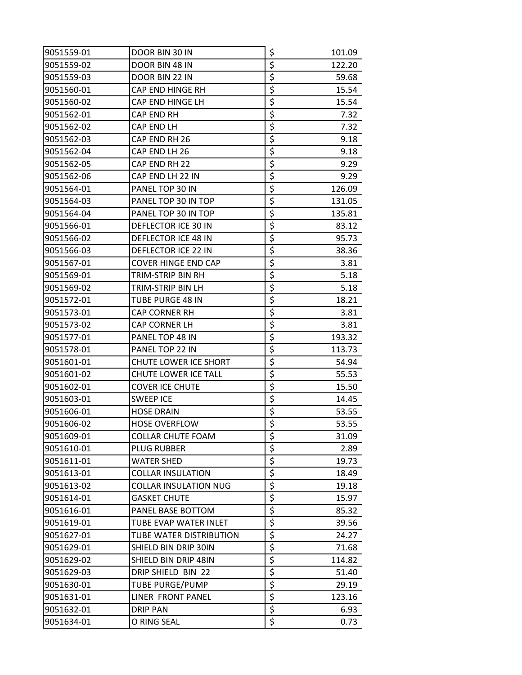| 9051559-01 | DOOR BIN 30 IN               | \$                              | 101.09 |
|------------|------------------------------|---------------------------------|--------|
| 9051559-02 | DOOR BIN 48 IN               | \$                              | 122.20 |
| 9051559-03 | DOOR BIN 22 IN               | \$                              | 59.68  |
| 9051560-01 | CAP END HINGE RH             | \$                              | 15.54  |
| 9051560-02 | CAP END HINGE LH             | \$                              | 15.54  |
| 9051562-01 | CAP END RH                   | \$                              | 7.32   |
| 9051562-02 | CAP END LH                   | \$                              | 7.32   |
| 9051562-03 | CAP END RH 26                | \$                              | 9.18   |
| 9051562-04 | CAP END LH 26                | \$                              | 9.18   |
| 9051562-05 | CAP END RH 22                | $\overline{\xi}$                | 9.29   |
| 9051562-06 | CAP END LH 22 IN             | \$                              | 9.29   |
| 9051564-01 | PANEL TOP 30 IN              | \$                              | 126.09 |
| 9051564-03 | PANEL TOP 30 IN TOP          | \$                              | 131.05 |
| 9051564-04 | PANEL TOP 30 IN TOP          | \$                              | 135.81 |
| 9051566-01 | DEFLECTOR ICE 30 IN          | \$                              | 83.12  |
| 9051566-02 | <b>DEFLECTOR ICE 48 IN</b>   | \$                              | 95.73  |
| 9051566-03 | DEFLECTOR ICE 22 IN          | \$                              | 38.36  |
| 9051567-01 | <b>COVER HINGE END CAP</b>   | \$                              | 3.81   |
| 9051569-01 | TRIM-STRIP BIN RH            | \$                              | 5.18   |
| 9051569-02 | TRIM-STRIP BIN LH            | \$                              | 5.18   |
| 9051572-01 | TUBE PURGE 48 IN             | $\overline{\boldsymbol{\zeta}}$ | 18.21  |
| 9051573-01 | <b>CAP CORNER RH</b>         | \$                              | 3.81   |
| 9051573-02 | CAP CORNER LH                | \$                              | 3.81   |
| 9051577-01 | PANEL TOP 48 IN              | \$                              | 193.32 |
| 9051578-01 | PANEL TOP 22 IN              | \$                              | 113.73 |
| 9051601-01 | CHUTE LOWER ICE SHORT        | \$                              | 54.94  |
| 9051601-02 | CHUTE LOWER ICE TALL         | $\overline{\boldsymbol{\zeta}}$ | 55.53  |
| 9051602-01 | <b>COVER ICE CHUTE</b>       | \$                              | 15.50  |
| 9051603-01 | <b>SWEEP ICE</b>             | \$                              | 14.45  |
| 9051606-01 | <b>HOSE DRAIN</b>            | \$                              | 53.55  |
| 9051606-02 | <b>HOSE OVERFLOW</b>         | \$                              | 53.55  |
| 9051609-01 | <b>COLLAR CHUTE FOAM</b>     | \$                              | 31.09  |
| 9051610-01 | PLUG RUBBER                  | \$                              | 2.89   |
| 9051611-01 | <b>WATER SHED</b>            | \$                              | 19.73  |
| 9051613-01 | <b>COLLAR INSULATION</b>     | \$                              | 18.49  |
| 9051613-02 | <b>COLLAR INSULATION NUG</b> | \$                              | 19.18  |
| 9051614-01 | <b>GASKET CHUTE</b>          | \$                              | 15.97  |
| 9051616-01 | PANEL BASE BOTTOM            | $\overline{\boldsymbol{\zeta}}$ | 85.32  |
| 9051619-01 | <b>TUBE EVAP WATER INLET</b> | \$                              | 39.56  |
| 9051627-01 | TUBE WATER DISTRIBUTION      | $\overline{\boldsymbol{\zeta}}$ | 24.27  |
| 9051629-01 | SHIELD BIN DRIP 30IN         | $\overline{\boldsymbol{\zeta}}$ | 71.68  |
| 9051629-02 | SHIELD BIN DRIP 48IN         | \$                              | 114.82 |
| 9051629-03 | DRIP SHIELD BIN 22           | \$                              | 51.40  |
| 9051630-01 | <b>TUBE PURGE/PUMP</b>       | \$                              | 29.19  |
| 9051631-01 | LINER FRONT PANEL            | $\overline{\boldsymbol{\zeta}}$ | 123.16 |
| 9051632-01 | <b>DRIP PAN</b>              | $\overline{\boldsymbol{\zeta}}$ | 6.93   |
| 9051634-01 | O RING SEAL                  | \$                              | 0.73   |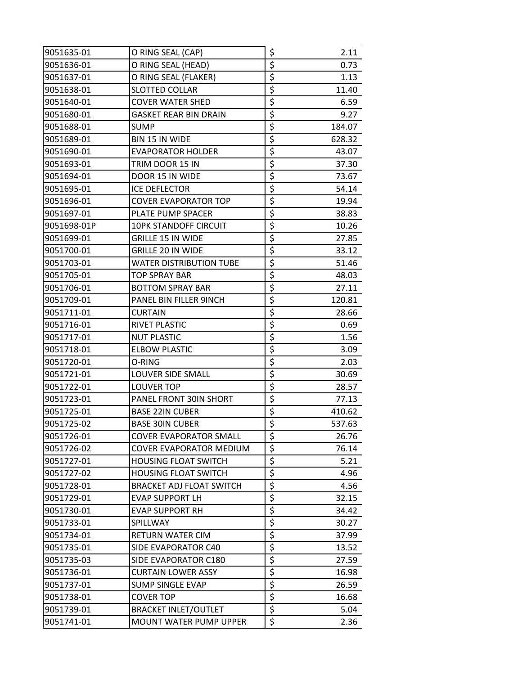| 9051635-01  | O RING SEAL (CAP)               | \$                              | 2.11   |
|-------------|---------------------------------|---------------------------------|--------|
| 9051636-01  | O RING SEAL (HEAD)              | \$                              | 0.73   |
| 9051637-01  | O RING SEAL (FLAKER)            | \$                              | 1.13   |
| 9051638-01  | <b>SLOTTED COLLAR</b>           | $\overline{\xi}$                | 11.40  |
| 9051640-01  | <b>COVER WATER SHED</b>         | \$                              | 6.59   |
| 9051680-01  | <b>GASKET REAR BIN DRAIN</b>    | \$                              | 9.27   |
| 9051688-01  | <b>SUMP</b>                     | \$                              | 184.07 |
| 9051689-01  | BIN 15 IN WIDE                  | \$                              | 628.32 |
| 9051690-01  | <b>EVAPORATOR HOLDER</b>        | \$                              | 43.07  |
| 9051693-01  | TRIM DOOR 15 IN                 | \$                              | 37.30  |
| 9051694-01  | DOOR 15 IN WIDE                 | \$                              | 73.67  |
| 9051695-01  | <b>ICE DEFLECTOR</b>            | \$                              | 54.14  |
| 9051696-01  | <b>COVER EVAPORATOR TOP</b>     | \$                              | 19.94  |
| 9051697-01  | PLATE PUMP SPACER               | \$                              | 38.83  |
| 9051698-01P | <b>10PK STANDOFF CIRCUIT</b>    | \$                              | 10.26  |
| 9051699-01  | <b>GRILLE 15 IN WIDE</b>        | \$                              | 27.85  |
| 9051700-01  | <b>GRILLE 20 IN WIDE</b>        | \$                              | 33.12  |
| 9051703-01  | <b>WATER DISTRIBUTION TUBE</b>  | \$                              | 51.46  |
| 9051705-01  | <b>TOP SPRAY BAR</b>            | \$                              | 48.03  |
| 9051706-01  | <b>BOTTOM SPRAY BAR</b>         | \$                              | 27.11  |
| 9051709-01  | PANEL BIN FILLER 9INCH          | \$                              | 120.81 |
| 9051711-01  | <b>CURTAIN</b>                  | \$                              | 28.66  |
| 9051716-01  | RIVET PLASTIC                   | $\overline{\xi}$                | 0.69   |
| 9051717-01  | <b>NUT PLASTIC</b>              | \$                              | 1.56   |
| 9051718-01  | <b>ELBOW PLASTIC</b>            | \$                              | 3.09   |
| 9051720-01  | O-RING                          | \$                              | 2.03   |
| 9051721-01  | LOUVER SIDE SMALL               | \$                              | 30.69  |
| 9051722-01  | <b>LOUVER TOP</b>               | \$                              | 28.57  |
| 9051723-01  | PANEL FRONT 30IN SHORT          | $\overline{\boldsymbol{\zeta}}$ | 77.13  |
| 9051725-01  | <b>BASE 22IN CUBER</b>          | \$                              | 410.62 |
| 9051725-02  | <b>BASE 30IN CUBER</b>          | $\overline{\xi}$                | 537.63 |
| 9051726-01  | <b>COVER EVAPORATOR SMALL</b>   | \$                              | 26.76  |
| 9051726-02  | COVER EVAPORATOR MEDIUM         | \$                              | 76.14  |
| 9051727-01  | <b>HOUSING FLOAT SWITCH</b>     | \$                              | 5.21   |
| 9051727-02  | <b>HOUSING FLOAT SWITCH</b>     | \$                              | 4.96   |
| 9051728-01  | <b>BRACKET ADJ FLOAT SWITCH</b> | \$                              | 4.56   |
| 9051729-01  | <b>EVAP SUPPORT LH</b>          | \$                              | 32.15  |
| 9051730-01  | <b>EVAP SUPPORT RH</b>          | \$                              | 34.42  |
| 9051733-01  | SPILLWAY                        | \$                              | 30.27  |
| 9051734-01  | RETURN WATER CIM                | \$                              | 37.99  |
| 9051735-01  | SIDE EVAPORATOR C40             | \$                              | 13.52  |
| 9051735-03  | SIDE EVAPORATOR C180            | \$                              | 27.59  |
| 9051736-01  | <b>CURTAIN LOWER ASSY</b>       | \$                              | 16.98  |
| 9051737-01  | SUMP SINGLE EVAP                | $\overline{\boldsymbol{\zeta}}$ | 26.59  |
| 9051738-01  | <b>COVER TOP</b>                | \$                              | 16.68  |
| 9051739-01  | <b>BRACKET INLET/OUTLET</b>     | \$                              | 5.04   |
| 9051741-01  | <b>MOUNT WATER PUMP UPPER</b>   | \$                              | 2.36   |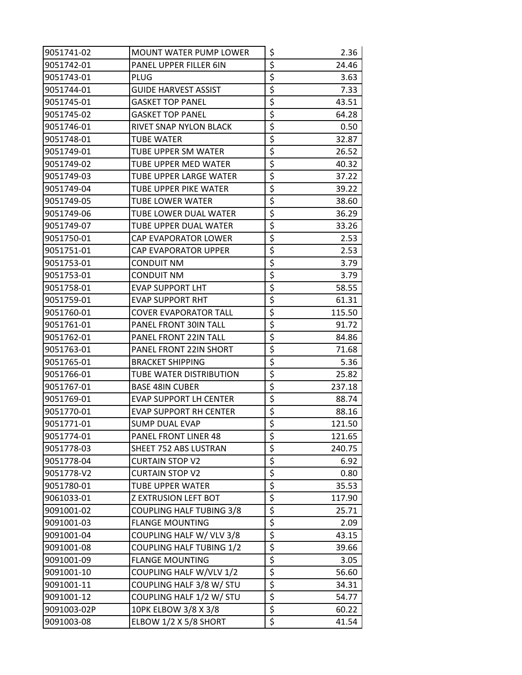| 9051741-02  | <b>MOUNT WATER PUMP LOWER</b>   | \$                              | 2.36   |
|-------------|---------------------------------|---------------------------------|--------|
| 9051742-01  | PANEL UPPER FILLER 6IN          | \$                              | 24.46  |
| 9051743-01  | PLUG                            | \$                              | 3.63   |
| 9051744-01  | <b>GUIDE HARVEST ASSIST</b>     | \$                              | 7.33   |
| 9051745-01  | <b>GASKET TOP PANEL</b>         | $\overline{\boldsymbol{\zeta}}$ | 43.51  |
| 9051745-02  | <b>GASKET TOP PANEL</b>         | \$                              | 64.28  |
| 9051746-01  | RIVET SNAP NYLON BLACK          | \$                              | 0.50   |
| 9051748-01  | <b>TUBE WATER</b>               | \$                              | 32.87  |
| 9051749-01  | TUBE UPPER SM WATER             | \$                              | 26.52  |
| 9051749-02  | TUBE UPPER MED WATER            | \$                              | 40.32  |
| 9051749-03  | TUBE UPPER LARGE WATER          | \$                              | 37.22  |
| 9051749-04  | TUBE UPPER PIKE WATER           | \$                              | 39.22  |
| 9051749-05  | TUBE LOWER WATER                | \$                              | 38.60  |
| 9051749-06  | TUBE LOWER DUAL WATER           | \$                              | 36.29  |
| 9051749-07  | TUBE UPPER DUAL WATER           | \$                              | 33.26  |
| 9051750-01  | CAP EVAPORATOR LOWER            | \$                              | 2.53   |
| 9051751-01  | <b>CAP EVAPORATOR UPPER</b>     | \$                              | 2.53   |
| 9051753-01  | <b>CONDUIT NM</b>               | \$                              | 3.79   |
| 9051753-01  | <b>CONDUIT NM</b>               | \$                              | 3.79   |
| 9051758-01  | <b>EVAP SUPPORT LHT</b>         | \$                              | 58.55  |
| 9051759-01  | <b>EVAP SUPPORT RHT</b>         | \$                              | 61.31  |
| 9051760-01  | <b>COVER EVAPORATOR TALL</b>    | \$                              | 115.50 |
| 9051761-01  | PANEL FRONT 30IN TALL           | \$                              | 91.72  |
| 9051762-01  | PANEL FRONT 22IN TALL           | $\overline{\boldsymbol{\zeta}}$ | 84.86  |
| 9051763-01  | PANEL FRONT 22IN SHORT          | \$                              | 71.68  |
| 9051765-01  | <b>BRACKET SHIPPING</b>         | \$                              | 5.36   |
| 9051766-01  | TUBE WATER DISTRIBUTION         | \$                              | 25.82  |
| 9051767-01  | <b>BASE 48IN CUBER</b>          | \$                              | 237.18 |
| 9051769-01  | EVAP SUPPORT LH CENTER          | \$                              | 88.74  |
| 9051770-01  | <b>EVAP SUPPORT RH CENTER</b>   | \$                              | 88.16  |
| 9051771-01  | <b>SUMP DUAL EVAP</b>           | $\overline{\xi}$                | 121.50 |
| 9051774-01  | PANEL FRONT LINER 48            | \$                              | 121.65 |
| 9051778-03  | SHEET 752 ABS LUSTRAN           | $\overline{\boldsymbol{\zeta}}$ | 240.75 |
| 9051778-04  | <b>CURTAIN STOP V2</b>          | \$                              | 6.92   |
| 9051778-V2  | <b>CURTAIN STOP V2</b>          | \$                              | 0.80   |
| 9051780-01  | TUBE UPPER WATER                | \$                              | 35.53  |
| 9061033-01  | <b>Z EXTRUSION LEFT BOT</b>     | \$                              | 117.90 |
| 9091001-02  | <b>COUPLING HALF TUBING 3/8</b> | \$                              | 25.71  |
| 9091001-03  | <b>FLANGE MOUNTING</b>          | $\zeta$                         | 2.09   |
| 9091001-04  | COUPLING HALF W/ VLV 3/8        | \$                              | 43.15  |
| 9091001-08  | <b>COUPLING HALF TUBING 1/2</b> | $\overline{\xi}$                | 39.66  |
| 9091001-09  | <b>FLANGE MOUNTING</b>          | \$                              | 3.05   |
| 9091001-10  | COUPLING HALF W/VLV 1/2         | \$                              | 56.60  |
| 9091001-11  | COUPLING HALF 3/8 W/ STU        | \$                              | 34.31  |
| 9091001-12  | COUPLING HALF 1/2 W/ STU        | \$                              | 54.77  |
| 9091003-02P | 10PK ELBOW 3/8 X 3/8            | \$                              | 60.22  |
| 9091003-08  | ELBOW 1/2 X 5/8 SHORT           | $\overline{\xi}$                | 41.54  |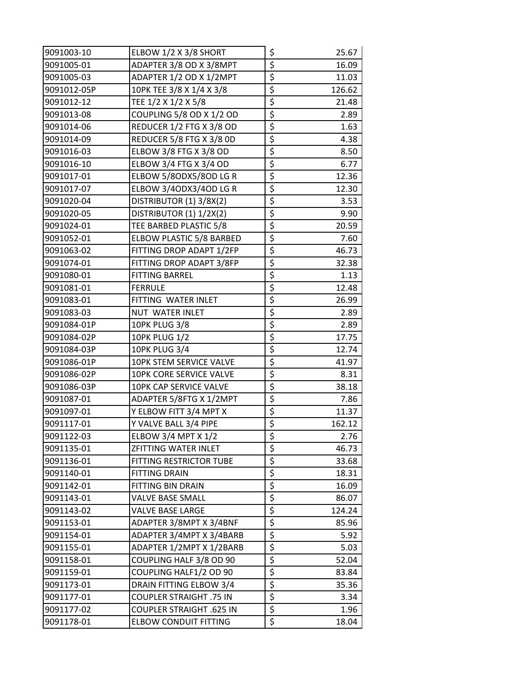| 9091003-10  | ELBOW 1/2 X 3/8 SHORT           | \$                              | 25.67  |
|-------------|---------------------------------|---------------------------------|--------|
| 9091005-01  | ADAPTER 3/8 OD X 3/8MPT         | $\overline{\boldsymbol{\zeta}}$ | 16.09  |
| 9091005-03  | ADAPTER 1/2 OD X 1/2MPT         | $\overline{\boldsymbol{\zeta}}$ | 11.03  |
| 9091012-05P | 10PK TEE 3/8 X 1/4 X 3/8        | \$                              | 126.62 |
| 9091012-12  | TEE 1/2 X 1/2 X 5/8             | \$                              | 21.48  |
| 9091013-08  | COUPLING 5/8 OD X 1/2 OD        | \$                              | 2.89   |
| 9091014-06  | REDUCER 1/2 FTG X 3/8 OD        | $\overline{\xi}$                | 1.63   |
| 9091014-09  | REDUCER 5/8 FTG X 3/8 OD        | $\overline{\xi}$                | 4.38   |
| 9091016-03  | ELBOW 3/8 FTG X 3/8 OD          | \$                              | 8.50   |
| 9091016-10  | <b>ELBOW 3/4 FTG X 3/4 OD</b>   | \$                              | 6.77   |
| 9091017-01  | ELBOW 5/8ODX5/8OD LG R          | \$                              | 12.36  |
| 9091017-07  | ELBOW 3/4ODX3/4OD LG R          | \$                              | 12.30  |
| 9091020-04  | DISTRIBUTOR (1) 3/8X(2)         | \$                              | 3.53   |
| 9091020-05  | DISTRIBUTOR (1) 1/2X(2)         | $\overline{\boldsymbol{\zeta}}$ | 9.90   |
| 9091024-01  | TEE BARBED PLASTIC 5/8          | \$                              | 20.59  |
| 9091052-01  | ELBOW PLASTIC 5/8 BARBED        | \$                              | 7.60   |
| 9091063-02  | FITTING DROP ADAPT 1/2FP        | \$                              | 46.73  |
| 9091074-01  | FITTING DROP ADAPT 3/8FP        | \$                              | 32.38  |
| 9091080-01  | <b>FITTING BARREL</b>           | \$                              | 1.13   |
| 9091081-01  | <b>FERRULE</b>                  | \$                              | 12.48  |
| 9091083-01  | FITTING WATER INLET             | \$                              | 26.99  |
| 9091083-03  | NUT WATER INLET                 | \$                              | 2.89   |
| 9091084-01P | <b>10PK PLUG 3/8</b>            | \$                              | 2.89   |
| 9091084-02P | <b>10PK PLUG 1/2</b>            | \$                              | 17.75  |
| 9091084-03P | <b>10PK PLUG 3/4</b>            | \$                              | 12.74  |
| 9091086-01P | 10PK STEM SERVICE VALVE         | $\overline{\xi}$                | 41.97  |
| 9091086-02P | 10PK CORE SERVICE VALVE         | \$                              | 8.31   |
| 9091086-03P | 10PK CAP SERVICE VALVE          | $\overline{\boldsymbol{\zeta}}$ | 38.18  |
| 9091087-01  | ADAPTER 5/8FTG X 1/2MPT         | \$                              | 7.86   |
| 9091097-01  | Y ELBOW FITT 3/4 MPT X          | \$                              | 11.37  |
| 9091117-01  | Y VALVE BALL 3/4 PIPE           | $\overline{\xi}$                | 162.12 |
| 9091122-03  | ELBOW 3/4 MPT X 1/2             | \$                              | 2.76   |
| 9091135-01  | ZFITTING WATER INLET            | \$                              | 46.73  |
| 9091136-01  | <b>FITTING RESTRICTOR TUBE</b>  | \$                              | 33.68  |
| 9091140-01  | <b>FITTING DRAIN</b>            | $\overline{\xi}$                | 18.31  |
| 9091142-01  | FITTING BIN DRAIN               | \$                              | 16.09  |
| 9091143-01  | <b>VALVE BASE SMALL</b>         | \$                              | 86.07  |
| 9091143-02  | <b>VALVE BASE LARGE</b>         | \$                              | 124.24 |
| 9091153-01  | ADAPTER 3/8MPT X 3/4BNF         | \$                              | 85.96  |
| 9091154-01  | ADAPTER 3/4MPT X 3/4BARB        | \$                              | 5.92   |
| 9091155-01  | ADAPTER 1/2MPT X 1/2BARB        | \$                              | 5.03   |
| 9091158-01  | COUPLING HALF 3/8 OD 90         | \$                              | 52.04  |
| 9091159-01  | COUPLING HALF1/2 OD 90          | \$                              | 83.84  |
| 9091173-01  | DRAIN FITTING ELBOW 3/4         | \$                              | 35.36  |
| 9091177-01  | <b>COUPLER STRAIGHT .75 IN</b>  | $\overline{\xi}$                | 3.34   |
| 9091177-02  | <b>COUPLER STRAIGHT .625 IN</b> | \$                              | 1.96   |
| 9091178-01  | <b>ELBOW CONDUIT FITTING</b>    | $\overline{\xi}$                | 18.04  |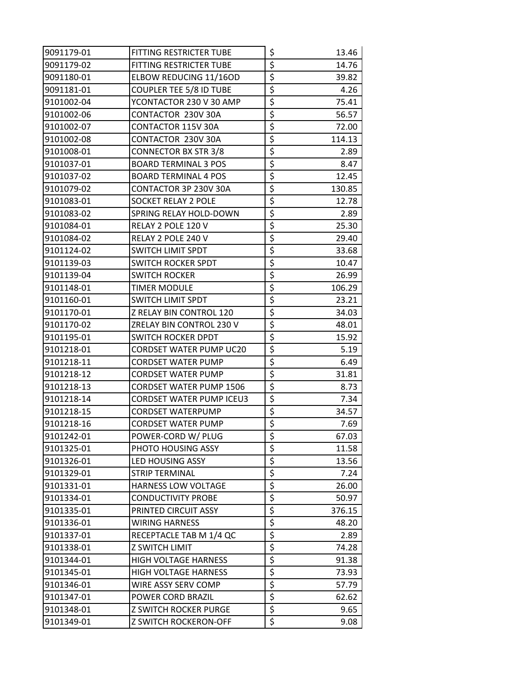| 9091179-01 | FITTING RESTRICTER TUBE        | \$                                  | 13.46  |
|------------|--------------------------------|-------------------------------------|--------|
| 9091179-02 | FITTING RESTRICTER TUBE        | \$                                  | 14.76  |
| 9091180-01 | ELBOW REDUCING 11/16OD         | \$                                  | 39.82  |
| 9091181-01 | COUPLER TEE 5/8 ID TUBE        | \$                                  | 4.26   |
| 9101002-04 | YCONTACTOR 230 V 30 AMP        | \$                                  | 75.41  |
| 9101002-06 | CONTACTOR 230V 30A             | \$                                  | 56.57  |
| 9101002-07 | CONTACTOR 115V 30A             | \$                                  | 72.00  |
| 9101002-08 | CONTACTOR 230V 30A             | \$                                  | 114.13 |
| 9101008-01 | <b>CONNECTOR BX STR 3/8</b>    | \$                                  | 2.89   |
| 9101037-01 | <b>BOARD TERMINAL 3 POS</b>    | \$                                  | 8.47   |
| 9101037-02 | <b>BOARD TERMINAL 4 POS</b>    | \$                                  | 12.45  |
| 9101079-02 | CONTACTOR 3P 230V 30A          | \$                                  | 130.85 |
| 9101083-01 | SOCKET RELAY 2 POLE            | $\overline{\boldsymbol{\zeta}}$     | 12.78  |
| 9101083-02 | SPRING RELAY HOLD-DOWN         | \$                                  | 2.89   |
| 9101084-01 | RELAY 2 POLE 120 V             | \$                                  | 25.30  |
| 9101084-02 | RELAY 2 POLE 240 V             | \$                                  | 29.40  |
| 9101124-02 | SWITCH LIMIT SPDT              | \$                                  | 33.68  |
| 9101139-03 | <b>SWITCH ROCKER SPDT</b>      | \$                                  | 10.47  |
| 9101139-04 | <b>SWITCH ROCKER</b>           | \$                                  | 26.99  |
| 9101148-01 | TIMER MODULE                   | \$                                  | 106.29 |
| 9101160-01 | SWITCH LIMIT SPDT              | \$                                  | 23.21  |
| 9101170-01 | Z RELAY BIN CONTROL 120        | \$                                  | 34.03  |
| 9101170-02 | ZRELAY BIN CONTROL 230 V       | \$                                  | 48.01  |
| 9101195-01 | SWITCH ROCKER DPDT             | \$                                  | 15.92  |
| 9101218-01 | <b>CORDSET WATER PUMP UC20</b> | \$                                  | 5.19   |
| 9101218-11 | <b>CORDSET WATER PUMP</b>      | \$                                  | 6.49   |
| 9101218-12 | <b>CORDSET WATER PUMP</b>      | \$                                  | 31.81  |
| 9101218-13 | <b>CORDSET WATER PUMP 1506</b> | \$                                  | 8.73   |
| 9101218-14 | CORDSET WATER PUMP ICEU3       | \$                                  | 7.34   |
| 9101218-15 | <b>CORDSET WATERPUMP</b>       | \$                                  | 34.57  |
| 9101218-16 | <b>CORDSET WATER PUMP</b>      | $\overline{\boldsymbol{\varsigma}}$ | 7.69   |
| 9101242-01 | POWER-CORD W/ PLUG             | \$                                  | 67.03  |
| 9101325-01 | PHOTO HOUSING ASSY             | \$                                  | 11.58  |
| 9101326-01 | LED HOUSING ASSY               | \$                                  | 13.56  |
| 9101329-01 | <b>STRIP TERMINAL</b>          | \$                                  | 7.24   |
| 9101331-01 | HARNESS LOW VOLTAGE            | \$                                  | 26.00  |
| 9101334-01 | <b>CONDUCTIVITY PROBE</b>      | \$                                  | 50.97  |
| 9101335-01 | PRINTED CIRCUIT ASSY           | \$                                  | 376.15 |
| 9101336-01 | <b>WIRING HARNESS</b>          | \$                                  | 48.20  |
| 9101337-01 | RECEPTACLE TAB M 1/4 QC        | \$                                  | 2.89   |
| 9101338-01 | Z SWITCH LIMIT                 | \$                                  | 74.28  |
| 9101344-01 | <b>HIGH VOLTAGE HARNESS</b>    | \$                                  | 91.38  |
| 9101345-01 | <b>HIGH VOLTAGE HARNESS</b>    | \$                                  | 73.93  |
| 9101346-01 | WIRE ASSY SERV COMP            | \$                                  | 57.79  |
| 9101347-01 | POWER CORD BRAZIL              | \$                                  | 62.62  |
| 9101348-01 | <b>Z SWITCH ROCKER PURGE</b>   | \$                                  | 9.65   |
| 9101349-01 | <b>Z SWITCH ROCKERON-OFF</b>   | \$                                  | 9.08   |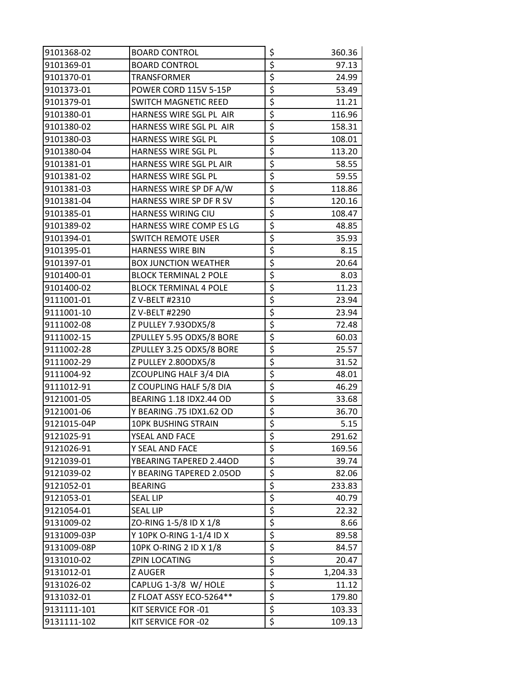| 9101368-02  | <b>BOARD CONTROL</b>         | \$                              | 360.36   |
|-------------|------------------------------|---------------------------------|----------|
| 9101369-01  | <b>BOARD CONTROL</b>         | \$                              | 97.13    |
| 9101370-01  | TRANSFORMER                  | \$                              | 24.99    |
| 9101373-01  | POWER CORD 115V 5-15P        | \$                              | 53.49    |
| 9101379-01  | <b>SWITCH MAGNETIC REED</b>  | \$                              | 11.21    |
| 9101380-01  | HARNESS WIRE SGL PL AIR      | \$                              | 116.96   |
| 9101380-02  | HARNESS WIRE SGL PL AIR      | \$                              | 158.31   |
| 9101380-03  | HARNESS WIRE SGL PL          | \$                              | 108.01   |
| 9101380-04  | HARNESS WIRE SGL PL          | \$                              | 113.20   |
| 9101381-01  | HARNESS WIRE SGL PL AIR      | \$                              | 58.55    |
| 9101381-02  | HARNESS WIRE SGL PL          | \$                              | 59.55    |
| 9101381-03  | HARNESS WIRE SP DF A/W       | \$                              | 118.86   |
| 9101381-04  | HARNESS WIRE SP DF R SV      | $\overline{\boldsymbol{\zeta}}$ | 120.16   |
| 9101385-01  | HARNESS WIRING CIU           | \$                              | 108.47   |
| 9101389-02  | HARNESS WIRE COMP ES LG      | \$                              | 48.85    |
| 9101394-01  | <b>SWITCH REMOTE USER</b>    | \$                              | 35.93    |
| 9101395-01  | <b>HARNESS WIRE BIN</b>      | \$                              | 8.15     |
| 9101397-01  | <b>BOX JUNCTION WEATHER</b>  | \$                              | 20.64    |
| 9101400-01  | <b>BLOCK TERMINAL 2 POLE</b> | \$                              | 8.03     |
| 9101400-02  | <b>BLOCK TERMINAL 4 POLE</b> | \$                              | 11.23    |
| 9111001-01  | Z V-BELT #2310               | \$                              | 23.94    |
| 9111001-10  | Z V-BELT #2290               | \$                              | 23.94    |
| 9111002-08  | Z PULLEY 7.93ODX5/8          | \$                              | 72.48    |
| 9111002-15  | ZPULLEY 5.95 ODX5/8 BORE     | \$                              | 60.03    |
| 9111002-28  | ZPULLEY 3.25 ODX5/8 BORE     | \$                              | 25.57    |
| 9111002-29  | Z PULLEY 2.80ODX5/8          | \$                              | 31.52    |
| 9111004-92  | ZCOUPLING HALF 3/4 DIA       | \$                              | 48.01    |
| 9111012-91  | Z COUPLING HALF 5/8 DIA      | \$                              | 46.29    |
| 9121001-05  | BEARING 1.18 IDX2.44 OD      | \$                              | 33.68    |
| 9121001-06  | Y BEARING .75 IDX1.62 OD     | \$                              | 36.70    |
| 9121015-04P | <b>10PK BUSHING STRAIN</b>   | $\overline{\xi}$                | 5.15     |
| 9121025-91  | YSEAL AND FACE               | \$                              | 291.62   |
| 9121026-91  | Y SEAL AND FACE              | \$                              | 169.56   |
| 9121039-01  | YBEARING TAPERED 2.44OD      | $\overline{\boldsymbol{\zeta}}$ | 39.74    |
| 9121039-02  | Y BEARING TAPERED 2.05OD     | \$                              | 82.06    |
| 9121052-01  | <b>BEARING</b>               | $\overline{\boldsymbol{\zeta}}$ | 233.83   |
| 9121053-01  | <b>SEAL LIP</b>              | $\overline{\boldsymbol{\zeta}}$ | 40.79    |
| 9121054-01  | <b>SEAL LIP</b>              | \$                              | 22.32    |
| 9131009-02  | ZO-RING 1-5/8 ID X 1/8       | \$                              | 8.66     |
| 9131009-03P | Y 10PK O-RING 1-1/4 ID X     | \$                              | 89.58    |
| 9131009-08P | 10PK O-RING 2 ID X 1/8       | \$                              | 84.57    |
| 9131010-02  | ZPIN LOCATING                | \$                              | 20.47    |
| 9131012-01  | Z AUGER                      | \$                              | 1,204.33 |
| 9131026-02  | CAPLUG 1-3/8 W/ HOLE         | \$                              | 11.12    |
| 9131032-01  | Z FLOAT ASSY ECO-5264**      | \$                              | 179.80   |
| 9131111-101 | KIT SERVICE FOR -01          | $\overline{\boldsymbol{\zeta}}$ | 103.33   |
| 9131111-102 | KIT SERVICE FOR -02          | \$                              | 109.13   |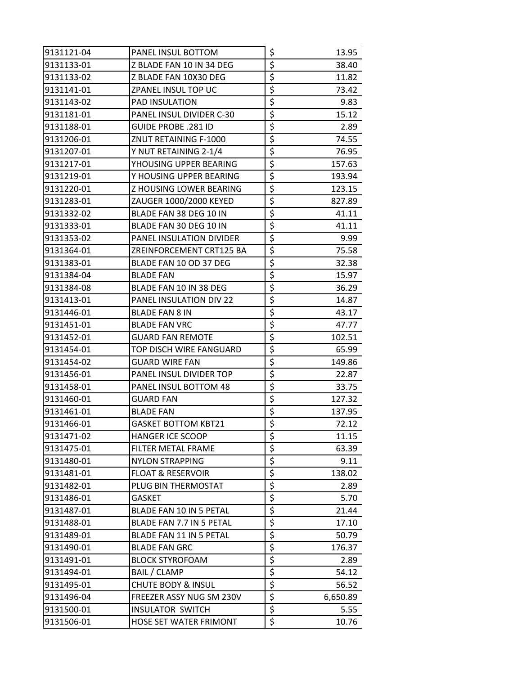| 9131121-04 | PANEL INSUL BOTTOM            | \$                              | 13.95    |
|------------|-------------------------------|---------------------------------|----------|
| 9131133-01 | Z BLADE FAN 10 IN 34 DEG      | \$                              | 38.40    |
| 9131133-02 | Z BLADE FAN 10X30 DEG         | \$                              | 11.82    |
| 9131141-01 | ZPANEL INSUL TOP UC           | \$                              | 73.42    |
| 9131143-02 | PAD INSULATION                | \$                              | 9.83     |
| 9131181-01 | PANEL INSUL DIVIDER C-30      | \$                              | 15.12    |
| 9131188-01 | GUIDE PROBE .281 ID           | $\overline{\boldsymbol{\zeta}}$ | 2.89     |
| 9131206-01 | ZNUT RETAINING F-1000         | \$                              | 74.55    |
| 9131207-01 | Y NUT RETAINING 2-1/4         | $\overline{\boldsymbol{\zeta}}$ | 76.95    |
| 9131217-01 | YHOUSING UPPER BEARING        | \$                              | 157.63   |
| 9131219-01 | Y HOUSING UPPER BEARING       | \$                              | 193.94   |
| 9131220-01 | Z HOUSING LOWER BEARING       | \$                              | 123.15   |
| 9131283-01 | ZAUGER 1000/2000 KEYED        | $\overline{\boldsymbol{\zeta}}$ | 827.89   |
| 9131332-02 | BLADE FAN 38 DEG 10 IN        | $\overline{\boldsymbol{\zeta}}$ | 41.11    |
| 9131333-01 | BLADE FAN 30 DEG 10 IN        | \$                              | 41.11    |
| 9131353-02 | PANEL INSULATION DIVIDER      | \$                              | 9.99     |
| 9131364-01 | ZREINFORCEMENT CRT125 BA      | $\overline{\boldsymbol{\zeta}}$ | 75.58    |
| 9131383-01 | BLADE FAN 10 OD 37 DEG        | \$                              | 32.38    |
| 9131384-04 | <b>BLADE FAN</b>              | \$                              | 15.97    |
| 9131384-08 | BLADE FAN 10 IN 38 DEG        | \$                              | 36.29    |
| 9131413-01 | PANEL INSULATION DIV 22       | \$                              | 14.87    |
| 9131446-01 | <b>BLADE FAN 8 IN</b>         | \$                              | 43.17    |
| 9131451-01 | <b>BLADE FAN VRC</b>          | \$                              | 47.77    |
| 9131452-01 | <b>GUARD FAN REMOTE</b>       | \$                              | 102.51   |
| 9131454-01 | TOP DISCH WIRE FANGUARD       | \$                              | 65.99    |
| 9131454-02 | <b>GUARD WIRE FAN</b>         | \$                              | 149.86   |
| 9131456-01 | PANEL INSUL DIVIDER TOP       | \$                              | 22.87    |
| 9131458-01 | PANEL INSUL BOTTOM 48         | $\overline{\boldsymbol{\zeta}}$ | 33.75    |
| 9131460-01 | <b>GUARD FAN</b>              | $\overline{\xi}$                | 127.32   |
| 9131461-01 | <b>BLADE FAN</b>              | \$                              | 137.95   |
| 9131466-01 | <b>GASKET BOTTOM KBT21</b>    | $\overline{\xi}$                | 72.12    |
| 9131471-02 | <b>HANGER ICE SCOOP</b>       | \$                              | 11.15    |
| 9131475-01 | FILTER METAL FRAME            | $\overline{\boldsymbol{\zeta}}$ | 63.39    |
| 9131480-01 | <b>NYLON STRAPPING</b>        | $\overline{\boldsymbol{\zeta}}$ | 9.11     |
| 9131481-01 | <b>FLOAT &amp; RESERVOIR</b>  | \$                              | 138.02   |
| 9131482-01 | PLUG BIN THERMOSTAT           | \$                              | 2.89     |
| 9131486-01 | GASKET                        | \$                              | 5.70     |
| 9131487-01 | BLADE FAN 10 IN 5 PETAL       | \$                              | 21.44    |
| 9131488-01 | BLADE FAN 7.7 IN 5 PETAL      | \$                              | 17.10    |
| 9131489-01 | BLADE FAN 11 IN 5 PETAL       | \$                              | 50.79    |
| 9131490-01 | <b>BLADE FAN GRC</b>          | \$                              | 176.37   |
| 9131491-01 | <b>BLOCK STYROFOAM</b>        | \$                              | 2.89     |
| 9131494-01 | BAIL / CLAMP                  | \$                              | 54.12    |
| 9131495-01 | <b>CHUTE BODY &amp; INSUL</b> | \$                              | 56.52    |
| 9131496-04 | FREEZER ASSY NUG SM 230V      | $\overline{\boldsymbol{\zeta}}$ | 6,650.89 |
| 9131500-01 | <b>INSULATOR SWITCH</b>       | \$                              | 5.55     |
| 9131506-01 | HOSE SET WATER FRIMONT        | \$                              | 10.76    |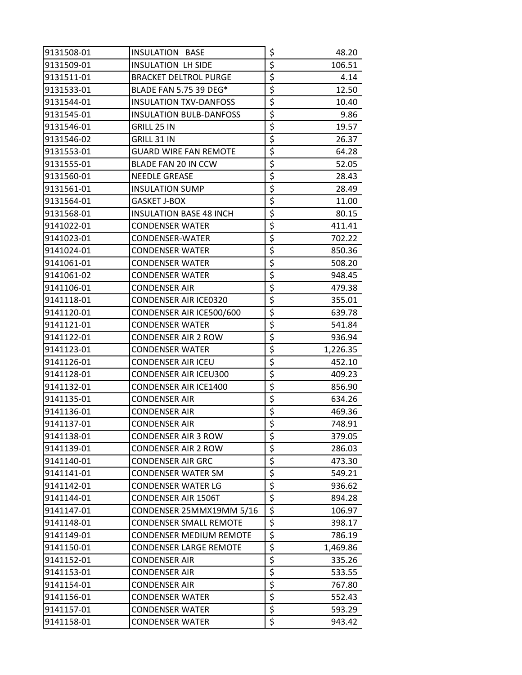| 9131508-01 | <b>INSULATION BASE</b>         | \$                                  | 48.20    |
|------------|--------------------------------|-------------------------------------|----------|
| 9131509-01 | <b>INSULATION LH SIDE</b>      | \$                                  | 106.51   |
| 9131511-01 | <b>BRACKET DELTROL PURGE</b>   | \$                                  | 4.14     |
| 9131533-01 | BLADE FAN 5.75 39 DEG*         | \$                                  | 12.50    |
| 9131544-01 | <b>INSULATION TXV-DANFOSS</b>  | \$                                  | 10.40    |
| 9131545-01 | <b>INSULATION BULB-DANFOSS</b> | \$                                  | 9.86     |
| 9131546-01 | GRILL 25 IN                    | \$                                  | 19.57    |
| 9131546-02 | GRILL 31 IN                    | \$                                  | 26.37    |
| 9131553-01 | <b>GUARD WIRE FAN REMOTE</b>   | \$                                  | 64.28    |
| 9131555-01 | BLADE FAN 20 IN CCW            | \$                                  | 52.05    |
| 9131560-01 | <b>NEEDLE GREASE</b>           | \$                                  | 28.43    |
| 9131561-01 | <b>INSULATION SUMP</b>         | \$                                  | 28.49    |
| 9131564-01 | GASKET J-BOX                   | $\overline{\boldsymbol{\zeta}}$     | 11.00    |
| 9131568-01 | <b>INSULATION BASE 48 INCH</b> | \$                                  | 80.15    |
| 9141022-01 | CONDENSER WATER                | \$                                  | 411.41   |
| 9141023-01 | CONDENSER-WATER                | \$                                  | 702.22   |
| 9141024-01 | CONDENSER WATER                | \$                                  | 850.36   |
| 9141061-01 | <b>CONDENSER WATER</b>         | \$                                  | 508.20   |
| 9141061-02 | CONDENSER WATER                | \$                                  | 948.45   |
| 9141106-01 | CONDENSER AIR                  | \$                                  | 479.38   |
| 9141118-01 | CONDENSER AIR ICE0320          | \$                                  | 355.01   |
| 9141120-01 | CONDENSER AIR ICE500/600       | \$                                  | 639.78   |
| 9141121-01 | <b>CONDENSER WATER</b>         | \$                                  | 541.84   |
| 9141122-01 | CONDENSER AIR 2 ROW            | \$                                  | 936.94   |
| 9141123-01 | <b>CONDENSER WATER</b>         | \$                                  | 1,226.35 |
| 9141126-01 | CONDENSER AIR ICEU             | \$                                  | 452.10   |
| 9141128-01 | <b>CONDENSER AIR ICEU300</b>   | \$                                  | 409.23   |
| 9141132-01 | CONDENSER AIR ICE1400          | \$                                  | 856.90   |
| 9141135-01 | <b>CONDENSER AIR</b>           | \$                                  | 634.26   |
| 9141136-01 | CONDENSER AIR                  | \$                                  | 469.36   |
| 9141137-01 | <b>CONDENSER AIR</b>           | $\overline{\boldsymbol{\varsigma}}$ | 748.91   |
| 9141138-01 | CONDENSER AIR 3 ROW            | \$                                  | 379.05   |
| 9141139-01 | <b>CONDENSER AIR 2 ROW</b>     | \$                                  | 286.03   |
| 9141140-01 | CONDENSER AIR GRC              | \$                                  | 473.30   |
| 9141141-01 | <b>CONDENSER WATER SM</b>      | \$                                  | 549.21   |
| 9141142-01 | CONDENSER WATER LG             | $\overline{\boldsymbol{\zeta}}$     | 936.62   |
| 9141144-01 | <b>CONDENSER AIR 1506T</b>     | \$                                  | 894.28   |
| 9141147-01 | CONDENSER 25MMX19MM 5/16       | \$                                  | 106.97   |
| 9141148-01 | <b>CONDENSER SMALL REMOTE</b>  | \$                                  | 398.17   |
| 9141149-01 | CONDENSER MEDIUM REMOTE        | \$                                  | 786.19   |
| 9141150-01 | CONDENSER LARGE REMOTE         | \$                                  | 1,469.86 |
| 9141152-01 | CONDENSER AIR                  | \$                                  | 335.26   |
| 9141153-01 | <b>CONDENSER AIR</b>           | $\overline{\boldsymbol{\zeta}}$     | 533.55   |
| 9141154-01 | <b>CONDENSER AIR</b>           | \$                                  | 767.80   |
| 9141156-01 | CONDENSER WATER                | \$                                  | 552.43   |
| 9141157-01 | CONDENSER WATER                | \$                                  | 593.29   |
| 9141158-01 | <b>CONDENSER WATER</b>         | \$                                  | 943.42   |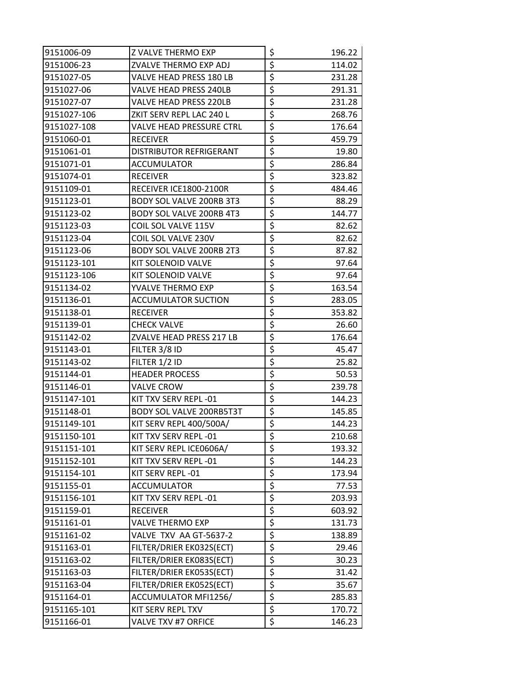| 9151006-09  | Z VALVE THERMO EXP              | \$                              | 196.22 |
|-------------|---------------------------------|---------------------------------|--------|
| 9151006-23  | ZVALVE THERMO EXP ADJ           | \$                              | 114.02 |
| 9151027-05  | VALVE HEAD PRESS 180 LB         | \$                              | 231.28 |
| 9151027-06  | <b>VALVE HEAD PRESS 240LB</b>   | \$                              | 291.31 |
| 9151027-07  | VALVE HEAD PRESS 220LB          | \$                              | 231.28 |
| 9151027-106 | ZKIT SERV REPL LAC 240 L        | \$                              | 268.76 |
| 9151027-108 | <b>VALVE HEAD PRESSURE CTRL</b> | \$                              | 176.64 |
| 9151060-01  | <b>RECEIVER</b>                 | \$                              | 459.79 |
| 9151061-01  | DISTRIBUTOR REFRIGERANT         | \$                              | 19.80  |
| 9151071-01  | ACCUMULATOR                     | $\overline{\xi}$                | 286.84 |
| 9151074-01  | <b>RECEIVER</b>                 | \$                              | 323.82 |
| 9151109-01  | RECEIVER ICE1800-2100R          | \$                              | 484.46 |
| 9151123-01  | <b>BODY SOL VALVE 200RB 3T3</b> | \$                              | 88.29  |
| 9151123-02  | <b>BODY SOL VALVE 200RB 4T3</b> | \$                              | 144.77 |
| 9151123-03  | COIL SOL VALVE 115V             | \$                              | 82.62  |
| 9151123-04  | COIL SOL VALVE 230V             | \$                              | 82.62  |
| 9151123-06  | <b>BODY SOL VALVE 200RB 2T3</b> | \$                              | 87.82  |
| 9151123-101 | KIT SOLENOID VALVE              | \$                              | 97.64  |
| 9151123-106 | <b>KIT SOLENOID VALVE</b>       | \$                              | 97.64  |
| 9151134-02  | YVALVE THERMO EXP               | \$                              | 163.54 |
| 9151136-01  | <b>ACCUMULATOR SUCTION</b>      | \$                              | 283.05 |
| 9151138-01  | <b>RECEIVER</b>                 | \$                              | 353.82 |
| 9151139-01  | <b>CHECK VALVE</b>              | \$                              | 26.60  |
| 9151142-02  | ZVALVE HEAD PRESS 217 LB        | \$                              | 176.64 |
| 9151143-01  | FILTER 3/8 ID                   | \$                              | 45.47  |
| 9151143-02  | FILTER 1/2 ID                   | \$                              | 25.82  |
| 9151144-01  | <b>HEADER PROCESS</b>           | \$                              | 50.53  |
| 9151146-01  | <b>VALVE CROW</b>               | \$                              | 239.78 |
| 9151147-101 | KIT TXV SERV REPL -01           | $\overline{\xi}$                | 144.23 |
| 9151148-01  | <b>BODY SOL VALVE 200RB5T3T</b> | \$                              | 145.85 |
| 9151149-101 | KIT SERV REPL 400/500A/         | $\overline{\boldsymbol{\zeta}}$ | 144.23 |
| 9151150-101 | KIT TXV SERV REPL -01           | \$                              | 210.68 |
| 9151151-101 | KIT SERV REPL ICE0606A/         | \$                              | 193.32 |
| 9151152-101 | KIT TXV SERV REPL -01           | \$                              | 144.23 |
| 9151154-101 | KIT SERV REPL -01               | \$                              | 173.94 |
| 9151155-01  | <b>ACCUMULATOR</b>              | \$                              | 77.53  |
| 9151156-101 | KIT TXV SERV REPL -01           | \$                              | 203.93 |
| 9151159-01  | <b>RECEIVER</b>                 | \$                              | 603.92 |
| 9151161-01  | <b>VALVE THERMO EXP</b>         | \$                              | 131.73 |
| 9151161-02  | VALVE TXV AA GT-5637-2          | \$                              | 138.89 |
| 9151163-01  | FILTER/DRIER EK032S(ECT)        | \$                              | 29.46  |
| 9151163-02  | FILTER/DRIER EK083S(ECT)        | \$                              | 30.23  |
| 9151163-03  | FILTER/DRIER EK053S(ECT)        | \$                              | 31.42  |
| 9151163-04  | FILTER/DRIER EK052S(ECT)        | $\overline{\xi}$                | 35.67  |
| 9151164-01  | ACCUMULATOR MFI1256/            | $\overline{\boldsymbol{\zeta}}$ | 285.83 |
| 9151165-101 | KIT SERV REPL TXV               | \$                              | 170.72 |
| 9151166-01  | VALVE TXV #7 ORFICE             | \$                              | 146.23 |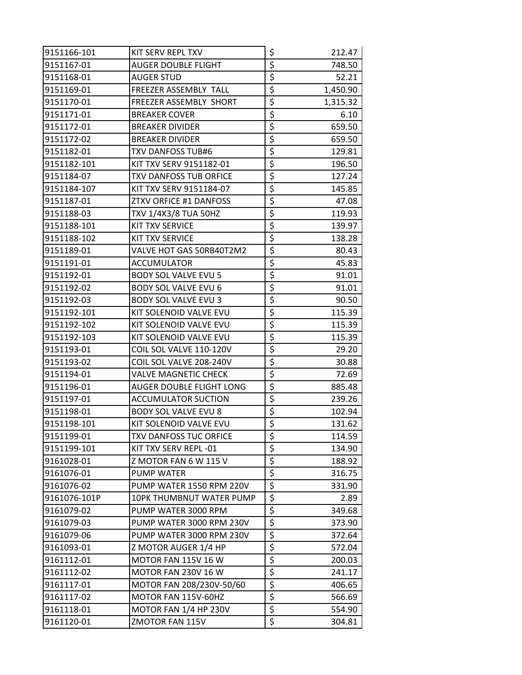| 9151166-101  | KIT SERV REPL TXV             | \$               | 212.47   |
|--------------|-------------------------------|------------------|----------|
| 9151167-01   | <b>AUGER DOUBLE FLIGHT</b>    | \$               | 748.50   |
| 9151168-01   | AUGER STUD                    | \$               | 52.21    |
| 9151169-01   | FREEZER ASSEMBLY TALL         | \$               | 1,450.90 |
| 9151170-01   | FREEZER ASSEMBLY SHORT        | \$               | 1,315.32 |
| 9151171-01   | <b>BREAKER COVER</b>          | \$               | 6.10     |
| 9151172-01   | <b>BREAKER DIVIDER</b>        | \$               | 659.50   |
| 9151172-02   | <b>BREAKER DIVIDER</b>        | \$               | 659.50   |
| 9151182-01   | <b>TXV DANFOSS TUB#6</b>      | \$               | 129.81   |
| 9151182-101  | KIT TXV SERV 9151182-01       | \$               | 196.50   |
| 9151184-07   | <b>TXV DANFOSS TUB ORFICE</b> | \$               | 127.24   |
| 9151184-107  | KIT TXV SERV 9151184-07       | \$               | 145.85   |
| 9151187-01   | ZTXV ORFICE #1 DANFOSS        | \$               | 47.08    |
| 9151188-03   | TXV 1/4X3/8 TUA 50HZ          | \$               | 119.93   |
| 9151188-101  | <b>KIT TXV SERVICE</b>        | \$               | 139.97   |
| 9151188-102  | <b>KIT TXV SERVICE</b>        | \$               | 138.28   |
| 9151189-01   | VALVE HOT GAS 50RB40T2M2      | \$               | 80.43    |
| 9151191-01   | <b>ACCUMULATOR</b>            | \$               | 45.83    |
| 9151192-01   | <b>BODY SOL VALVE EVU 5</b>   | \$               | 91.01    |
| 9151192-02   | <b>BODY SOL VALVE EVU 6</b>   | \$               | 91.01    |
| 9151192-03   | <b>BODY SOL VALVE EVU 3</b>   | \$               | 90.50    |
| 9151192-101  | KIT SOLENOID VALVE EVU        | \$               | 115.39   |
| 9151192-102  | KIT SOLENOID VALVE EVU        | \$               | 115.39   |
| 9151192-103  | KIT SOLENOID VALVE EVU        | \$               | 115.39   |
| 9151193-01   | COIL SOL VALVE 110-120V       | \$               | 29.20    |
| 9151193-02   | COIL SOL VALVE 208-240V       | \$               | 30.88    |
| 9151194-01   | VALVE MAGNETIC CHECK          | \$               | 72.69    |
| 9151196-01   | AUGER DOUBLE FLIGHT LONG      | \$               | 885.48   |
| 9151197-01   | ACCUMULATOR SUCTION           | \$               | 239.26   |
| 9151198-01   | <b>BODY SOL VALVE EVU 8</b>   | \$               | 102.94   |
| 9151198-101  | KIT SOLENOID VALVE EVU        | $\overline{\xi}$ | 131.62   |
| 9151199-01   | TXV DANFOSS TUC ORFICE        | \$               | 114.59   |
| 9151199-101  | KIT TXV SERV REPL -01         | \$               | 134.90   |
| 9161028-01   | Z MOTOR FAN 6 W 115 V         | \$               | 188.92   |
| 9161076-01   | <b>PUMP WATER</b>             | \$               | 316.75   |
| 9161076-02   | PUMP WATER 1550 RPM 220V      | \$               | 331.90   |
| 9161076-101P | 10PK THUMBNUT WATER PUMP      | \$               | 2.89     |
| 9161079-02   | PUMP WATER 3000 RPM           | \$               | 349.68   |
| 9161079-03   | PUMP WATER 3000 RPM 230V      | \$               | 373.90   |
| 9161079-06   | PUMP WATER 3000 RPM 230V      | \$               | 372.64   |
| 9161093-01   | Z MOTOR AUGER 1/4 HP          | \$               | 572.04   |
| 9161112-01   | MOTOR FAN 115V 16 W           | \$               | 200.03   |
| 9161112-02   | MOTOR FAN 230V 16 W           | \$               | 241.17   |
| 9161117-01   | MOTOR FAN 208/230V-50/60      | \$               | 406.65   |
| 9161117-02   | MOTOR FAN 115V-60HZ           | \$               | 566.69   |
| 9161118-01   | <b>MOTOR FAN 1/4 HP 230V</b>  | \$               | 554.90   |
| 9161120-01   | ZMOTOR FAN 115V               | \$               | 304.81   |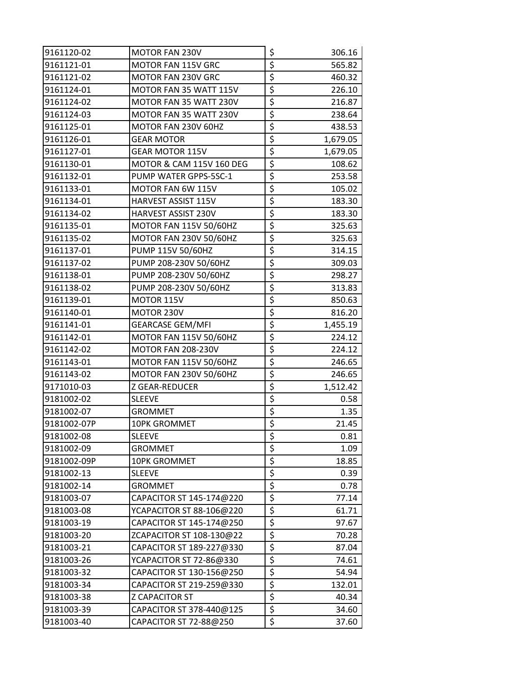| 9161120-02  | <b>MOTOR FAN 230V</b>         | \$                                  | 306.16   |
|-------------|-------------------------------|-------------------------------------|----------|
| 9161121-01  | MOTOR FAN 115V GRC            | \$                                  | 565.82   |
| 9161121-02  | MOTOR FAN 230V GRC            | \$                                  | 460.32   |
| 9161124-01  | MOTOR FAN 35 WATT 115V        | \$                                  | 226.10   |
| 9161124-02  | MOTOR FAN 35 WATT 230V        | \$                                  | 216.87   |
| 9161124-03  | MOTOR FAN 35 WATT 230V        | \$                                  | 238.64   |
| 9161125-01  | MOTOR FAN 230V 60HZ           | \$                                  | 438.53   |
| 9161126-01  | <b>GEAR MOTOR</b>             | \$                                  | 1,679.05 |
| 9161127-01  | <b>GEAR MOTOR 115V</b>        | \$                                  | 1,679.05 |
| 9161130-01  | MOTOR & CAM 115V 160 DEG      | \$                                  | 108.62   |
| 9161132-01  | PUMP WATER GPPS-5SC-1         | \$                                  | 253.58   |
| 9161133-01  | MOTOR FAN 6W 115V             | \$                                  | 105.02   |
| 9161134-01  | HARVEST ASSIST 115V           | \$                                  | 183.30   |
| 9161134-02  | HARVEST ASSIST 230V           | \$                                  | 183.30   |
| 9161135-01  | <b>MOTOR FAN 115V 50/60HZ</b> | \$                                  | 325.63   |
| 9161135-02  | MOTOR FAN 230V 50/60HZ        | \$                                  | 325.63   |
| 9161137-01  | PUMP 115V 50/60HZ             | \$                                  | 314.15   |
| 9161137-02  | PUMP 208-230V 50/60HZ         | \$                                  | 309.03   |
| 9161138-01  | PUMP 208-230V 50/60HZ         | \$                                  | 298.27   |
| 9161138-02  | PUMP 208-230V 50/60HZ         | \$                                  | 313.83   |
| 9161139-01  | MOTOR 115V                    | \$                                  | 850.63   |
| 9161140-01  | MOTOR 230V                    | \$                                  | 816.20   |
| 9161141-01  | <b>GEARCASE GEM/MFI</b>       | \$                                  | 1,455.19 |
| 9161142-01  | <b>MOTOR FAN 115V 50/60HZ</b> | \$                                  | 224.12   |
| 9161142-02  | <b>MOTOR FAN 208-230V</b>     | \$                                  | 224.12   |
| 9161143-01  | <b>MOTOR FAN 115V 50/60HZ</b> | \$                                  | 246.65   |
| 9161143-02  | MOTOR FAN 230V 50/60HZ        | \$                                  | 246.65   |
| 9171010-03  | Z GEAR-REDUCER                | \$                                  | 1,512.42 |
| 9181002-02  | <b>SLEEVE</b>                 | \$                                  | 0.58     |
| 9181002-07  | <b>GROMMET</b>                | \$                                  | 1.35     |
| 9181002-07P | 10PK GROMMET                  | $\overline{\boldsymbol{\varsigma}}$ | 21.45    |
| 9181002-08  | <b>SLEEVE</b>                 | \$                                  | 0.81     |
| 9181002-09  | <b>GROMMET</b>                | $\overline{\xi}$                    | 1.09     |
| 9181002-09P | 10PK GROMMET                  | \$                                  | 18.85    |
| 9181002-13  | <b>SLEEVE</b>                 | \$                                  | 0.39     |
| 9181002-14  | <b>GROMMET</b>                | \$                                  | 0.78     |
| 9181003-07  | CAPACITOR ST 145-174@220      | \$                                  | 77.14    |
| 9181003-08  | YCAPACITOR ST 88-106@220      | \$                                  | 61.71    |
| 9181003-19  | CAPACITOR ST 145-174@250      | \$                                  | 97.67    |
| 9181003-20  | ZCAPACITOR ST 108-130@22      | \$                                  | 70.28    |
| 9181003-21  | CAPACITOR ST 189-227@330      | \$                                  | 87.04    |
| 9181003-26  | YCAPACITOR ST 72-86@330       | \$                                  | 74.61    |
| 9181003-32  | CAPACITOR ST 130-156@250      | \$                                  | 54.94    |
| 9181003-34  | CAPACITOR ST 219-259@330      | \$                                  | 132.01   |
| 9181003-38  | <b>Z CAPACITOR ST</b>         | \$                                  | 40.34    |
| 9181003-39  | CAPACITOR ST 378-440@125      | \$                                  | 34.60    |
| 9181003-40  | CAPACITOR ST 72-88@250        | \$                                  | 37.60    |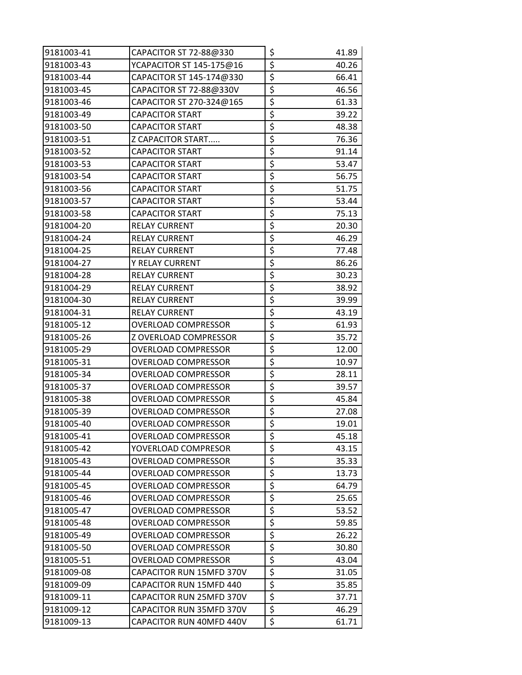| 9181003-41 | CAPACITOR ST 72-88@330     | \$                                  | 41.89 |
|------------|----------------------------|-------------------------------------|-------|
| 9181003-43 | YCAPACITOR ST 145-175@16   | \$                                  | 40.26 |
| 9181003-44 | CAPACITOR ST 145-174@330   | \$                                  | 66.41 |
| 9181003-45 | CAPACITOR ST 72-88@330V    | \$                                  | 46.56 |
| 9181003-46 | CAPACITOR ST 270-324@165   | \$                                  | 61.33 |
| 9181003-49 | <b>CAPACITOR START</b>     | \$                                  | 39.22 |
| 9181003-50 | <b>CAPACITOR START</b>     | \$                                  | 48.38 |
| 9181003-51 | Z CAPACITOR START          | \$                                  | 76.36 |
| 9181003-52 | <b>CAPACITOR START</b>     | \$                                  | 91.14 |
| 9181003-53 | <b>CAPACITOR START</b>     | \$                                  | 53.47 |
| 9181003-54 | <b>CAPACITOR START</b>     | \$                                  | 56.75 |
| 9181003-56 | <b>CAPACITOR START</b>     | \$                                  | 51.75 |
| 9181003-57 | <b>CAPACITOR START</b>     | \$                                  | 53.44 |
| 9181003-58 | <b>CAPACITOR START</b>     | \$                                  | 75.13 |
| 9181004-20 | <b>RELAY CURRENT</b>       | \$                                  | 20.30 |
| 9181004-24 | <b>RELAY CURRENT</b>       | \$                                  | 46.29 |
| 9181004-25 | <b>RELAY CURRENT</b>       | \$                                  | 77.48 |
| 9181004-27 | <b>Y RELAY CURRENT</b>     | \$                                  | 86.26 |
| 9181004-28 | <b>RELAY CURRENT</b>       | \$                                  | 30.23 |
| 9181004-29 | <b>RELAY CURRENT</b>       | \$                                  | 38.92 |
| 9181004-30 | <b>RELAY CURRENT</b>       | \$                                  | 39.99 |
| 9181004-31 | <b>RELAY CURRENT</b>       | \$                                  | 43.19 |
| 9181005-12 | <b>OVERLOAD COMPRESSOR</b> | \$                                  | 61.93 |
| 9181005-26 | Z OVERLOAD COMPRESSOR      | \$                                  | 35.72 |
| 9181005-29 | <b>OVERLOAD COMPRESSOR</b> | \$                                  | 12.00 |
| 9181005-31 | <b>OVERLOAD COMPRESSOR</b> | \$                                  | 10.97 |
| 9181005-34 | <b>OVERLOAD COMPRESSOR</b> | \$                                  | 28.11 |
| 9181005-37 | <b>OVERLOAD COMPRESSOR</b> | \$                                  | 39.57 |
| 9181005-38 | OVERLOAD COMPRESSOR        | \$                                  | 45.84 |
| 9181005-39 | <b>OVERLOAD COMPRESSOR</b> | \$                                  | 27.08 |
| 9181005-40 | <b>OVERLOAD COMPRESSOR</b> | $\overline{\boldsymbol{\varsigma}}$ | 19.01 |
| 9181005-41 | OVERLOAD COMPRESSOR        | \$                                  | 45.18 |
| 9181005-42 | YOVERLOAD COMPRESOR        | \$                                  | 43.15 |
| 9181005-43 | OVERLOAD COMPRESSOR        | \$                                  | 35.33 |
| 9181005-44 | <b>OVERLOAD COMPRESSOR</b> | \$                                  | 13.73 |
| 9181005-45 | OVERLOAD COMPRESSOR        | \$                                  | 64.79 |
| 9181005-46 | <b>OVERLOAD COMPRESSOR</b> | \$                                  | 25.65 |
| 9181005-47 | <b>OVERLOAD COMPRESSOR</b> | \$                                  | 53.52 |
| 9181005-48 | OVERLOAD COMPRESSOR        | \$                                  | 59.85 |
| 9181005-49 | <b>OVERLOAD COMPRESSOR</b> | \$                                  | 26.22 |
| 9181005-50 | OVERLOAD COMPRESSOR        | \$                                  | 30.80 |
| 9181005-51 | <b>OVERLOAD COMPRESSOR</b> | \$                                  | 43.04 |
| 9181009-08 | CAPACITOR RUN 15MFD 370V   | \$                                  | 31.05 |
| 9181009-09 | CAPACITOR RUN 15MFD 440    | \$                                  | 35.85 |
| 9181009-11 | CAPACITOR RUN 25MFD 370V   | \$                                  | 37.71 |
| 9181009-12 | CAPACITOR RUN 35MFD 370V   | \$                                  | 46.29 |
| 9181009-13 | CAPACITOR RUN 40MFD 440V   | \$                                  | 61.71 |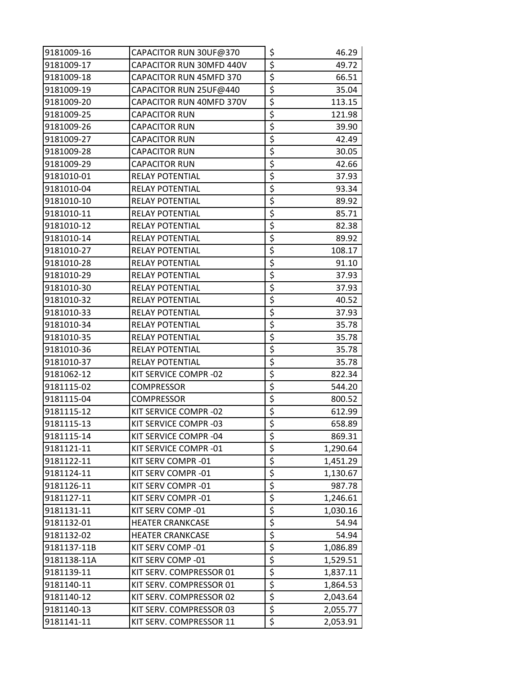| 9181009-16  | CAPACITOR RUN 30UF@370         | \$                              | 46.29    |
|-------------|--------------------------------|---------------------------------|----------|
| 9181009-17  | CAPACITOR RUN 30MFD 440V       | \$                              | 49.72    |
| 9181009-18  | <b>CAPACITOR RUN 45MFD 370</b> | \$                              | 66.51    |
| 9181009-19  | CAPACITOR RUN 25UF@440         | \$                              | 35.04    |
| 9181009-20  | CAPACITOR RUN 40MFD 370V       | \$                              | 113.15   |
| 9181009-25  | <b>CAPACITOR RUN</b>           | \$                              | 121.98   |
| 9181009-26  | <b>CAPACITOR RUN</b>           | $\overline{\boldsymbol{\zeta}}$ | 39.90    |
| 9181009-27  | <b>CAPACITOR RUN</b>           | $\overline{\xi}$                | 42.49    |
| 9181009-28  | <b>CAPACITOR RUN</b>           | \$                              | 30.05    |
| 9181009-29  | <b>CAPACITOR RUN</b>           | \$                              | 42.66    |
| 9181010-01  | RELAY POTENTIAL                | \$                              | 37.93    |
| 9181010-04  | RELAY POTENTIAL                | \$                              | 93.34    |
| 9181010-10  | RELAY POTENTIAL                | \$                              | 89.92    |
| 9181010-11  | RELAY POTENTIAL                | $\overline{\boldsymbol{\zeta}}$ | 85.71    |
| 9181010-12  | RELAY POTENTIAL                | \$                              | 82.38    |
| 9181010-14  | RELAY POTENTIAL                | \$                              | 89.92    |
| 9181010-27  | <b>RELAY POTENTIAL</b>         | \$                              | 108.17   |
| 9181010-28  | <b>RELAY POTENTIAL</b>         | $\overline{\xi}$                | 91.10    |
| 9181010-29  | RELAY POTENTIAL                | \$                              | 37.93    |
| 9181010-30  | RELAY POTENTIAL                | \$                              | 37.93    |
| 9181010-32  | <b>RELAY POTENTIAL</b>         | \$                              | 40.52    |
| 9181010-33  | RELAY POTENTIAL                | \$                              | 37.93    |
| 9181010-34  | RELAY POTENTIAL                | \$                              | 35.78    |
| 9181010-35  | RELAY POTENTIAL                | \$                              | 35.78    |
| 9181010-36  | RELAY POTENTIAL                | \$                              | 35.78    |
| 9181010-37  | RELAY POTENTIAL                | $\overline{\boldsymbol{\zeta}}$ | 35.78    |
| 9181062-12  | KIT SERVICE COMPR -02          | \$                              | 822.34   |
| 9181115-02  | <b>COMPRESSOR</b>              | \$                              | 544.20   |
| 9181115-04  | <b>COMPRESSOR</b>              | \$                              | 800.52   |
| 9181115-12  | KIT SERVICE COMPR -02          | \$                              | 612.99   |
| 9181115-13  | KIT SERVICE COMPR -03          | $\overline{\xi}$                | 658.89   |
| 9181115-14  | KIT SERVICE COMPR -04          | \$                              | 869.31   |
| 9181121-11  | KIT SERVICE COMPR -01          | \$                              | 1,290.64 |
| 9181122-11  | KIT SERV COMPR -01             | $\overline{\xi}$                | 1,451.29 |
| 9181124-11  | KIT SERV COMPR -01             | \$                              | 1,130.67 |
| 9181126-11  | KIT SERV COMPR -01             | \$                              | 987.78   |
| 9181127-11  | KIT SERV COMPR -01             | \$                              | 1,246.61 |
| 9181131-11  | KIT SERV COMP -01              | \$                              | 1,030.16 |
| 9181132-01  | <b>HEATER CRANKCASE</b>        | \$                              | 54.94    |
| 9181132-02  | <b>HEATER CRANKCASE</b>        | \$                              | 54.94    |
| 9181137-11B | KIT SERV COMP -01              | \$                              | 1,086.89 |
| 9181138-11A | KIT SERV COMP -01              | \$                              | 1,529.51 |
| 9181139-11  | KIT SERV. COMPRESSOR 01        | \$                              | 1,837.11 |
| 9181140-11  | KIT SERV. COMPRESSOR 01        | \$                              | 1,864.53 |
| 9181140-12  | KIT SERV. COMPRESSOR 02        | $\overline{\boldsymbol{\zeta}}$ | 2,043.64 |
| 9181140-13  | KIT SERV. COMPRESSOR 03        | $\overline{\boldsymbol{\zeta}}$ | 2,055.77 |
| 9181141-11  | KIT SERV. COMPRESSOR 11        | \$                              | 2,053.91 |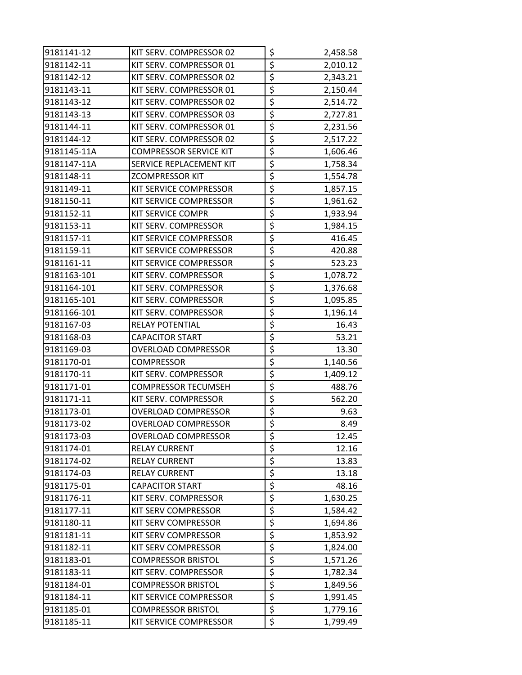| 9181141-12  | KIT SERV. COMPRESSOR 02       | \$                                  | 2,458.58 |
|-------------|-------------------------------|-------------------------------------|----------|
| 9181142-11  | KIT SERV. COMPRESSOR 01       | \$                                  | 2,010.12 |
| 9181142-12  | KIT SERV. COMPRESSOR 02       | $\overline{\xi}$                    | 2,343.21 |
| 9181143-11  | KIT SERV. COMPRESSOR 01       | \$                                  | 2,150.44 |
| 9181143-12  | KIT SERV. COMPRESSOR 02       | \$                                  | 2,514.72 |
| 9181143-13  | KIT SERV. COMPRESSOR 03       | \$                                  | 2,727.81 |
| 9181144-11  | KIT SERV. COMPRESSOR 01       | \$                                  | 2,231.56 |
| 9181144-12  | KIT SERV. COMPRESSOR 02       | \$                                  | 2,517.22 |
| 9181145-11A | <b>COMPRESSOR SERVICE KIT</b> | \$                                  | 1,606.46 |
| 9181147-11A | SERVICE REPLACEMENT KIT       | $\overline{\xi}$                    | 1,758.34 |
| 9181148-11  | <b>ZCOMPRESSOR KIT</b>        | \$                                  | 1,554.78 |
| 9181149-11  | KIT SERVICE COMPRESSOR        | \$                                  | 1,857.15 |
| 9181150-11  | KIT SERVICE COMPRESSOR        | \$                                  | 1,961.62 |
| 9181152-11  | <b>KIT SERVICE COMPR</b>      | \$                                  | 1,933.94 |
| 9181153-11  | KIT SERV. COMPRESSOR          | \$                                  | 1,984.15 |
| 9181157-11  | KIT SERVICE COMPRESSOR        | \$                                  | 416.45   |
| 9181159-11  | KIT SERVICE COMPRESSOR        | \$                                  | 420.88   |
| 9181161-11  | KIT SERVICE COMPRESSOR        | \$                                  | 523.23   |
| 9181163-101 | KIT SERV. COMPRESSOR          | \$                                  | 1,078.72 |
| 9181164-101 | KIT SERV. COMPRESSOR          | \$                                  | 1,376.68 |
| 9181165-101 | KIT SERV. COMPRESSOR          | \$                                  | 1,095.85 |
| 9181166-101 | KIT SERV. COMPRESSOR          | $\overline{\boldsymbol{\varsigma}}$ | 1,196.14 |
| 9181167-03  | RELAY POTENTIAL               | \$                                  | 16.43    |
| 9181168-03  | <b>CAPACITOR START</b>        | \$                                  | 53.21    |
| 9181169-03  | OVERLOAD COMPRESSOR           | \$                                  | 13.30    |
| 9181170-01  | <b>COMPRESSOR</b>             | \$                                  | 1,140.56 |
| 9181170-11  | KIT SERV. COMPRESSOR          | \$                                  | 1,409.12 |
| 9181171-01  | <b>COMPRESSOR TECUMSEH</b>    | \$                                  | 488.76   |
| 9181171-11  | KIT SERV. COMPRESSOR          | \$                                  | 562.20   |
| 9181173-01  | <b>OVERLOAD COMPRESSOR</b>    | \$                                  | 9.63     |
| 9181173-02  | <b>OVERLOAD COMPRESSOR</b>    | $\overline{\boldsymbol{\varsigma}}$ | 8.49     |
| 9181173-03  | <b>OVERLOAD COMPRESSOR</b>    | \$                                  | 12.45    |
| 9181174-01  | <b>RELAY CURRENT</b>          | \$                                  | 12.16    |
| 9181174-02  | <b>RELAY CURRENT</b>          | \$                                  | 13.83    |
| 9181174-03  | <b>RELAY CURRENT</b>          | \$                                  | 13.18    |
| 9181175-01  | <b>CAPACITOR START</b>        | \$                                  | 48.16    |
| 9181176-11  | KIT SERV. COMPRESSOR          | \$                                  | 1,630.25 |
| 9181177-11  | <b>KIT SERV COMPRESSOR</b>    | \$                                  | 1,584.42 |
| 9181180-11  | <b>KIT SERV COMPRESSOR</b>    | \$                                  | 1,694.86 |
| 9181181-11  | KIT SERV COMPRESSOR           | \$                                  | 1,853.92 |
| 9181182-11  | KIT SERV COMPRESSOR           | \$                                  | 1,824.00 |
| 9181183-01  | <b>COMPRESSOR BRISTOL</b>     | \$                                  | 1,571.26 |
| 9181183-11  | KIT SERV. COMPRESSOR          | \$                                  | 1,782.34 |
| 9181184-01  | <b>COMPRESSOR BRISTOL</b>     | \$                                  | 1,849.56 |
| 9181184-11  | KIT SERVICE COMPRESSOR        | \$                                  | 1,991.45 |
| 9181185-01  | <b>COMPRESSOR BRISTOL</b>     | \$                                  | 1,779.16 |
| 9181185-11  | KIT SERVICE COMPRESSOR        | \$                                  | 1,799.49 |